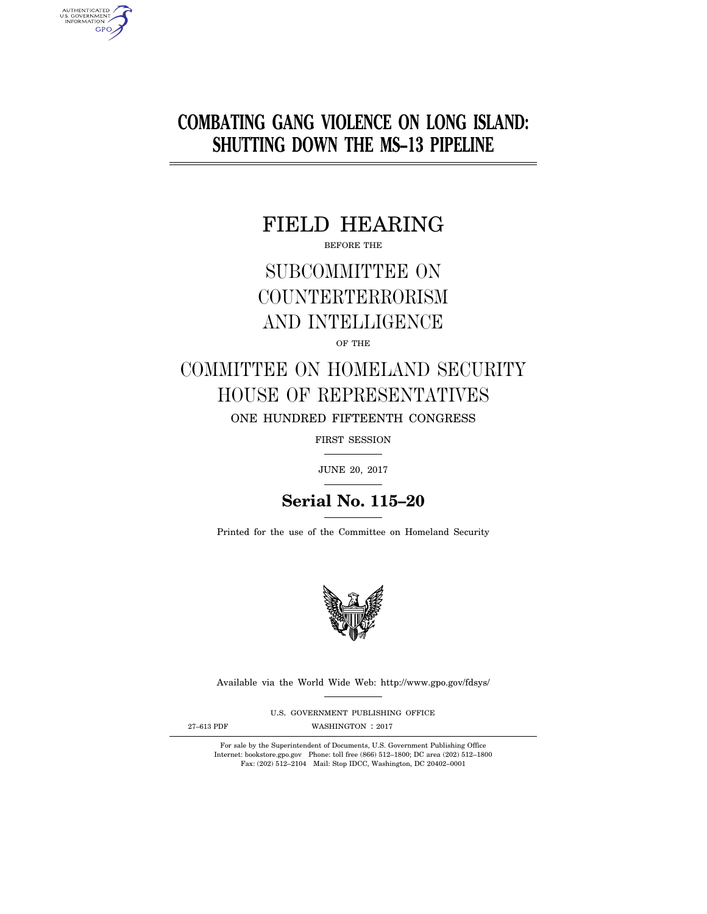# **COMBATING GANG VIOLENCE ON LONG ISLAND: SHUTTING DOWN THE MS–13 PIPELINE**

# FIELD HEARING

BEFORE THE

# SUBCOMMITTEE ON COUNTERTERRORISM AND INTELLIGENCE

# OF THE

# COMMITTEE ON HOMELAND SECURITY HOUSE OF REPRESENTATIVES ONE HUNDRED FIFTEENTH CONGRESS

FIRST SESSION

JUNE 20, 2017

# **Serial No. 115–20**

Printed for the use of the Committee on Homeland Security



Available via the World Wide Web: http://www.gpo.gov/fdsys/

U.S. GOVERNMENT PUBLISHING OFFICE

AUTHENTICATED<br>U.S. GOVERNMENT<br>INFORMATION **GPO** 

27-613 PDF WASHINGTON : 2017

For sale by the Superintendent of Documents, U.S. Government Publishing Office Internet: bookstore.gpo.gov Phone: toll free (866) 512–1800; DC area (202) 512–1800 Fax: (202) 512–2104 Mail: Stop IDCC, Washington, DC 20402–0001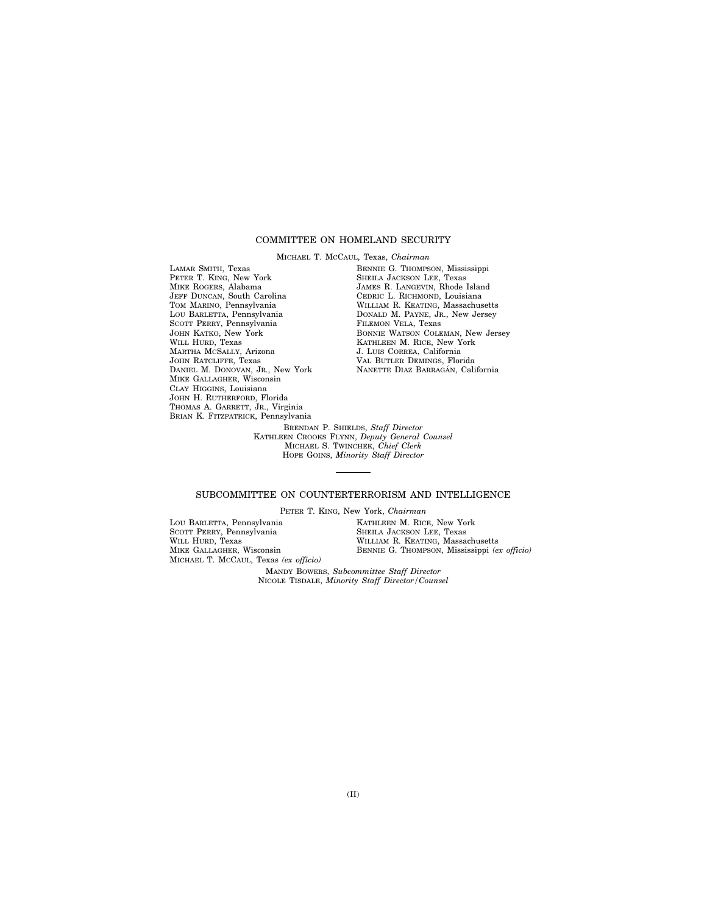# COMMITTEE ON HOMELAND SECURITY

MICHAEL T. MCCAUL, Texas, *Chairman* 

LAMAR SMITH, Texas PETER T. KING, New York MIKE ROGERS, Alabama JEFF DUNCAN, South Carolina TOM MARINO, Pennsylvania LOU BARLETTA, Pennsylvania SCOTT PERRY, Pennsylvania JOHN KATKO, New York WILL HURD, Texas MARTHA MCSALLY, Arizona JOHN RATCLIFFE, Texas DANIEL M. DONOVAN, JR., New York MIKE GALLAGHER, Wisconsin CLAY HIGGINS, Louisiana JOHN H. RUTHERFORD, Florida THOMAS A. GARRETT, JR., Virginia BRIAN K. FITZPATRICK, Pennsylvania

BENNIE G. THOMPSON, Mississippi SHEILA JACKSON LEE, Texas JAMES R. LANGEVIN, Rhode Island CEDRIC L. RICHMOND, Louisiana WILLIAM R. KEATING, Massachusetts DONALD M. PAYNE, JR., New Jersey FILEMON VELA, Texas BONNIE WATSON COLEMAN, New Jersey KATHLEEN M. RICE, New York J. LUIS CORREA, California VAL BUTLER DEMINGS, Florida NANETTE DIAZ BARRAGÁN, California

BRENDAN P. SHIELDS, *Staff Director*  KATHLEEN CROOKS FLYNN, *Deputy General Counsel*  MICHAEL S. TWINCHEK, *Chief Clerk*  HOPE GOINS, *Minority Staff Director* 

# SUBCOMMITTEE ON COUNTERTERRORISM AND INTELLIGENCE

PETER T. KING, New York, *Chairman* 

LOU BARLETTA, Pennsylvania SCOTT PERRY, Pennsylvania WILL HURD, Texas MIKE GALLAGHER, Wisconsin MICHAEL T. MCCAUL, Texas *(ex officio)*  KATHLEEN M. RICE, New York SHEILA JACKSON LEE, Texas WILLIAM R. KEATING, Massachusetts BENNIE G. THOMPSON, Mississippi *(ex officio)* 

MANDY BOWERS, *Subcommittee Staff Director*  NICOLE TISDALE, *Minority Staff Director/Counsel*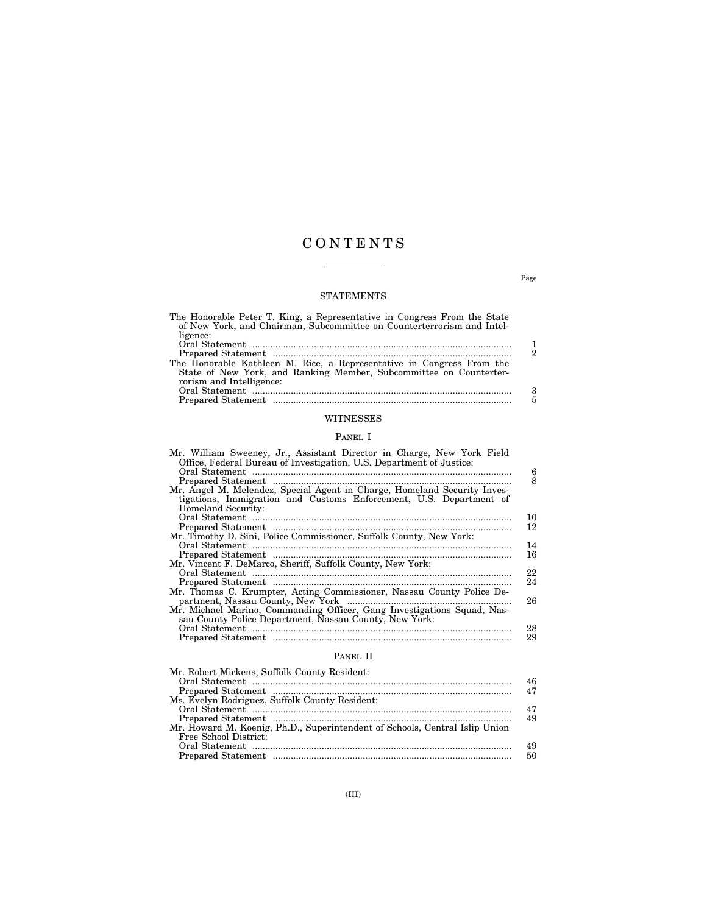# C O N T E N T S

# STATEMENTS

| The Honorable Peter T. King, a Representative in Congress From the State<br>of New York, and Chairman, Subcommittee on Counterterrorism and Intel- |                             |
|----------------------------------------------------------------------------------------------------------------------------------------------------|-----------------------------|
| ligence:                                                                                                                                           |                             |
|                                                                                                                                                    |                             |
|                                                                                                                                                    | $\mathcal{D}_{\mathcal{L}}$ |
| The Honorable Kathleen M. Rice, a Representative in Congress From the                                                                              |                             |
| State of New York, and Ranking Member, Subcommittee on Counterter-                                                                                 |                             |
| rorism and Intelligence:                                                                                                                           |                             |
|                                                                                                                                                    | 3                           |
|                                                                                                                                                    | 5                           |
| WITNESSES                                                                                                                                          |                             |

# PANEL I

| Mr. William Sweeney, Jr., Assistant Director in Charge, New York Field<br>Office, Federal Bureau of Investigation, U.S. Department of Justice: | 6  |
|------------------------------------------------------------------------------------------------------------------------------------------------|----|
|                                                                                                                                                | 8  |
| Mr. Angel M. Melendez, Special Agent in Charge, Homeland Security Inves-                                                                       |    |
| tigations, Immigration and Customs Enforcement, U.S. Department of                                                                             |    |
| Homeland Security:                                                                                                                             |    |
|                                                                                                                                                | 10 |
|                                                                                                                                                | 12 |
| Mr. Timothy D. Sini, Police Commissioner, Suffolk County, New York:                                                                            |    |
|                                                                                                                                                | 14 |
|                                                                                                                                                | 16 |
| Mr. Vincent F. DeMarco, Sheriff, Suffolk County, New York:                                                                                     |    |
|                                                                                                                                                | 22 |
|                                                                                                                                                | 24 |
| Mr. Thomas C. Krumpter, Acting Commissioner, Nassau County Police De-                                                                          |    |
|                                                                                                                                                | 26 |
| Mr. Michael Marino, Commanding Officer, Gang Investigations Squad, Nas-<br>sau County Police Department, Nassau County, New York:              |    |
|                                                                                                                                                | 28 |
|                                                                                                                                                | 29 |
|                                                                                                                                                |    |

# PANEL II

| Mr. Robert Mickens, Suffolk County Resident:                                |    |
|-----------------------------------------------------------------------------|----|
|                                                                             | 46 |
|                                                                             | 47 |
| Ms. Evelyn Rodriguez, Suffolk County Resident:                              |    |
|                                                                             | 47 |
|                                                                             | 49 |
| Mr. Howard M. Koenig, Ph.D., Superintendent of Schools, Central Islip Union |    |
| Free School District:                                                       |    |
|                                                                             | 49 |
|                                                                             | 50 |
|                                                                             |    |

Page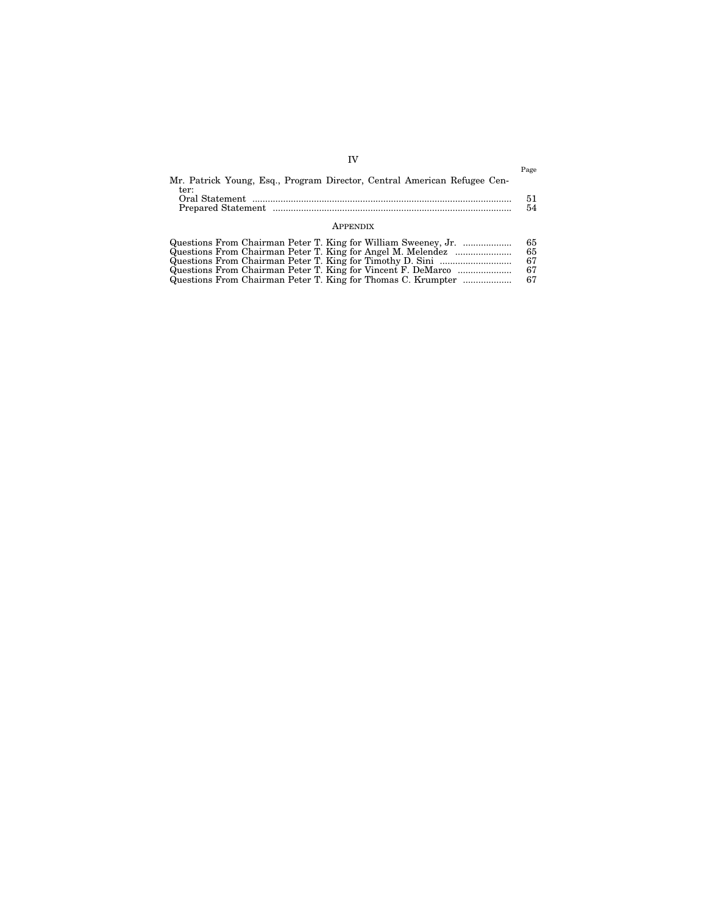| Mr. Patrick Young, Esq., Program Director, Central American Refugee Cen- | Page     |
|--------------------------------------------------------------------------|----------|
| ter:                                                                     | 51<br>54 |
| <b>APPENDIX</b>                                                          |          |

| Questions From Chairman Peter T. King for William Sweeney, Jr. | 65. |
|----------------------------------------------------------------|-----|
| Questions From Chairman Peter T. King for Angel M. Melendez    | 65. |
|                                                                | 67  |
| Questions From Chairman Peter T. King for Vincent F. DeMarco   | 67. |
| Questions From Chairman Peter T. King for Thomas C. Krumpter   | 67  |

IV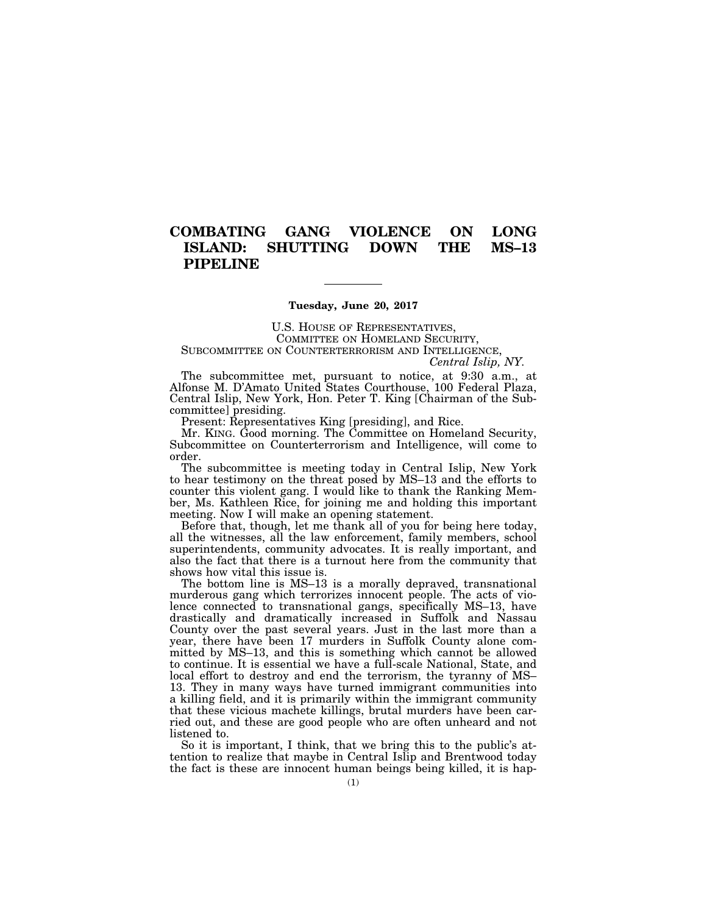# **COMBATING GANG VIOLENCE ON LONG ISLAND: SHUTTING DOWN THE MS–13 PIPELINE**

**Tuesday, June 20, 2017** 

U.S. HOUSE OF REPRESENTATIVES, COMMITTEE ON HOMELAND SECURITY, SUBCOMMITTEE ON COUNTERTERRORISM AND INTELLIGENCE, *Central Islip, NY.* 

The subcommittee met, pursuant to notice, at 9:30 a.m., at Alfonse M. D'Amato United States Courthouse, 100 Federal Plaza, Central Islip, New York, Hon. Peter T. King [Chairman of the Sub-

committee] presiding. Present: Representatives King [presiding], and Rice.

Mr. KING. Good morning. The Committee on Homeland Security, Subcommittee on Counterterrorism and Intelligence, will come to order.

The subcommittee is meeting today in Central Islip, New York to hear testimony on the threat posed by MS–13 and the efforts to counter this violent gang. I would like to thank the Ranking Member, Ms. Kathleen Rice, for joining me and holding this important meeting. Now I will make an opening statement.

Before that, though, let me thank all of you for being here today, all the witnesses, all the law enforcement, family members, school superintendents, community advocates. It is really important, and also the fact that there is a turnout here from the community that shows how vital this issue is.

The bottom line is MS–13 is a morally depraved, transnational murderous gang which terrorizes innocent people. The acts of violence connected to transnational gangs, specifically MS–13, have drastically and dramatically increased in Suffolk and Nassau County over the past several years. Just in the last more than a year, there have been 17 murders in Suffolk County alone committed by MS–13, and this is something which cannot be allowed to continue. It is essential we have a full-scale National, State, and local effort to destroy and end the terrorism, the tyranny of MS– 13. They in many ways have turned immigrant communities into a killing field, and it is primarily within the immigrant community that these vicious machete killings, brutal murders have been carried out, and these are good people who are often unheard and not listened to.

So it is important, I think, that we bring this to the public's attention to realize that maybe in Central Islip and Brentwood today the fact is these are innocent human beings being killed, it is hap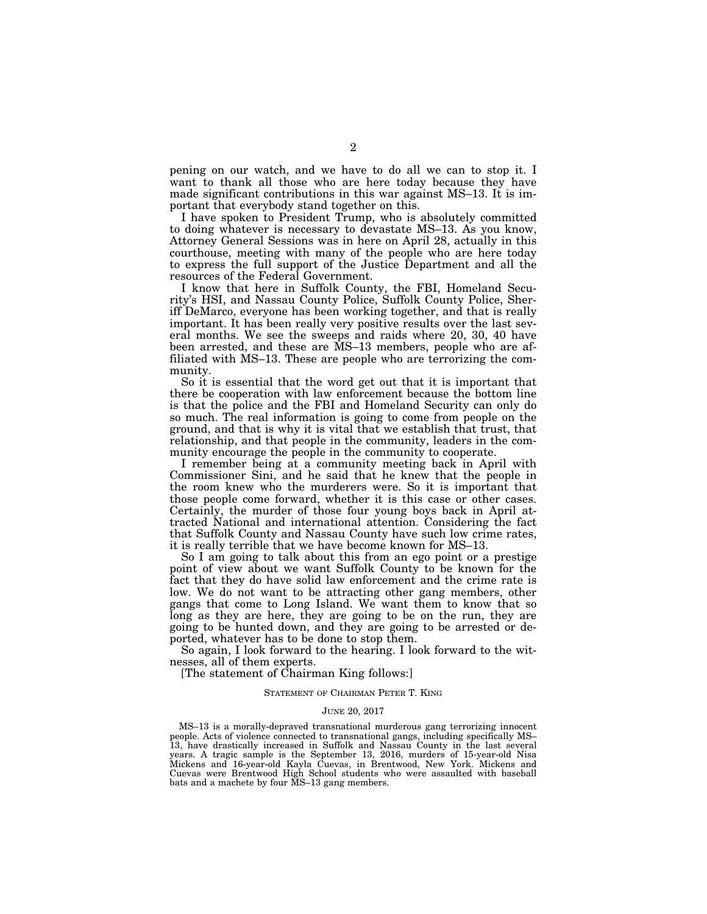pening on our watch, and we have to do all we can to stop it. I want to thank all those who are here today because they have made significant contributions in this war against MS–13. It is important that everybody stand together on this.

I have spoken to President Trump, who is absolutely committed to doing whatever is necessary to devastate MS–13. As you know, Attorney General Sessions was in here on April 28, actually in this courthouse, meeting with many of the people who are here today to express the full support of the Justice Department and all the resources of the Federal Government.

I know that here in Suffolk County, the FBI, Homeland Security's HSI, and Nassau County Police, Suffolk County Police, Sheriff DeMarco, everyone has been working together, and that is really important. It has been really very positive results over the last several months. We see the sweeps and raids where 20, 30, 40 have been arrested, and these are MS–13 members, people who are affiliated with MS–13. These are people who are terrorizing the community.

So it is essential that the word get out that it is important that there be cooperation with law enforcement because the bottom line is that the police and the FBI and Homeland Security can only do so much. The real information is going to come from people on the ground, and that is why it is vital that we establish that trust, that relationship, and that people in the community, leaders in the community encourage the people in the community to cooperate.

I remember being at a community meeting back in April with Commissioner Sini, and he said that he knew that the people in the room knew who the murderers were. So it is important that those people come forward, whether it is this case or other cases. Certainly, the murder of those four young boys back in April attracted National and international attention. Considering the fact that Suffolk County and Nassau County have such low crime rates, it is really terrible that we have become known for MS–13.

So I am going to talk about this from an ego point or a prestige point of view about we want Suffolk County to be known for the fact that they do have solid law enforcement and the crime rate is low. We do not want to be attracting other gang members, other gangs that come to Long Island. We want them to know that so long as they are here, they are going to be on the run, they are going to be hunted down, and they are going to be arrested or deported, whatever has to be done to stop them.

So again, I look forward to the hearing. I look forward to the witnesses, all of them experts.

[The statement of Chairman King follows:]

#### STATEMENT OF CHAIRMAN PETER T. KING

#### JUNE 20, 2017

MS–13 is a morally-depraved transnational murderous gang terrorizing innocent people. Acts of violence connected to transnational gangs, including specifically MS– 13, have drastically increased in Suffolk and Nassau County in the last several years. A tragic sample is the September 13, 2016, murders of 15-year-old Nisa Mickens and 16-year-old Kayla Cuevas, in Brentwood, New York. Mickens and Cuevas were Brentwood High School students who were assaulted with baseball bats and a machete by four MS–13 gang members.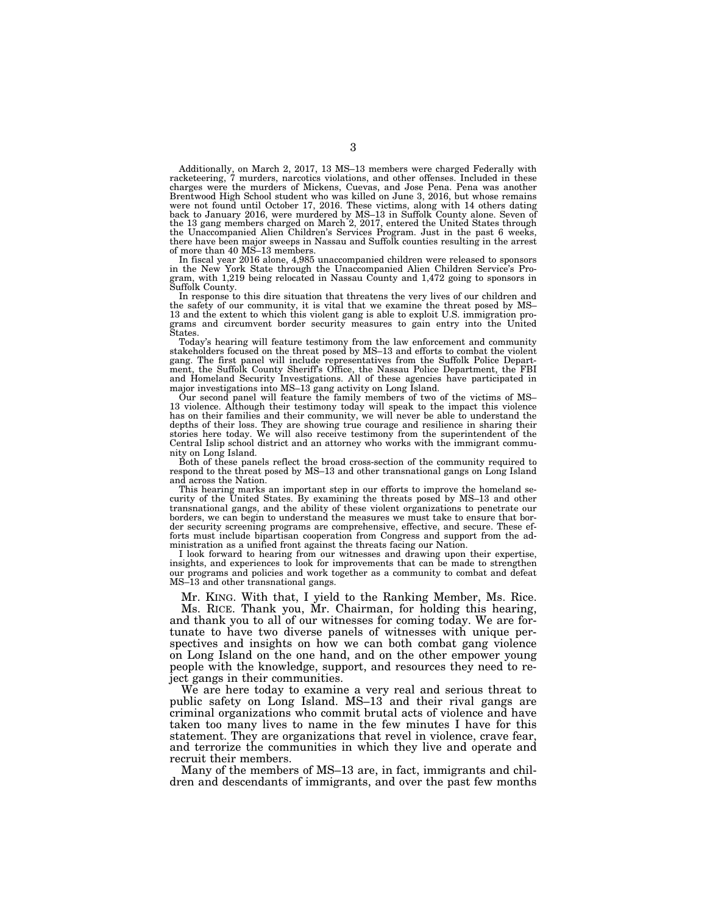Additionally, on March 2, 2017, 13 MS–13 members were charged Federally with racketeering, 7 murders, narcotics violations, and other offenses. Included in these charges were the murders of Mickens, Cuevas, and Jose Pena. Pena was another Brentwood High School student who was killed on June 3, 2016, but whose remains<br>were not found until October 17, 2016. These victims, along with 14 others dating<br>back to January 2016, were murdered by MS–13 in Suffolk Coun there have been major sweeps in Nassau and Suffolk counties resulting in the arrest of more than 40 MS–13 members.

In fiscal year 2016 alone, 4,985 unaccompanied children were released to sponsors in the New York State through the Unaccompanied Alien Children Service's Program, with 1,219 being relocated in Nassau County and 1,472 going to sponsors in Suffolk County.

In response to this dire situation that threatens the very lives of our children and the safety of our community, it is vital that we examine the threat posed by MS– 13 and the extent to which this violent gang is able to exploit U.S. immigration programs and circumvent border security measures to gain entry into the United States.

Today's hearing will feature testimony from the law enforcement and community stakeholders focused on the threat posed by MS–13 and efforts to combat the violent gang. The first panel will include representatives from the Suffolk Police Department, the Suffolk County Sheriff's Office, the Nassau Police Department, the FBI and Homeland Security Investigations. All of these agencies have participated in major investigations into MS–13 gang activity on Long Island.

Our second panel will feature the family members of two of the victims of MS– 13 violence. Although their testimony today will speak to the impact this violence has on their families and their community, we will never be able to understand the depths of their loss. They are showing true courage and resilience in sharing their stories here today. We will also receive testimony from the superintendent of the Central Islip school district and an attorney who works with the immigrant community on Long Island.

Both of these panels reflect the broad cross-section of the community required to respond to the threat posed by MS–13 and other transnational gangs on Long Island and across the Nation.

This hearing marks an important step in our efforts to improve the homeland security of the United States. By examining the threats posed by MS–13 and other transnational gangs, and the ability of these violent organizations to penetrate our borders, we can begin to understand the measures we must take to ensure that border security screening programs are comprehensive, effective, and secure. These efforts must include bipartisan cooperation from Congress and support from the administration as a unified front against the threats facing our Nation.

I look forward to hearing from our witnesses and drawing upon their expertise, insights, and experiences to look for improvements that can be made to strengthen our programs and policies and work together as a community to combat and defeat MS–13 and other transnational gangs.

Mr. KING. With that, I yield to the Ranking Member, Ms. Rice.

Ms. RICE. Thank you, Mr. Chairman, for holding this hearing, and thank you to all of our witnesses for coming today. We are fortunate to have two diverse panels of witnesses with unique perspectives and insights on how we can both combat gang violence on Long Island on the one hand, and on the other empower young people with the knowledge, support, and resources they need to reject gangs in their communities.

We are here today to examine a very real and serious threat to public safety on Long Island. MS–13 and their rival gangs are criminal organizations who commit brutal acts of violence and have taken too many lives to name in the few minutes I have for this statement. They are organizations that revel in violence, crave fear, and terrorize the communities in which they live and operate and recruit their members.

Many of the members of MS–13 are, in fact, immigrants and children and descendants of immigrants, and over the past few months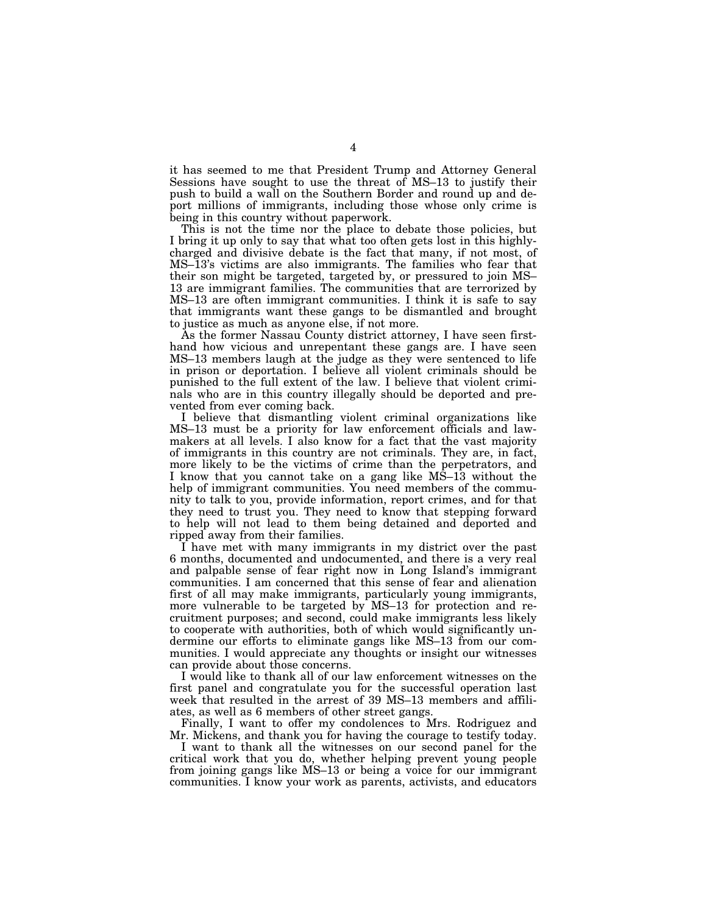it has seemed to me that President Trump and Attorney General Sessions have sought to use the threat of MS–13 to justify their push to build a wall on the Southern Border and round up and deport millions of immigrants, including those whose only crime is being in this country without paperwork.

This is not the time nor the place to debate those policies, but I bring it up only to say that what too often gets lost in this highlycharged and divisive debate is the fact that many, if not most, of MS–13's victims are also immigrants. The families who fear that their son might be targeted, targeted by, or pressured to join MS– 13 are immigrant families. The communities that are terrorized by MS–13 are often immigrant communities. I think it is safe to say that immigrants want these gangs to be dismantled and brought to justice as much as anyone else, if not more.

As the former Nassau County district attorney, I have seen firsthand how vicious and unrepentant these gangs are. I have seen MS–13 members laugh at the judge as they were sentenced to life in prison or deportation. I believe all violent criminals should be punished to the full extent of the law. I believe that violent criminals who are in this country illegally should be deported and prevented from ever coming back.

I believe that dismantling violent criminal organizations like MS–13 must be a priority for law enforcement officials and lawmakers at all levels. I also know for a fact that the vast majority of immigrants in this country are not criminals. They are, in fact, more likely to be the victims of crime than the perpetrators, and I know that you cannot take on a gang like MS–13 without the help of immigrant communities. You need members of the community to talk to you, provide information, report crimes, and for that they need to trust you. They need to know that stepping forward to help will not lead to them being detained and deported and ripped away from their families.

I have met with many immigrants in my district over the past 6 months, documented and undocumented, and there is a very real and palpable sense of fear right now in Long Island's immigrant communities. I am concerned that this sense of fear and alienation first of all may make immigrants, particularly young immigrants, more vulnerable to be targeted by MS–13 for protection and recruitment purposes; and second, could make immigrants less likely to cooperate with authorities, both of which would significantly undermine our efforts to eliminate gangs like MS–13 from our communities. I would appreciate any thoughts or insight our witnesses can provide about those concerns.

I would like to thank all of our law enforcement witnesses on the first panel and congratulate you for the successful operation last week that resulted in the arrest of 39 MS–13 members and affiliates, as well as 6 members of other street gangs.

Finally, I want to offer my condolences to Mrs. Rodriguez and Mr. Mickens, and thank you for having the courage to testify today.

I want to thank all the witnesses on our second panel for the critical work that you do, whether helping prevent young people from joining gangs like MS–13 or being a voice for our immigrant communities. I know your work as parents, activists, and educators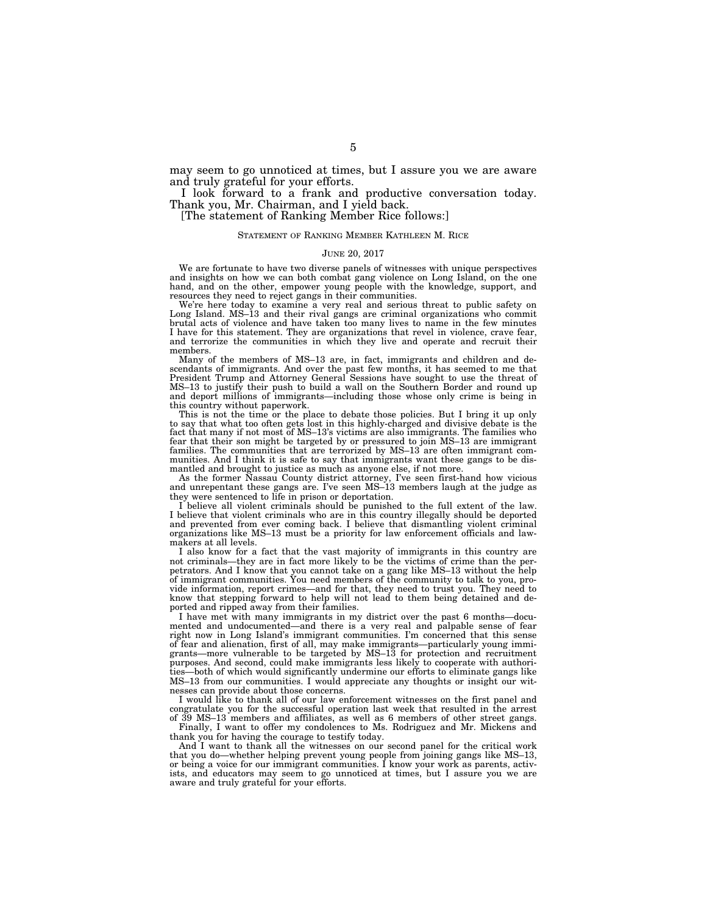may seem to go unnoticed at times, but I assure you we are aware and truly grateful for your efforts.

I look forward to a frank and productive conversation today. Thank you, Mr. Chairman, and I yield back.

[The statement of Ranking Member Rice follows:]

#### STATEMENT OF RANKING MEMBER KATHLEEN M. RICE

#### JUNE 20, 2017

We are fortunate to have two diverse panels of witnesses with unique perspectives and insights on how we can both combat gang violence on Long Island, on the one hand, and on the other, empower young people with the knowledge, support, and resources they need to reject gangs in their communities.

We're here today to examine a very real and serious threat to public safety on Long Island. MS–13 and their rival gangs are criminal organizations who commit brutal acts of violence and have taken too many lives to name in the few minutes I have for this statement. They are organizations that revel in violence, crave fear, and terrorize the communities in which they live and operate and recruit their members.

Many of the members of MS–13 are, in fact, immigrants and children and descendants of immigrants. And over the past few months, it has seemed to me that President Trump and Attorney General Sessions have sought to use the threat of MS–13 to justify their push to build a wall on the Southern Border and round up and deport millions of immigrants—including those whose only crime is being in this country without paperwork.

This is not the time or the place to debate those policies. But I bring it up only to say that what too often gets lost in this highly-charged and divisive debate is the fact that many if not most of MS–13's victims are also immigrants. The families who fear that their son might be targeted by or pressured to join MS–13 are immigrant families. The communities that are terrorized by MS–13 are often immigrant communities. And I think it is safe to say that immigrants want these gangs to be dismantled and brought to justice as much as anyone else, if not more.

As the former Nassau County district attorney, I've seen first-hand how vicious and unrepentant these gangs are. I've seen MS–13 members laugh at the judge as they were sentenced to life in prison or deportation.

I believe all violent criminals should be punished to the full extent of the law. I believe that violent criminals who are in this country illegally should be deported and prevented from ever coming back. I believe that dismantling violent criminal organizations like MS–13 must be a priority for law enforcement officials and lawmakers at all levels.

I also know for a fact that the vast majority of immigrants in this country are not criminals—they are in fact more likely to be the victims of crime than the perpetrators. And I know that you cannot take on a gang like MS–13 without the help of immigrant communities. You need members of the community to talk to you, provide information, report crimes—and for that, they need to trust you. They need to know that stepping forward to help will not lead to them being detained and deported and ripped away from their families.

I have met with many immigrants in my district over the past 6 months—documented and undocumented—and there is a very real and palpable sense of fear right now in Long Island's immigrant communities. I'm concerned that this sense of fear and alienation, first of all, may make immigrants—particularly young immigrants—more vulnerable to be targeted by MS–13 for protection and recruitment purposes. And second, could make immigrants less likely to cooperate with authorities—both of which would significantly undermine our efforts to eliminate gangs like MS–13 from our communities. I would appreciate any thoughts or insight our witnesses can provide about those concerns.

I would like to thank all of our law enforcement witnesses on the first panel and congratulate you for the successful operation last week that resulted in the arrest of 39 MS–13 members and affiliates, as well as 6 members of other street gangs.

Finally, I want to offer my condolences to Ms. Rodriguez and Mr. Mickens and thank you for having the courage to testify today.

And I want to thank all the witnesses on our second panel for the critical work that you do—whether helping prevent young people from joining gangs like MS–13, or being a voice for our immigrant communities. I know your work as parents, activists, and educators may seem to go unnoticed at times, but I assure you we are aware and truly grateful for your efforts.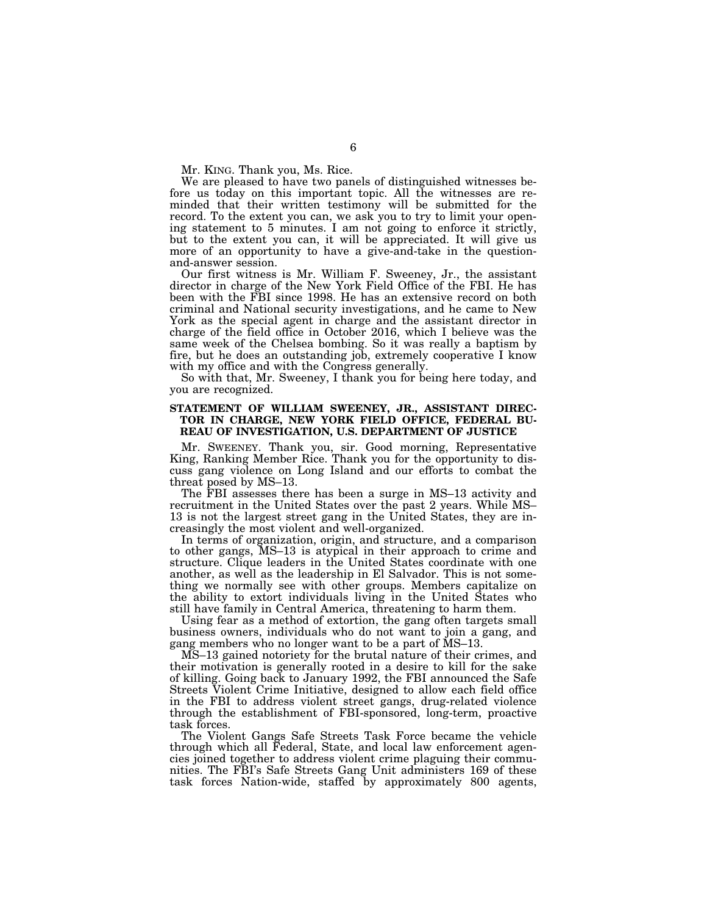Mr. KING. Thank you, Ms. Rice.

We are pleased to have two panels of distinguished witnesses before us today on this important topic. All the witnesses are reminded that their written testimony will be submitted for the record. To the extent you can, we ask you to try to limit your opening statement to 5 minutes. I am not going to enforce it strictly, but to the extent you can, it will be appreciated. It will give us more of an opportunity to have a give-and-take in the questionand-answer session.

Our first witness is Mr. William F. Sweeney, Jr., the assistant director in charge of the New York Field Office of the FBI. He has been with the FBI since 1998. He has an extensive record on both criminal and National security investigations, and he came to New York as the special agent in charge and the assistant director in charge of the field office in October 2016, which I believe was the same week of the Chelsea bombing. So it was really a baptism by fire, but he does an outstanding job, extremely cooperative I know with my office and with the Congress generally.

So with that, Mr. Sweeney, I thank you for being here today, and you are recognized.

## **STATEMENT OF WILLIAM SWEENEY, JR., ASSISTANT DIREC-TOR IN CHARGE, NEW YORK FIELD OFFICE, FEDERAL BU-REAU OF INVESTIGATION, U.S. DEPARTMENT OF JUSTICE**

Mr. SWEENEY. Thank you, sir. Good morning, Representative King, Ranking Member Rice. Thank you for the opportunity to discuss gang violence on Long Island and our efforts to combat the threat posed by MS–13.

The FBI assesses there has been a surge in MS–13 activity and recruitment in the United States over the past 2 years. While MS– 13 is not the largest street gang in the United States, they are increasingly the most violent and well-organized.

In terms of organization, origin, and structure, and a comparison to other gangs, MS–13 is atypical in their approach to crime and structure. Clique leaders in the United States coordinate with one another, as well as the leadership in El Salvador. This is not something we normally see with other groups. Members capitalize on the ability to extort individuals living in the United States who still have family in Central America, threatening to harm them.

Using fear as a method of extortion, the gang often targets small business owners, individuals who do not want to join a gang, and gang members who no longer want to be a part of MS–13.

MS–13 gained notoriety for the brutal nature of their crimes, and their motivation is generally rooted in a desire to kill for the sake of killing. Going back to January 1992, the FBI announced the Safe Streets Violent Crime Initiative, designed to allow each field office in the FBI to address violent street gangs, drug-related violence through the establishment of FBI-sponsored, long-term, proactive task forces.

The Violent Gangs Safe Streets Task Force became the vehicle through which all Federal, State, and local law enforcement agencies joined together to address violent crime plaguing their communities. The FBI's Safe Streets Gang Unit administers 169 of these task forces Nation-wide, staffed by approximately 800 agents,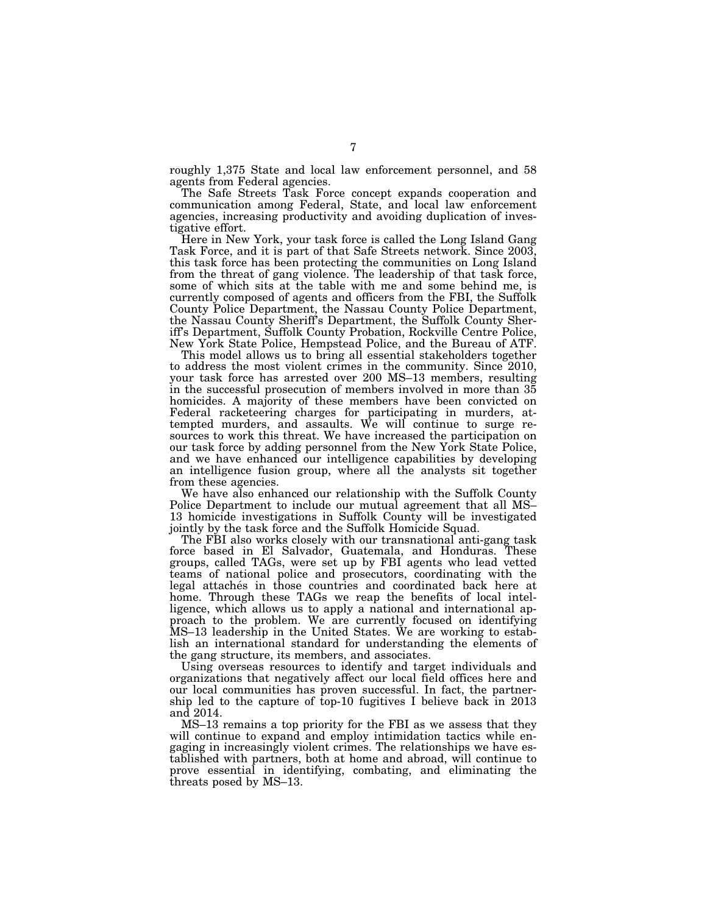roughly 1,375 State and local law enforcement personnel, and 58 agents from Federal agencies.

The Safe Streets Task Force concept expands cooperation and communication among Federal, State, and local law enforcement agencies, increasing productivity and avoiding duplication of investigative effort.

Here in New York, your task force is called the Long Island Gang Task Force, and it is part of that Safe Streets network. Since 2003, this task force has been protecting the communities on Long Island from the threat of gang violence. The leadership of that task force, some of which sits at the table with me and some behind me, is currently composed of agents and officers from the FBI, the Suffolk County Police Department, the Nassau County Police Department, the Nassau County Sheriff's Department, the Suffolk County Sheriff's Department, Suffolk County Probation, Rockville Centre Police, New York State Police, Hempstead Police, and the Bureau of ATF.

This model allows us to bring all essential stakeholders together to address the most violent crimes in the community. Since 2010, your task force has arrested over 200 MS–13 members, resulting in the successful prosecution of members involved in more than 35 homicides. A majority of these members have been convicted on Federal racketeering charges for participating in murders, attempted murders, and assaults. We will continue to surge resources to work this threat. We have increased the participation on our task force by adding personnel from the New York State Police, and we have enhanced our intelligence capabilities by developing an intelligence fusion group, where all the analysts sit together from these agencies.

We have also enhanced our relationship with the Suffolk County Police Department to include our mutual agreement that all MS– 13 homicide investigations in Suffolk County will be investigated jointly by the task force and the Suffolk Homicide Squad.

The FBI also works closely with our transnational anti-gang task force based in El Salvador, Guatemala, and Honduras. These groups, called TAGs, were set up by FBI agents who lead vetted teams of national police and prosecutors, coordinating with the legal attaches in those countries and coordinated back here at home. Through these TAGs we reap the benefits of local intelligence, which allows us to apply a national and international approach to the problem. We are currently focused on identifying MS–13 leadership in the United States. We are working to establish an international standard for understanding the elements of the gang structure, its members, and associates.

Using overseas resources to identify and target individuals and organizations that negatively affect our local field offices here and our local communities has proven successful. In fact, the partnership led to the capture of top-10 fugitives I believe back in 2013 and 2014.

MS–13 remains a top priority for the FBI as we assess that they will continue to expand and employ intimidation tactics while engaging in increasingly violent crimes. The relationships we have established with partners, both at home and abroad, will continue to prove essential in identifying, combating, and eliminating the threats posed by MS–13.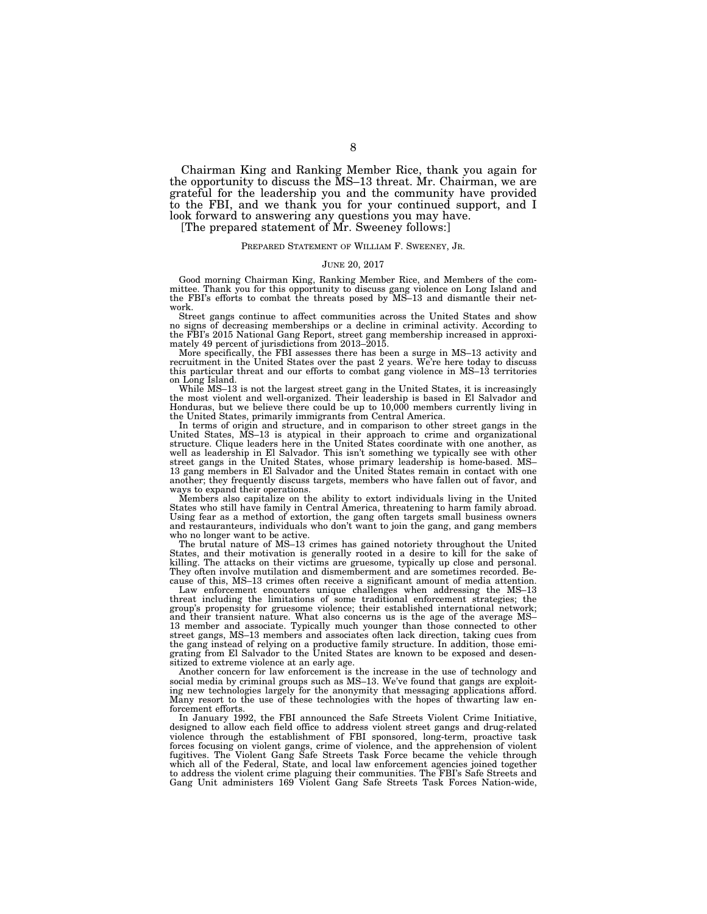Chairman King and Ranking Member Rice, thank you again for the opportunity to discuss the MS–13 threat. Mr. Chairman, we are grateful for the leadership you and the community have provided to the FBI, and we thank you for your continued support, and I look forward to answering any questions you may have.

[The prepared statement of Mr. Sweeney follows:]

#### PREPARED STATEMENT OF WILLIAM F. SWEENEY, JR.

#### JUNE 20, 2017

Good morning Chairman King, Ranking Member Rice, and Members of the committee. Thank you for this opportunity to discuss gang violence on Long Island and the FBI's efforts to combat the threats posed by MS–13 and dismantle their network.

Street gangs continue to affect communities across the United States and show no signs of decreasing memberships or a decline in criminal activity. According to the FBI's 2015 National Gang Report, street gang membership increased in approximately 49 percent of jurisdictions from 2013–2015.

More specifically, the FBI assesses there has been a surge in MS–13 activity and recruitment in the United States over the past 2 years. We're here today to discuss this particular threat and our efforts to combat gang violence in MS–13 territories on Long Island.

While MS–13 is not the largest street gang in the United States, it is increasingly the most violent and well-organized. Their leadership is based in El Salvador and Honduras, but we believe there could be up to 10,000 members currently living in the United States, primarily immigrants from Central America.

In terms of origin and structure, and in comparison to other street gangs in the United States, MS–13 is atypical in their approach to crime and organizational structure. Clique leaders here in the United States coordinate with one another, as well as leadership in El Salvador. This isn't something we typically see with other street gangs in the United States, whose primary leadership is home-based. MS– 13 gang members in El Salvador and the United States remain in contact with one another; they frequently discuss targets, members who have fallen out of favor, and ways to expand their operations.

Members also capitalize on the ability to extort individuals living in the United States who still have family in Central America, threatening to harm family abroad. Using fear as a method of extortion, the gang often targets small business owners and restauranteurs, individuals who don't want to join the gang, and gang members who no longer want to be active.

The brutal nature of MS–13 crimes has gained notoriety throughout the United States, and their motivation is generally rooted in a desire to kill for the sake of killing. The attacks on their victims are gruesome, typically up close and personal. They often involve mutilation and dismemberment and are sometimes recorded. Because of this, MS–13 crimes often receive a significant amount of media attention.

Law enforcement encounters unique challenges when addressing the MS–13 threat including the limitations of some traditional enforcement strategies; the group's propensity for gruesome violence; their established international network; and their transient nature. What also concerns us is the age of the average MS– 13 member and associate. Typically much younger than those connected to other street gangs, MS–13 members and associates often lack direction, taking cues from the gang instead of relying on a productive family structure. In addition, those emigrating from El Salvador to the United States are known to be exposed and desensitized to extreme violence at an early age.

Another concern for law enforcement is the increase in the use of technology and social media by criminal groups such as MS–13. We've found that gangs are exploiting new technologies largely for the anonymity that messaging applications afford. Many resort to the use of these technologies with the hopes of thwarting law enforcement efforts.

In January 1992, the FBI announced the Safe Streets Violent Crime Initiative, designed to allow each field office to address violent street gangs and drug-related violence through the establishment of FBI sponsored, long-term, proactive task forces focusing on violent gangs, crime of violence, and the apprehension of violent fugitives. The Violent Gang Safe Streets Task Force became the vehicle through which all of the Federal, State, and local law enforcement agencies joined together to address the violent crime plaguing their communities. The FBI's Safe Streets and Gang Unit administers 169 Violent Gang Safe Streets Task Forces Nation-wide,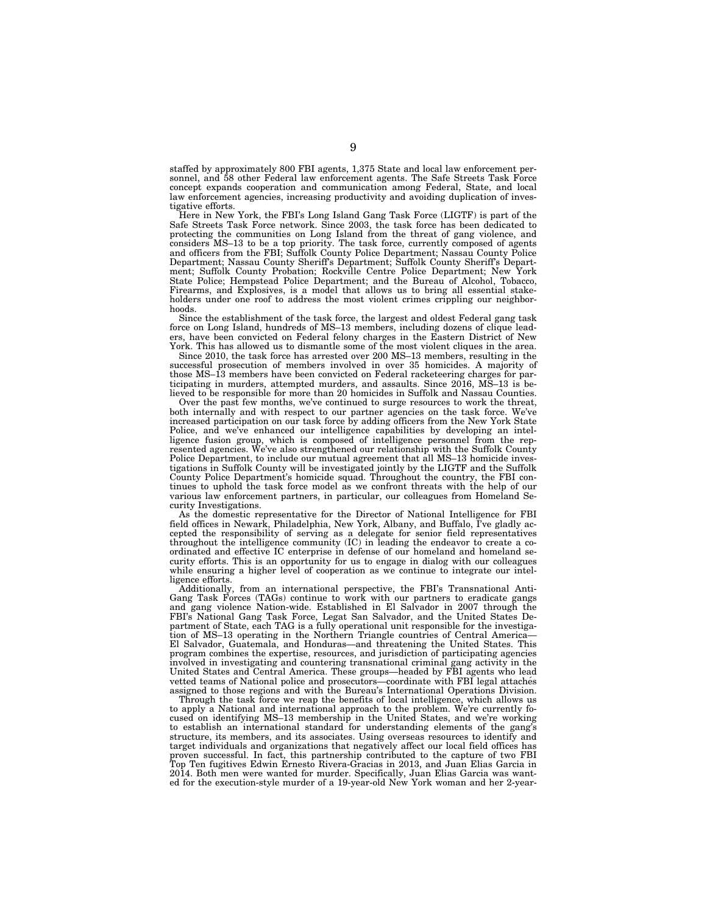staffed by approximately 800 FBI agents, 1,375 State and local law enforcement personnel, and 58 other Federal law enforcement agents. The Safe Streets Task Force concept expands cooperation and communication among Federal, State, and local law enforcement agencies, increasing productivity and avoiding duplication of investigative efforts.

Here in New York, the FBI's Long Island Gang Task Force (LIGTF) is part of the Safe Streets Task Force network. Since 2003, the task force has been dedicated to protecting the communities on Long Island from the threat of gang violence, and considers MS–13 to be a top priority. The task force, currently composed of agents and officers from the FBI; Suffolk County Police Department; Nassau County Police Department; Nassau County Sheriff's Department; Suffolk County Sheriff's Department; Suffolk County Probation; Rockville Centre Police Department; New York State Police; Hempstead Police Department; and the Bureau of Alcohol, Tobacco, Firearms, and Explosives, is a model that allows us to bring all essential stakeholders under one roof to address the most violent crimes crippling our neighborhoods.

Since the establishment of the task force, the largest and oldest Federal gang task force on Long Island, hundreds of MS–13 members, including dozens of clique leaders, have been convicted on Federal felony charges in the Eastern District of New York. This has allowed us to dismantle some of the most violent cliques in the area.

Since 2010, the task force has arrested over 200 MS–13 members, resulting in the successful prosecution of members involved in over 35 homicides. A majority of those MS–13 members have been convicted on Federal racketeering charges for participating in murders, attempted murders, and assaults. Since 2016, MS–13 is believed to be responsible for more than 20 homicides in Suffolk and Nassau Counties.

Over the past few months, we've continued to surge resources to work the threat, both internally and with respect to our partner agencies on the task force. We've increased participation on our task force by adding officers from the New York State Police, and we've enhanced our intelligence capabilities by developing an intelligence fusion group, which is composed of intelligence personnel from the represented agencies. We've also strengthened our relationship with the Suffolk County Police Department, to include our mutual agreement that all MS-13 homicide investigations in Suffolk County will be investigated jointly by the LIGTF and the Suffolk County Police Department's homicide squad. Throughout the country, the FBI continues to uphold the task force model as we confront threats with the help of our various law enforcement partners, in particular, our colleagues from Homeland Security Investigations.

As the domestic representative for the Director of National Intelligence for FBI field offices in Newark, Philadelphia, New York, Albany, and Buffalo, I've gladly accepted the responsibility of serving as a delegate for senior field representatives throughout the intelligence community (IC) in leading the endeavor to create a coordinated and effective IC enterprise in defense of our homeland and homeland security efforts. This is an opportunity for us to engage in dialog with our colleagues while ensuring a higher level of cooperation as we continue to integrate our intelligence efforts.

Additionally, from an international perspective, the FBI's Transnational Anti-Gang Task Forces (TAGs) continue to work with our partners to eradicate gangs and gang violence Nation-wide. Established in El Salvador in 2007 through the FBI's National Gang Task Force, Legat San Salvador, and the United States Department of State, each TAG is a fully operational unit responsible for the investigation of MS–13 operating in the Northern Triangle countries of Central America— El Salvador, Guatemala, and Honduras—and threatening the United States. This program combines the expertise, resources, and jurisdiction of participating agencies involved in investigating and countering transnational criminal gang activity in the United States and Central America. These groups—headed by FBI agents who lead vetted teams of National police and prosecutors—coordinate with FBI legal attaches assigned to those regions and with the Bureau's International Operations Division.

Through the task force we reap the benefits of local intelligence, which allows us to apply a National and international approach to the problem. We're currently focused on identifying MS–13 membership in the United States, and we're working to establish an international standard for understanding elements of the gang's structure, its members, and its associates. Using overseas resources to identify and target individuals and organizations that negatively affect our local field offices has proven successful. In fact, this partnership contributed to the capture of two FBI<br>Top Ten fugitives F-lumin Function Time of two FBI Top Ten fugitives Edwin Ernesto Rivera-Gracias in 2013, and Juan Elias Garcia in 2014. Both men were wanted for murder. Specifically, Juan Elias Garcia was wanted for the execution-style murder of a 19-year-old New York woman and her 2-year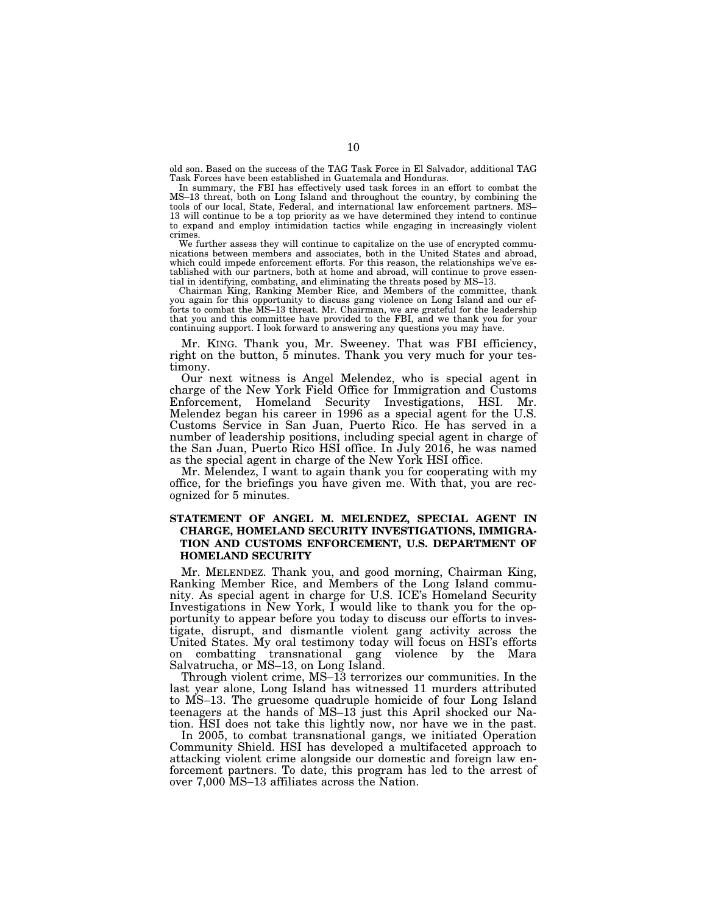old son. Based on the success of the TAG Task Force in El Salvador, additional TAG Task Forces have been established in Guatemala and Honduras.

In summary, the FBI has effectively used task forces in an effort to combat the MS–13 threat, both on Long Island and throughout the country, by combining the tools of our local, State, Federal, and international law enforcement partners. MS– 13 will continue to be a top priority as we have determined they intend to continue to expand and employ intimidation tactics while engaging in increasingly violent crimes.

We further assess they will continue to capitalize on the use of encrypted communications between members and associates, both in the United States and abroad, which could impede enforcement efforts. For this reason, the relationships we've established with our partners, both at home and abroad, will continue to prove essential in identifying, combating, and eliminating the threats posed by MS–13.

Chairman King, Ranking Member Rice, and Members of the committee, thank you again for this opportunity to discuss gang violence on Long Island and our efforts to combat the MS-13 threat. Mr. Chairman, we are grateful for the leadership that you and this committee have provided to the FBI, and we thank you for your continuing support. I look forward to answering any questions you may have.

Mr. KING. Thank you, Mr. Sweeney. That was FBI efficiency, right on the button, 5 minutes. Thank you very much for your testimony.

Our next witness is Angel Melendez, who is special agent in charge of the New York Field Office for Immigration and Customs Enforcement, Homeland Security Investigations, HSI. Mr. Melendez began his career in 1996 as a special agent for the U.S. Customs Service in San Juan, Puerto Rico. He has served in a number of leadership positions, including special agent in charge of the San Juan, Puerto Rico HSI office. In July 2016, he was named as the special agent in charge of the New York HSI office.

Mr. Melendez, I want to again thank you for cooperating with my office, for the briefings you have given me. With that, you are recognized for 5 minutes.

# **STATEMENT OF ANGEL M. MELENDEZ, SPECIAL AGENT IN CHARGE, HOMELAND SECURITY INVESTIGATIONS, IMMIGRA-TION AND CUSTOMS ENFORCEMENT, U.S. DEPARTMENT OF HOMELAND SECURITY**

Mr. MELENDEZ. Thank you, and good morning, Chairman King, Ranking Member Rice, and Members of the Long Island community. As special agent in charge for U.S. ICE's Homeland Security Investigations in New York, I would like to thank you for the opportunity to appear before you today to discuss our efforts to investigate, disrupt, and dismantle violent gang activity across the United States. My oral testimony today will focus on HSI's efforts on combatting transnational gang violence by the Mara Salvatrucha, or MS–13, on Long Island.

Through violent crime, MS–13 terrorizes our communities. In the last year alone, Long Island has witnessed 11 murders attributed to MS–13. The gruesome quadruple homicide of four Long Island teenagers at the hands of MS–13 just this April shocked our Nation. HSI does not take this lightly now, nor have we in the past.

In 2005, to combat transnational gangs, we initiated Operation Community Shield. HSI has developed a multifaceted approach to attacking violent crime alongside our domestic and foreign law enforcement partners. To date, this program has led to the arrest of over 7,000 MS–13 affiliates across the Nation.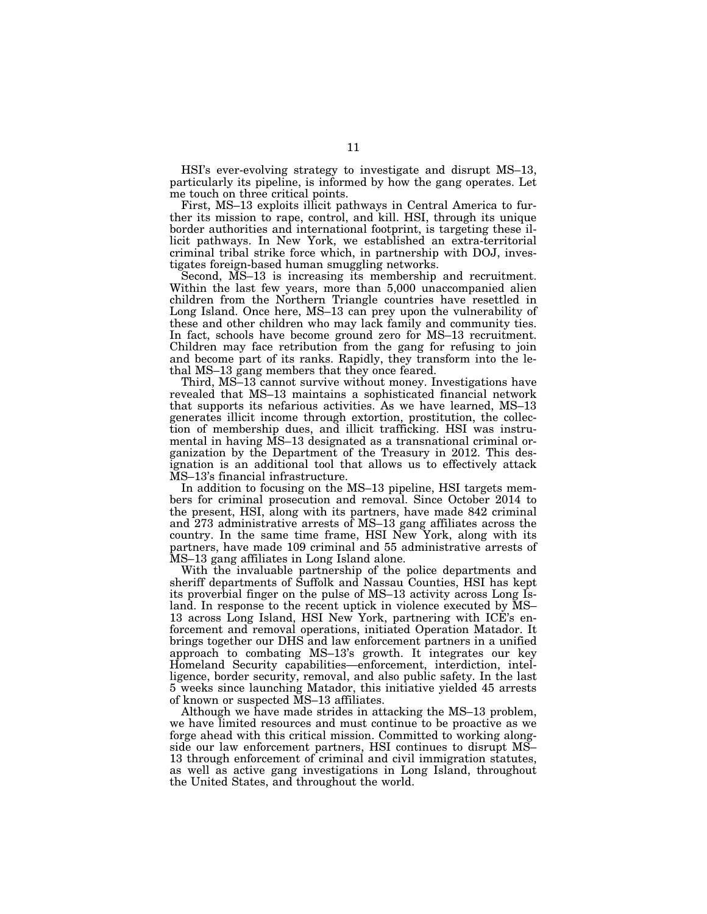HSI's ever-evolving strategy to investigate and disrupt MS–13, particularly its pipeline, is informed by how the gang operates. Let me touch on three critical points.

First, MS–13 exploits illicit pathways in Central America to further its mission to rape, control, and kill. HSI, through its unique border authorities and international footprint, is targeting these illicit pathways. In New York, we established an extra-territorial criminal tribal strike force which, in partnership with DOJ, investigates foreign-based human smuggling networks.

Second, MS–13 is increasing its membership and recruitment. Within the last few years, more than 5,000 unaccompanied alien children from the Northern Triangle countries have resettled in Long Island. Once here, MS–13 can prey upon the vulnerability of these and other children who may lack family and community ties. In fact, schools have become ground zero for MS–13 recruitment. Children may face retribution from the gang for refusing to join and become part of its ranks. Rapidly, they transform into the lethal MS–13 gang members that they once feared.

Third, MS–13 cannot survive without money. Investigations have revealed that MS–13 maintains a sophisticated financial network that supports its nefarious activities. As we have learned, MS–13 generates illicit income through extortion, prostitution, the collection of membership dues, and illicit trafficking. HSI was instrumental in having MS–13 designated as a transnational criminal organization by the Department of the Treasury in 2012. This designation is an additional tool that allows us to effectively attack MS–13's financial infrastructure.

In addition to focusing on the MS–13 pipeline, HSI targets members for criminal prosecution and removal. Since October 2014 to the present, HSI, along with its partners, have made 842 criminal and 273 administrative arrests of MS–13 gang affiliates across the country. In the same time frame, HSI New York, along with its partners, have made 109 criminal and 55 administrative arrests of MS–13 gang affiliates in Long Island alone.

With the invaluable partnership of the police departments and sheriff departments of Suffolk and Nassau Counties, HSI has kept its proverbial finger on the pulse of MS–13 activity across Long Island. In response to the recent uptick in violence executed by MS– 13 across Long Island, HSI New York, partnering with ICE's enforcement and removal operations, initiated Operation Matador. It brings together our DHS and law enforcement partners in a unified approach to combating MS–13's growth. It integrates our key Homeland Security capabilities—enforcement, interdiction, intelligence, border security, removal, and also public safety. In the last 5 weeks since launching Matador, this initiative yielded 45 arrests of known or suspected MS–13 affiliates.

Although we have made strides in attacking the MS–13 problem, we have limited resources and must continue to be proactive as we forge ahead with this critical mission. Committed to working alongside our law enforcement partners, HSI continues to disrupt MS– 13 through enforcement of criminal and civil immigration statutes, as well as active gang investigations in Long Island, throughout the United States, and throughout the world.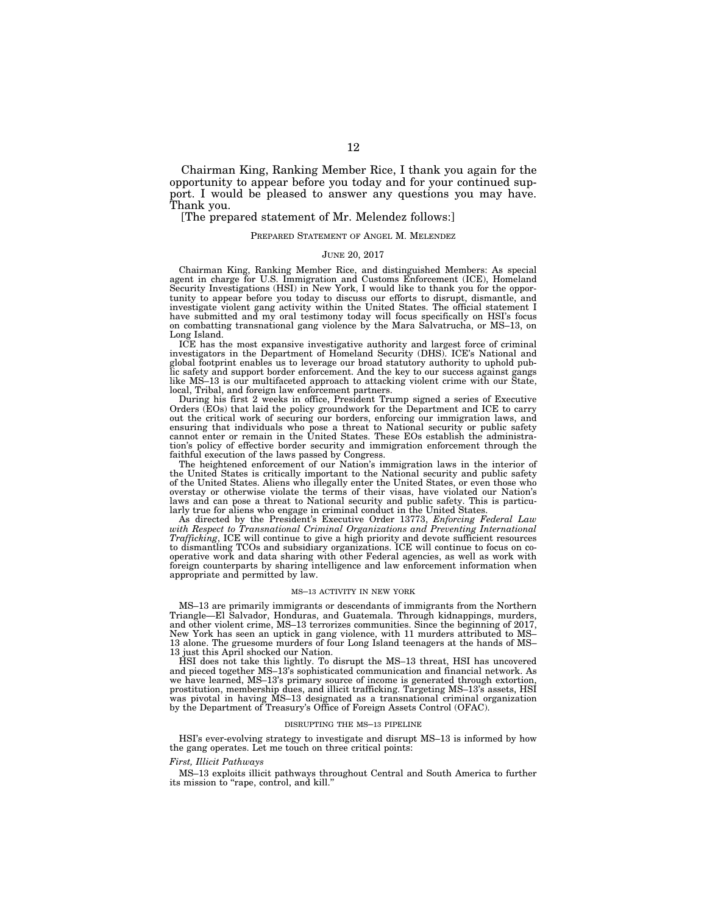Chairman King, Ranking Member Rice, I thank you again for the opportunity to appear before you today and for your continued support. I would be pleased to answer any questions you may have. Thank you.

### [The prepared statement of Mr. Melendez follows:]

#### PREPARED STATEMENT OF ANGEL M. MELENDEZ

#### JUNE 20, 2017

Chairman King, Ranking Member Rice, and distinguished Members: As special agent in charge for U.S. Immigration and Customs Enforcement (ICE), Homeland Security Investigations (HSI) in New York, I would like to thank you for the opportunity to appear before you today to discuss our efforts to disrupt, dismantle, and investigate violent gang activity within the United States. The official statement I have submitted and my oral testimony today will focus specifically on HSI's focus on combatting transnational gang violence by the Mara Salvatrucha, or MS–13, on Long Island.

ICE has the most expansive investigative authority and largest force of criminal investigators in the Department of Homeland Security (DHS). ICE's National and global footprint enables us to leverage our broad statutory authority to uphold public safety and support border enforcement. And the key to our success against gangs like MS–13 is our multifaceted approach to attacking violent crime with our State, local, Tribal, and foreign law enforcement partners.

During his first 2 weeks in office, President Trump signed a series of Executive Orders (EOs) that laid the policy groundwork for the Department and ICE to carry out the critical work of securing our borders, enforcing our immigration laws, and ensuring that individuals who pose a threat to National security or public safety cannot enter or remain in the United States. These EOs establish the administration's policy of effective border security and immigration enforcement through the faithful execution of the laws passed by Congress.

The heightened enforcement of our Nation's immigration laws in the interior of the United States is critically important to the National security and public safety of the United States. Aliens who illegally enter the United States, or even those who overstay or otherwise violate the terms of their visas, have violated our Nation's laws and can pose a threat to National security and public safety. This is particularly true for aliens who engage in criminal conduct in the United States.

As directed by the President's Executive Order 13773, *Enforcing Federal Law*  with Respect to Transnational Criminal Organizations and Preventing International *Trafficking*, ICE will continue to give a high priority and devote sufficient resources to dismantling TCOs and subsidiary organizations. ICE will continue to focus on cooperative work and data sharing with other Federal agencies, as well as work with foreign counterparts by sharing intelligence and law enforcement information when appropriate and permitted by law.

#### MS–13 ACTIVITY IN NEW YORK

MS–13 are primarily immigrants or descendants of immigrants from the Northern Triangle—El Salvador, Honduras, and Guatemala. Through kidnappings, murders, and other violent crime, MS–13 terrorizes communities. Since the beginning of 2017, New York has seen an uptick in gang violence, with 11 murders attributed to MS– 13 alone. The gruesome murders of four Long Island teenagers at the hands of MS– 13 just this April shocked our Nation.

HSI does not take this lightly. To disrupt the MS–13 threat, HSI has uncovered and pieced together MS–13's sophisticated communication and financial network. As we have learned, MS–13's primary source of income is generated through extortion, prostitution, membership dues, and illicit trafficking. Targeting MS–13's assets, HSI was pivotal in having MS–13 designated as a transnational criminal organization by the Department of Treasury's Office of Foreign Assets Control (OFAC).

#### DISRUPTING THE MS–13 PIPELINE

HSI's ever-evolving strategy to investigate and disrupt MS–13 is informed by how the gang operates. Let me touch on three critical points:

#### *First, Illicit Pathways*

MS–13 exploits illicit pathways throughout Central and South America to further its mission to "rape, control, and kill."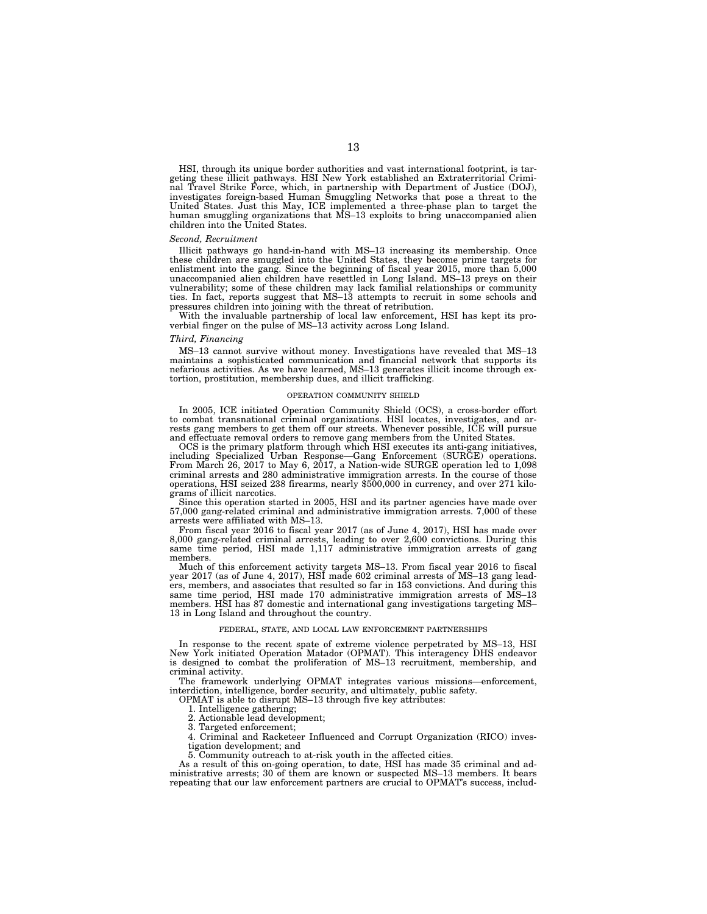HSI, through its unique border authorities and vast international footprint, is targeting these illicit pathways. HSI New York established an Extraterritorial Criminal Travel Strike Force, which, in partnership with Department of Justice (DOJ), investigates foreign-based Human Smuggling Networks that pose a threat to the United States. Just this May, ICE implemented a three-phase plan to target the human smuggling organizations that MS–13 exploits to bring unaccompanied alien children into the United States.

#### *Second, Recruitment*

Illicit pathways go hand-in-hand with MS–13 increasing its membership. Once these children are smuggled into the United States, they become prime targets for enlistment into the gang. Since the beginning of fiscal year 2015, more than 5,000 unaccompanied alien children have resettled in Long Island. MS–13 preys on their vulnerability; some of these children may lack familial relationships or community ties. In fact, reports suggest that MS–13 attempts to recruit in some schools and pressures children into joining with the threat of retribution.

With the invaluable partnership of local law enforcement, HSI has kept its proverbial finger on the pulse of MS–13 activity across Long Island.

#### *Third, Financing*

MS–13 cannot survive without money. Investigations have revealed that MS–13 maintains a sophisticated communication and financial network that supports its nefarious activities. As we have learned, MS–13 generates illicit income through extortion, prostitution, membership dues, and illicit trafficking.

#### OPERATION COMMUNITY SHIELD

In 2005, ICE initiated Operation Community Shield (OCS), a cross-border effort to combat transnational criminal organizations. HSI locates, investigates, and arrests gang members to get them off our streets. Whenever possible, ICE will pursue and effectuate removal orders to remove gang members from the United States.

OCS is the primary platform through which HSI executes its anti-gang initiatives, including Specialized Urban Response—Gang Enforcement (SURGE) operations. From March 26, 2017 to May 6, 2017, a Nation-wide SURGE operation led to 1,098 criminal arrests and 280 administrative immigration arrests. In the course of those operations, HSI seized 238 firearms, nearly \$500,000 in currency, and over 271 kilograms of illicit narcotics.

Since this operation started in 2005, HSI and its partner agencies have made over 57,000 gang-related criminal and administrative immigration arrests. 7,000 of these arrests were affiliated with MS–13.

From fiscal year 2016 to fiscal year 2017 (as of June 4, 2017), HSI has made over 8,000 gang-related criminal arrests, leading to over 2,600 convictions. During this same time period, HSI made 1,117 administrative immigration arrests of gang members.

Much of this enforcement activity targets MS–13. From fiscal year 2016 to fiscal year 2017 (as of June 4, 2017), HSI made 602 criminal arrests of MS–13 gang leaders, members, and associates that resulted so far in 153 convictions. And during this same time period, HSI made 170 administrative immigration arrests of MS–13 members. HSI has 87 domestic and international gang investigations targeting MS– 13 in Long Island and throughout the country.

#### FEDERAL, STATE, AND LOCAL LAW ENFORCEMENT PARTNERSHIPS

In response to the recent spate of extreme violence perpetrated by MS–13, HSI New York initiated Operation Matador (OPMAT). This interagency DHS endeavor is designed to combat the proliferation of MS–13 recruitment, membership, and criminal activity.

The framework underlying OPMAT integrates various missions—enforcement, interdiction, intelligence, border security, and ultimately, public safety.

OPMAT is able to disrupt MS–13 through five key attributes:

1. Intelligence gathering;

2. Actionable lead development;

3. Targeted enforcement;

4. Criminal and Racketeer Influenced and Corrupt Organization (RICO) investigation development; and

5. Community outreach to at-risk youth in the affected cities.

As a result of this on-going operation, to date, HSI has made 35 criminal and administrative arrests; 30 of them are known or suspected MS-13 members. It bears repeating that our law enforcement partners are crucial to OPMAT's success, includ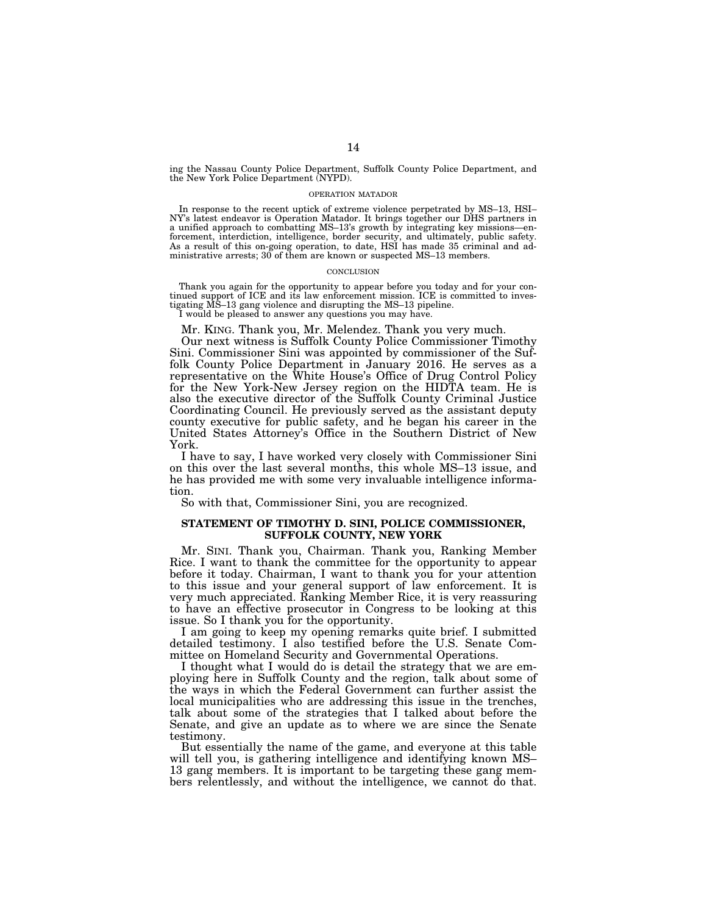ing the Nassau County Police Department, Suffolk County Police Department, and the New York Police Department (NYPD).

#### OPERATION MATADOR

In response to the recent uptick of extreme violence perpetrated by MS–13, HSI– NY's latest endeavor is Operation Matador. It brings together our DHS partners in a unified approach to combatting MS–13's growth by integrating key missions—enforcement, interdiction, intelligence, border security, and ultimately, public safety. As a result of this on-going operation, to date, HSI has made 35 criminal and administrative arrests; 30 of them are known or suspected MS–13 members.

#### **CONCLUSION**

Thank you again for the opportunity to appear before you today and for your continued support of ICE and its law enforcement mission. ICE is committed to investigating MS–13 gang violence and disrupting the MS–13 pipeline.

I would be pleased to answer any questions you may have.

Mr. KING. Thank you, Mr. Melendez. Thank you very much.

Our next witness is Suffolk County Police Commissioner Timothy Sini. Commissioner Sini was appointed by commissioner of the Suffolk County Police Department in January 2016. He serves as a representative on the White House's Office of Drug Control Policy for the New York-New Jersey region on the HIDTA team. He is also the executive director of the Suffolk County Criminal Justice Coordinating Council. He previously served as the assistant deputy county executive for public safety, and he began his career in the United States Attorney's Office in the Southern District of New York.

I have to say, I have worked very closely with Commissioner Sini on this over the last several months, this whole MS–13 issue, and he has provided me with some very invaluable intelligence information.

So with that, Commissioner Sini, you are recognized.

### **STATEMENT OF TIMOTHY D. SINI, POLICE COMMISSIONER, SUFFOLK COUNTY, NEW YORK**

Mr. SINI. Thank you, Chairman. Thank you, Ranking Member Rice. I want to thank the committee for the opportunity to appear before it today. Chairman, I want to thank you for your attention to this issue and your general support of law enforcement. It is very much appreciated. Ranking Member Rice, it is very reassuring to have an effective prosecutor in Congress to be looking at this issue. So I thank you for the opportunity.

I am going to keep my opening remarks quite brief. I submitted detailed testimony. I also testified before the U.S. Senate Committee on Homeland Security and Governmental Operations.

I thought what I would do is detail the strategy that we are employing here in Suffolk County and the region, talk about some of the ways in which the Federal Government can further assist the local municipalities who are addressing this issue in the trenches, talk about some of the strategies that I talked about before the Senate, and give an update as to where we are since the Senate testimony.

But essentially the name of the game, and everyone at this table will tell you, is gathering intelligence and identifying known MS– 13 gang members. It is important to be targeting these gang members relentlessly, and without the intelligence, we cannot do that.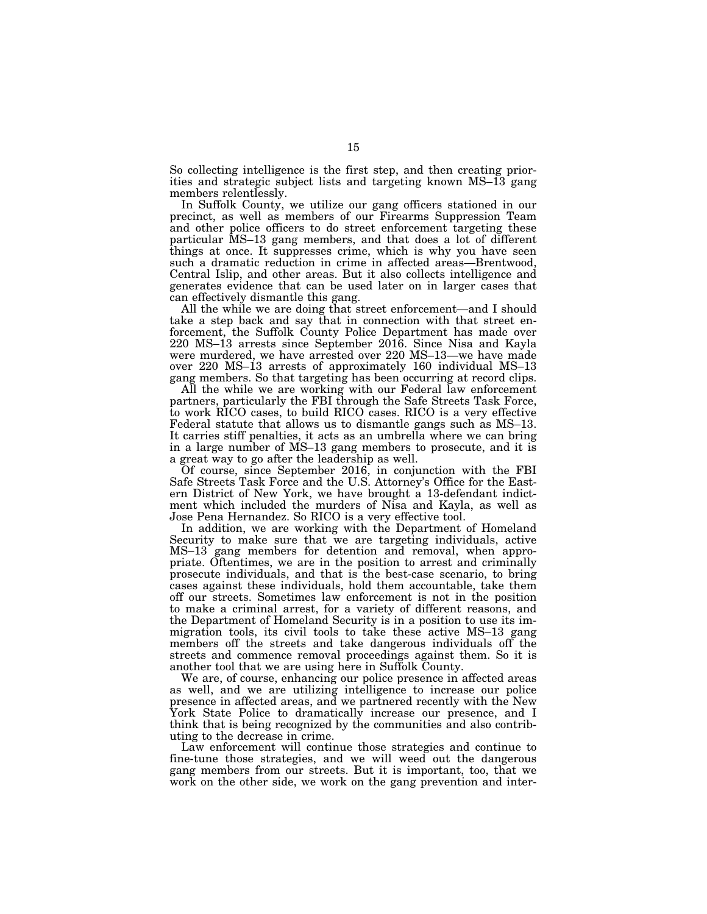So collecting intelligence is the first step, and then creating priorities and strategic subject lists and targeting known MS–13 gang members relentlessly.

In Suffolk County, we utilize our gang officers stationed in our precinct, as well as members of our Firearms Suppression Team and other police officers to do street enforcement targeting these particular MS–13 gang members, and that does a lot of different things at once. It suppresses crime, which is why you have seen such a dramatic reduction in crime in affected areas—Brentwood, Central Islip, and other areas. But it also collects intelligence and generates evidence that can be used later on in larger cases that can effectively dismantle this gang.

All the while we are doing that street enforcement—and I should take a step back and say that in connection with that street enforcement, the Suffolk County Police Department has made over 220 MS–13 arrests since September 2016. Since Nisa and Kayla were murdered, we have arrested over 220 MS–13—we have made over 220 MS–13 arrests of approximately 160 individual MS–13 gang members. So that targeting has been occurring at record clips.

All the while we are working with our Federal law enforcement partners, particularly the FBI through the Safe Streets Task Force, to work RICO cases, to build RICO cases. RICO is a very effective Federal statute that allows us to dismantle gangs such as MS-13. It carries stiff penalties, it acts as an umbrella where we can bring in a large number of MS–13 gang members to prosecute, and it is a great way to go after the leadership as well.

Of course, since September 2016, in conjunction with the FBI Safe Streets Task Force and the U.S. Attorney's Office for the Eastern District of New York, we have brought a 13-defendant indictment which included the murders of Nisa and Kayla, as well as Jose Pena Hernandez. So RICO is a very effective tool.

In addition, we are working with the Department of Homeland Security to make sure that we are targeting individuals, active MS–13 gang members for detention and removal, when appropriate. Oftentimes, we are in the position to arrest and criminally prosecute individuals, and that is the best-case scenario, to bring cases against these individuals, hold them accountable, take them off our streets. Sometimes law enforcement is not in the position to make a criminal arrest, for a variety of different reasons, and the Department of Homeland Security is in a position to use its immigration tools, its civil tools to take these active MS–13 gang members off the streets and take dangerous individuals off the streets and commence removal proceedings against them. So it is another tool that we are using here in Suffolk County.

We are, of course, enhancing our police presence in affected areas as well, and we are utilizing intelligence to increase our police presence in affected areas, and we partnered recently with the New York State Police to dramatically increase our presence, and I think that is being recognized by the communities and also contributing to the decrease in crime.

Law enforcement will continue those strategies and continue to fine-tune those strategies, and we will weed out the dangerous gang members from our streets. But it is important, too, that we work on the other side, we work on the gang prevention and inter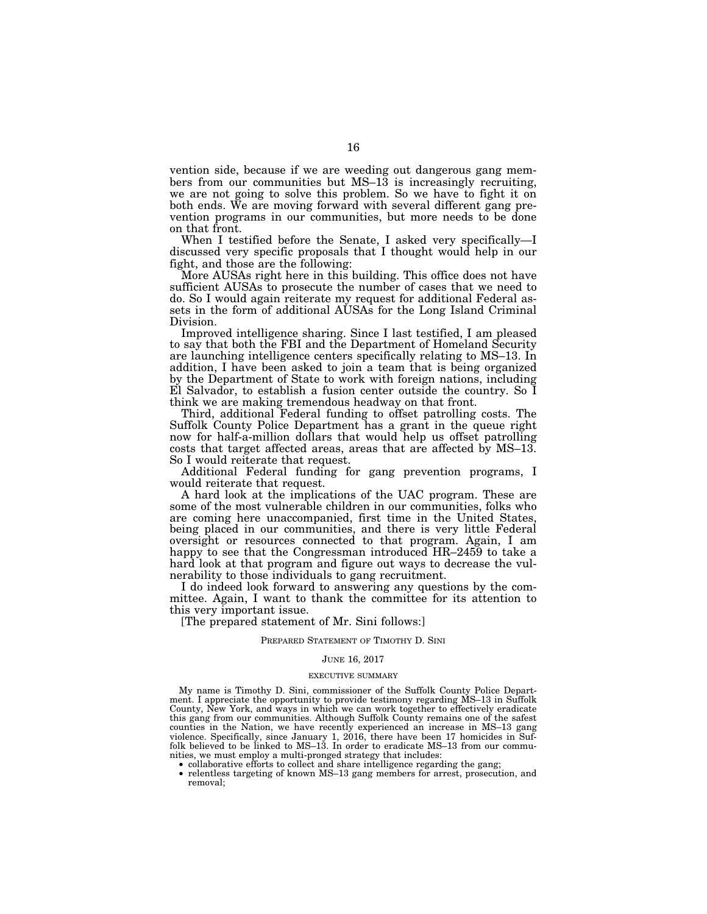vention side, because if we are weeding out dangerous gang members from our communities but MS–13 is increasingly recruiting, we are not going to solve this problem. So we have to fight it on both ends. We are moving forward with several different gang prevention programs in our communities, but more needs to be done on that front.

When I testified before the Senate, I asked very specifically—I discussed very specific proposals that I thought would help in our fight, and those are the following:

More AUSAs right here in this building. This office does not have sufficient AUSAs to prosecute the number of cases that we need to do. So I would again reiterate my request for additional Federal assets in the form of additional AUSAs for the Long Island Criminal Division.

Improved intelligence sharing. Since I last testified, I am pleased to say that both the FBI and the Department of Homeland Security are launching intelligence centers specifically relating to MS–13. In addition, I have been asked to join a team that is being organized by the Department of State to work with foreign nations, including El Salvador, to establish a fusion center outside the country. So I think we are making tremendous headway on that front.

Third, additional Federal funding to offset patrolling costs. The Suffolk County Police Department has a grant in the queue right now for half-a-million dollars that would help us offset patrolling costs that target affected areas, areas that are affected by MS–13. So I would reiterate that request.

Additional Federal funding for gang prevention programs, I would reiterate that request.

A hard look at the implications of the UAC program. These are some of the most vulnerable children in our communities, folks who are coming here unaccompanied, first time in the United States, being placed in our communities, and there is very little Federal oversight or resources connected to that program. Again, I am happy to see that the Congressman introduced HR-2459 to take a hard look at that program and figure out ways to decrease the vulnerability to those individuals to gang recruitment.

I do indeed look forward to answering any questions by the committee. Again, I want to thank the committee for its attention to this very important issue.

[The prepared statement of Mr. Sini follows:]

#### PREPARED STATEMENT OF TIMOTHY D. SINI

#### JUNE 16, 2017

#### EXECUTIVE SUMMARY

My name is Timothy D. Sini, commissioner of the Suffolk County Police Department. I appreciate the opportunity to provide testimony regarding MS–13 in Suffolk County, New York, and ways in which we can work together to effectively eradicate this gang from our communities. Although Suffolk County remains one of the safest counties in the Nation, we have recently experienced an increase in MS–13 gang violence. Specifically, since January 1, 2016, there have been 17 homicides in Suffolk believed to be linked to MS–13. In order to eradicate MS–13 from our communities, we must employ a multi-pronged strategy that includes:

- 
- collaborative efforts to collect and share intelligence regarding the gang; relentless targeting of known MS–13 gang members for arrest, prosecution, and removal;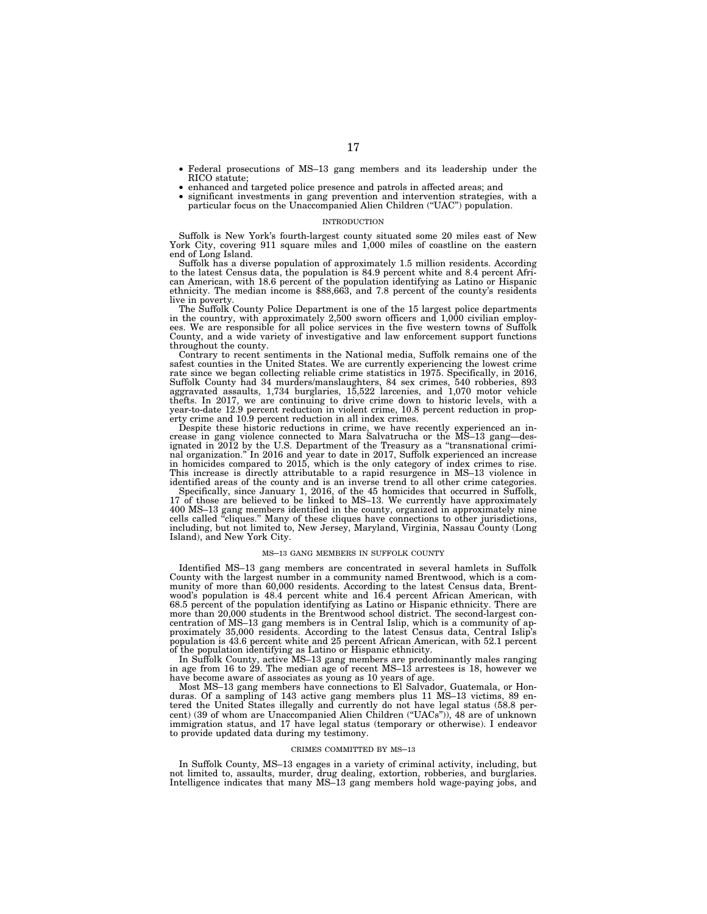- Federal prosecutions of MS–13 gang members and its leadership under the
- RICO statute; enhanced and targeted police presence and patrols in affected areas; and significant investments in gang prevention and intervention strategies, with a
- particular focus on the Unaccompanied Alien Children ("UAC") population.

#### INTRODUCTION

Suffolk is New York's fourth-largest county situated some 20 miles east of New York City, covering 911 square miles and 1,000 miles of coastline on the eastern end of Long Island.

Suffolk has a diverse population of approximately 1.5 million residents. According to the latest Census data, the population is 84.9 percent white and 8.4 percent African American, with 18.6 percent of the population identifying as Latino or Hispanic ethnicity. The median income is \$88,663, and 7.8 percent of the county's residents

live in poverty.<br>The Suffolk County Police Department is one of the 15 largest police departments<br>in the country, with approximately 2,500 sworn officers and 1,000 civilian employ-<br>ees. We are responsible for all police se County, and a wide variety of investigative and law enforcement support functions throughout the county.

Contrary to recent sentiments in the National media, Suffolk remains one of the safest counties in the United States. We are currently experiencing the lowest crime rate since we began collecting reliable crime statistics in 1975. Specifically, in 2016, Suffolk County had 34 murders/manslaughters, 84 sex crimes, 540 robberies, 893 aggravated assaults, 1,734 burglaries, 15,522 larcenies, and 1,070 motor vehicle thefts. In 2017, we are continuing to drive crime down to historic levels, with a year-to-date 12.9 percent reduction in violent crime, 10.8 percent reduction in prop-erty crime and 10.9 percent reduction in all index crimes.

Despite these historic reductions in crime, we have recently experienced an in-crease in gang violence connected to Mara Salvatrucha or the MS–13 gang—designated in 2012 by the U.S. Department of the Treasury as a ''transnational crimi-nal organization.'' In 2016 and year to date in 2017, Suffolk experienced an increase in homicides compared to 2015, which is the only category of index crimes to rise. This increase is directly attributable to a rapid resurgence in MS–13 violence in

identified areas of the county and is an inverse trend to all other crime categories. Specifically, since January 1, 2016, of the 45 homicides that occurred in Suffolk, 17 of those are believed to be linked to MS-13. We currently have approximately 400 MS–13 gang members identified in the county, organized in approximately nine<br>cells called "cliques." Many of these cliques have connections to other jurisdictions,<br>including, but not limited to, New Jersey, Maryland, V Island), and New York City.

#### MS–13 GANG MEMBERS IN SUFFOLK COUNTY

Identified MS–13 gang members are concentrated in several hamlets in Suffolk County with the largest number in a community named Brentwood, which is a community of more than 60,000 residents. According to the latest Census data, Brent-wood's population is 48.4 percent white and 16.4 percent African American, with 68.5 percent of the population identifying as Latino or Hispanic ethnicity. There are more than 20,000 students in the Brentwood school district. The second-largest concentration of MS–13 gang members is in Central Islip, which is a community of ap-proximately 35,000 residents. According to the latest Census data, Central Islip's population is 43.6 percent white and 25 percent African American, with 52.1 percent of the population identifying as Latino or Hispanic ethnicity.

In Suffolk County, active MS–13 gang members are predominantly males ranging in age from 16 to 29. The median age of recent MS–13 arrestees is 18, however we have become aware of associates as young as 10 years of age.

Most MS–13 gang members have connections to El Salvador, Guatemala, or Honduras. Of a sampling of 143 active gang members plus 11 MS–13 victims, 89 entered the United States illegally and currently do not have legal status (58.8 percent) (39 of whom are Unaccompanied Alien Children (''UACs'')), 48 are of unknown immigration status, and 17 have legal status (temporary or otherwise). I endeavor to provide updated data during my testimony.

#### CRIMES COMMITTED BY MS–13

In Suffolk County, MS–13 engages in a variety of criminal activity, including, but not limited to, assaults, murder, drug dealing, extortion, robberies, and burglaries. Intelligence indicates that many MS–13 gang members hold wage-paying jobs, and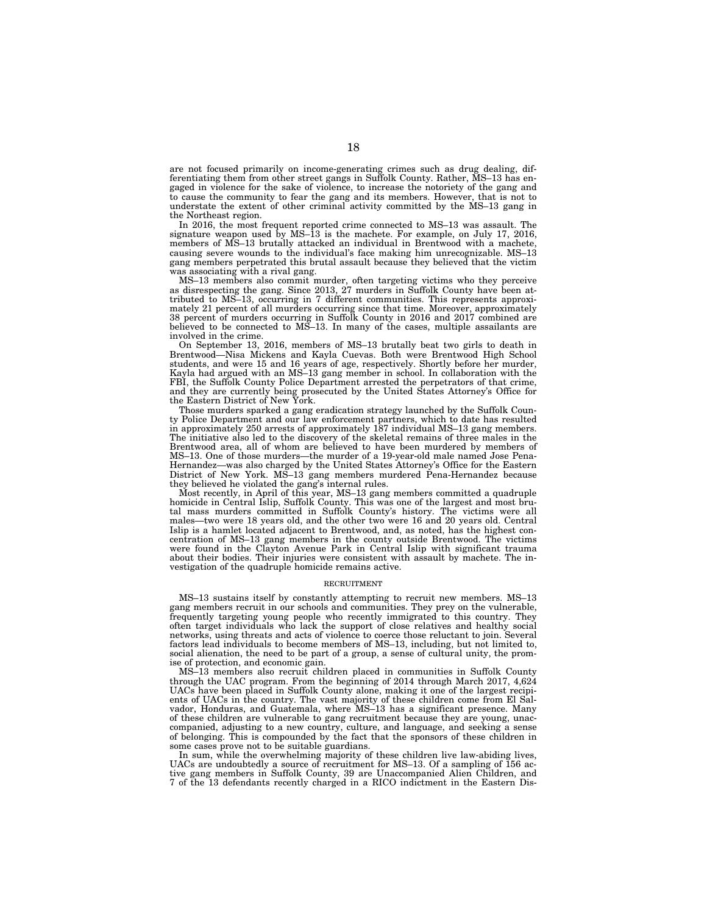are not focused primarily on income-generating crimes such as drug dealing, differentiating them from other street gangs in Suffolk County. Rather, MS–13 has engaged in violence for the sake of violence, to increase the notoriety of the gang and to cause the community to fear the gang and its members. However, that is not to understate the extent of other criminal activity committed by the MS–13 gang in the Northeast region.

In 2016, the most frequent reported crime connected to MS–13 was assault. The signature weapon used by  $MS-13$  is the machete. For example, on July 17, 2016, members of MS–13 brutally attacked an individual in Brentwood with a machete, causing severe wounds to the individual's face making him unrecognizable. MS–13 gang members perpetrated this brutal assault because they believed that the victim was associating with a rival gang.

MS–13 members also commit murder, often targeting victims who they perceive as disrespecting the gang. Since 2013, 27 murders in Suffolk County have been attributed to MS–13, occurring in 7 different communities. This represents approximately 21 percent of all murders occurring since that time. Moreover, approximately 38 percent of murders occurring in Suffolk County in 2016 and 2017 combined are believed to be connected to MS–13. In many of the cases, multiple assailants are involved in the crime.

On September 13, 2016, members of MS–13 brutally beat two girls to death in Brentwood—Nisa Mickens and Kayla Cuevas. Both were Brentwood High School students, and were 15 and 16 years of age, respectively. Shortly before her murder, Kayla had argued with an MS–13 gang member in school. In collaboration with the FBI, the Suffolk County Police Department arrested the perpetrators of that crime, and they are currently being prosecuted by the United States Attorney's Office for the Eastern District of New York.

Those murders sparked a gang eradication strategy launched by the Suffolk County Police Department and our law enforcement partners, which to date has resulted in approximately 250 arrests of approximately 187 individual MS–13 gang members. The initiative also led to the discovery of the skeletal remains of three males in the Brentwood area, all of whom are believed to have been murdered by members of MS–13. One of those murders—the murder of a 19-year-old male named Jose Pena-Hernandez—was also charged by the United States Attorney's Office for the Eastern District of New York. MS–13 gang members murdered Pena-Hernandez because they believed he violated the gang's internal rules.

Most recently, in April of this year, MS–13 gang members committed a quadruple homicide in Central Islip, Suffolk County. This was one of the largest and most brutal mass murders committed in Suffolk County's history. The victims were all males—two were 18 years old, and the other two were 16 and 20 years old. Central Islip is a hamlet located adjacent to Brentwood, and, as noted, has the highest concentration of MS–13 gang members in the county outside Brentwood. The victims were found in the Clayton Avenue Park in Central Islip with significant trauma about their bodies. Their injuries were consistent with assault by machete. The investigation of the quadruple homicide remains active.

#### **RECRUITMENT**

MS–13 sustains itself by constantly attempting to recruit new members. MS–13 gang members recruit in our schools and communities. They prey on the vulnerable, frequently targeting young people who recently immigrated to this country. They often target individuals who lack the support of close relatives and healthy social networks, using threats and acts of violence to coerce those reluctant to join. Several factors lead individuals to become members of MS–13, including, but not limited to, social alienation, the need to be part of a group, a sense of cultural unity, the promise of protection, and economic gain.

MS–13 members also recruit children placed in communities in Suffolk County through the UAC program. From the beginning of 2014 through March 2017, 4,624 UACs have been placed in Suffolk County alone, making it one of the largest recipients of UACs in the country. The vast majority of these children come from El Salvador, Honduras, and Guatemala, where MS–13 has a significant presence. Many of these children are vulnerable to gang recruitment because they are young, unaccompanied, adjusting to a new country, culture, and language, and seeking a sense of belonging. This is compounded by the fact that the sponsors of these children in some cases prove not to be suitable guardians.

In sum, while the overwhelming majority of these children live law-abiding lives, UACs are undoubtedly a source of recruitment for MS–13. Of a sampling of 156 active gang members in Suffolk County, 39 are Unaccompanied Alien Children, and 7 of the 13 defendants recently charged in a RICO indictment in the Eastern Dis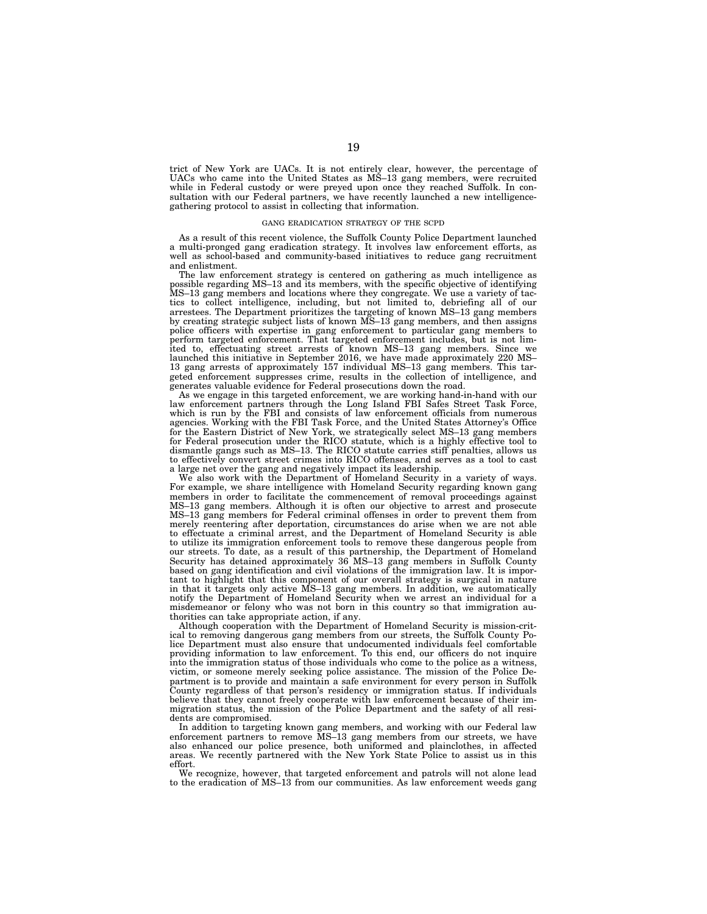trict of New York are UACs. It is not entirely clear, however, the percentage of UACs who came into the United States as MS–13 gang members, were recruited while in Federal custody or were preyed upon once they reached Suffolk. In consultation with our Federal partners, we have recently launched a new intelligencegathering protocol to assist in collecting that information.

#### GANG ERADICATION STRATEGY OF THE SCPD

As a result of this recent violence, the Suffolk County Police Department launched a multi-pronged gang eradication strategy. It involves law enforcement efforts, as well as school-based and community-based initiatives to reduce gang recruitment and enlistment.

The law enforcement strategy is centered on gathering as much intelligence as possible regarding MS–13 and its members, with the specific objective of identifying MS–13 gang members and locations where they congregate. We use a variety of tactics to collect intelligence, including, but not limited to, debriefing all of our arrestees. The Department prioritizes the targeting of known MS–13 gang members by creating strategic subject lists of known MS–13 gang members, and then assigns police officers with expertise in gang enforcement to particular gang members to perform targeted enforcement. That targeted enforcement includes, but is not limited to, effectuating street arrests of known MS–13 gang members. Since we launched this initiative in September 2016, we have made approximately 220 MS– 13 gang arrests of approximately 157 individual MS–13 gang members. This targeted enforcement suppresses crime, results in the collection of intelligence, and generates valuable evidence for Federal prosecutions down the road.

As we engage in this targeted enforcement, we are working hand-in-hand with our law enforcement partners through the Long Island FBI Safes Street Task Force, which is run by the FBI and consists of law enforcement officials from numerous agencies. Working with the FBI Task Force, and the United States Attorney's Office for the Eastern District of New York, we strategically select MS–13 gang members for Federal prosecution under the RICO statute, which is a highly effective tool to dismantle gangs such as MS–13. The RICO statute carries stiff penalties, allows us to effectively convert street crimes into RICO offenses, and serves as a tool to cast a large net over the gang and negatively impact its leadership.

We also work with the Department of Homeland Security in a variety of ways. For example, we share intelligence with Homeland Security regarding known gang members in order to facilitate the commencement of removal proceedings against MS–13 gang members. Although it is often our objective to arrest and prosecute MS–13 gang members for Federal criminal offenses in order to prevent them from merely reentering after deportation, circumstances do arise when we are not able to effectuate a criminal arrest, and the Department of Homeland Security is able to utilize its immigration enforcement tools to remove these dangerous people from our streets. To date, as a result of this partnership, the Department of Homeland Security has detained approximately 36 MS–13 gang members in Suffolk County based on gang identification and civil violations of the immigration law. It is important to highlight that this component of our overall strategy is surgical in nature in that it targets only active MS–13 gang members. In addition, we automatically notify the Department of Homeland Security when we arrest an individual for a misdemeanor or felony who was not born in this country so that immigration authorities can take appropriate action, if any.

Although cooperation with the Department of Homeland Security is mission-critical to removing dangerous gang members from our streets, the Suffolk County Police Department must also ensure that undocumented individuals feel comfortable providing information to law enforcement. To this end, our officers do not inquire into the immigration status of those individuals who come to the police as a witness, victim, or someone merely seeking police assistance. The mission of the Police Department is to provide and maintain a safe environment for every person in Suffolk County regardless of that person's residency or immigration status. If individuals believe that they cannot freely cooperate with law enforcement because of their immigration status, the mission of the Police Department and the safety of all residents are compromised.

In addition to targeting known gang members, and working with our Federal law enforcement partners to remove MS–13 gang members from our streets, we have also enhanced our police presence, both uniformed and plainclothes, in affected areas. We recently partnered with the New York State Police to assist us in this effort.

We recognize, however, that targeted enforcement and patrols will not alone lead to the eradication of MS–13 from our communities. As law enforcement weeds gang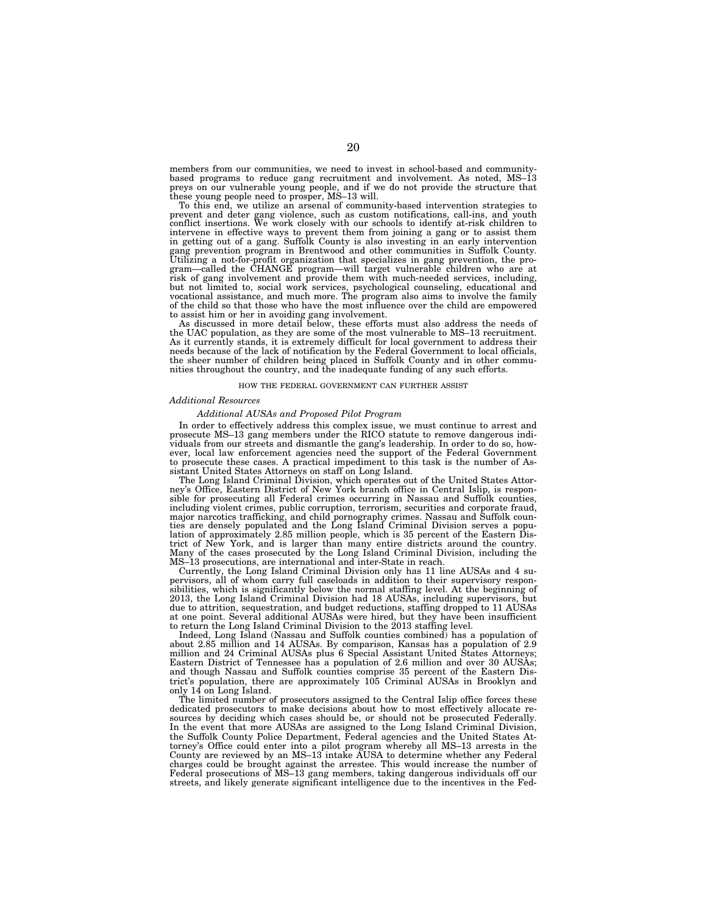members from our communities, we need to invest in school-based and communitybased programs to reduce gang recruitment and involvement. As noted, MS–13 preys on our vulnerable young people, and if we do not provide the structure that these young people need to prosper, MS–13 will.

To this end, we utilize an arsenal of community-based intervention strategies to prevent and deter gang violence, such as custom notifications, call-ins, and youth conflict insertions. We work closely with our schools to identify at-risk children to intervene in effective ways to prevent them from joining a gang or to assist them in getting out of a gang. Suffolk County is also investing in an early intervention gang prevention program in Brentwood and other communities in Suffolk County. Utilizing a not-for-profit organization that specializes in gang prevention, the program—called the CHANGE program—will target vulnerable children who are at risk of gang involvement and provide them with much-needed services, including, but not limited to, social work services, psychological counseling, educational and vocational assistance, and much more. The program also aims to involve the family of the child so that those who have the most influence over the child are empowered

to assist him or her in avoiding gang involvement. As discussed in more detail below, these efforts must also address the needs of the UAC population, as they are some of the most vulnerable to MS–13 recruitment. As it currently stands, it is extremely difficult for local government to address their needs because of the lack of notification by the Federal Government to local officials, the sheer number of children being placed in Suffolk County and in other commu-nities throughout the country, and the inadequate funding of any such efforts.

#### HOW THE FEDERAL GOVERNMENT CAN FURTHER ASSIST

#### *Additional Resources*

#### *Additional AUSAs and Proposed Pilot Program*

In order to effectively address this complex issue, we must continue to arrest and prosecute MS–13 gang members under the RICO statute to remove dangerous individuals from our streets and dismantle the gang's leadership. In order to do so, however, local law enforcement agencies need the support of the Federal Government to prosecute these cases. A practical impediment to this task is the number of As-

sistant United States Attorneys on staff on Long Island. The Long Island Criminal Division, which operates out of the United States Attorney's Office, Eastern District of New York branch office in Central Islip, is responsible for prosecuting all Federal crimes occurring in Nassau and Suffolk counties, including violent crimes, public corruption, terrorism, securities and corporate fraud, major narcotics trafficking, and child pornography crimes. Nassau and Suffolk coun-ties are densely populated and the Long Island Criminal Division serves a population of approximately 2.85 million people, which is 35 percent of the Eastern District of New York, and is larger than many entire districts around the country. Many of the cases prosecuted by the Long Island Criminal Division, including the MS–13 prosecutions, are international and inter-State in reach.

Currently, the Long Island Criminal Division only has 11 line AUSAs and 4 supervisors, all of whom carry full caseloads in addition to their supervisory responsibilities, which is significantly below the normal staffing level. At the beginning of 2013, the Long Island Criminal Division had 18 AUSAs, including supervisors, but due to attrition, sequestration, and budget reductions, staffing dropped to 11 AUSAs at one point. Several additional AUSAs were hired, but they have been insufficient to return the Long Island Criminal Division to the 2013 staffing level.

Indeed, Long Island (Nassau and Suffolk counties combined) has a population of about 2.85 million and 14 AUSAs. By comparison, Kansas has a population of 2.9 million and 24 Criminal AUSAs plus 6 Special Assistant United States Attorneys; Eastern District of Tennessee has a population of 2.6 million and over 30 AUSAs; and though Nassau and Suffolk counties comprise 35 percent of the Eastern District's population, there are approximately 105 Criminal AUSAs in Brooklyn and only 14 on Long Island.

The limited number of prosecutors assigned to the Central Islip office forces these dedicated prosecutors to make decisions about how to most effectively allocate resources by deciding which cases should be, or should not be prosecuted Federally. In the event that more AUSAs are assigned to the Long Island Criminal Division, the Suffolk County Police Department, Federal agencies and the United States Attorney's Office could enter into a pilot program whereby all MS–13 arrests in the County are reviewed by an MS–13 intake AUSA to determine whether any Federal charges could be brought against the arrestee. This would increase the number of Federal prosecutions of MS–13 gang members, taking dangerous individuals off our streets, and likely generate significant intelligence due to the incentives in the Fed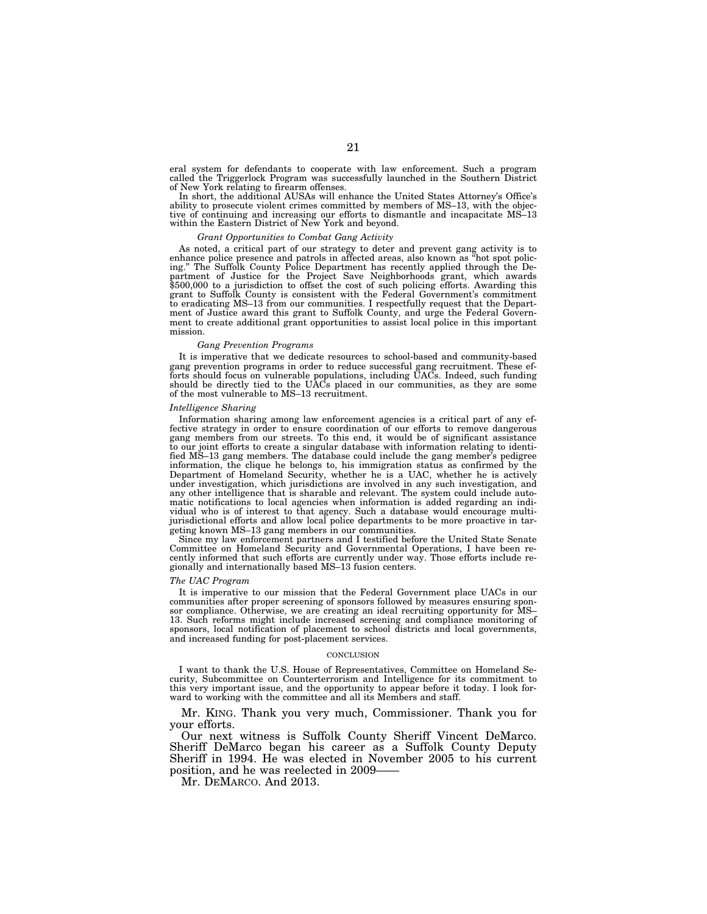eral system for defendants to cooperate with law enforcement. Such a program called the Triggerlock Program was successfully launched in the Southern District of New York relating to firearm offenses.

In short, the additional AUSAs will enhance the United States Attorney's Office's ability to prosecute violent crimes committed by members of MS–13, with the objective of continuing and increasing our efforts to dismantle and incapacitate MS–13 within the Eastern District of New York and beyond.

#### *Grant Opportunities to Combat Gang Activity*

As noted, a critical part of our strategy to deter and prevent gang activity is to enhance police presence and patrols in affected areas, also known as ''hot spot policing.'' The Suffolk County Police Department has recently applied through the Department of Justice for the Project Save Neighborhoods grant, which awards \$500,000 to a jurisdiction to offset the cost of such policing efforts. Awarding this grant to Suffolk County is consistent with the Federal Government's commitment to eradicating MS–13 from our communities. I respectfully request that the Department of Justice award this grant to Suffolk County, and urge the Federal Government to create additional grant opportunities to assist local police in this important mission.

#### *Gang Prevention Programs*

It is imperative that we dedicate resources to school-based and community-based gang prevention programs in order to reduce successful gang recruitment. These efforts should focus on vulnerable populations, including UACs. Indeed, such funding should be directly tied to the UACs placed in our communities, as they are some of the most vulnerable to MS–13 recruitment.

#### *Intelligence Sharing*

Information sharing among law enforcement agencies is a critical part of any effective strategy in order to ensure coordination of our efforts to remove dangerous gang members from our streets. To this end, it would be of significant assistance to our joint efforts to create a singular database with information relating to identified MS–13 gang members. The database could include the gang member's pedigree information, the clique he belongs to, his immigration status as confirmed by the Department of Homeland Security, whether he is a UAC, whether he is actively under investigation, which jurisdictions are involved in any such investigation, and any other intelligence that is sharable and relevant. The system could include automatic notifications to local agencies when information is added regarding an individual who is of interest to that agency. Such a database would encourage multijurisdictional efforts and allow local police departments to be more proactive in targeting known MS–13 gang members in our communities.

Since my law enforcement partners and I testified before the United State Senate Committee on Homeland Security and Governmental Operations, I have been recently informed that such efforts are currently under way. Those efforts include regionally and internationally based MS–13 fusion centers.

#### *The UAC Program*

It is imperative to our mission that the Federal Government place UACs in our communities after proper screening of sponsors followed by measures ensuring sponsor compliance. Otherwise, we are creating an ideal recruiting opportunity for MS– 13. Such reforms might include increased screening and compliance monitoring of sponsors, local notification of placement to school districts and local governments, and increased funding for post-placement services.

#### **CONCLUSION**

I want to thank the U.S. House of Representatives, Committee on Homeland Security, Subcommittee on Counterterrorism and Intelligence for its commitment to this very important issue, and the opportunity to appear before it today. I look forward to working with the committee and all its Members and staff.

Mr. KING. Thank you very much, Commissioner. Thank you for your efforts.

Our next witness is Suffolk County Sheriff Vincent DeMarco. Sheriff DeMarco began his career as a Suffolk County Deputy Sheriff in 1994. He was elected in November 2005 to his current position, and he was reelected in 2009–

Mr. DEMARCO. And 2013.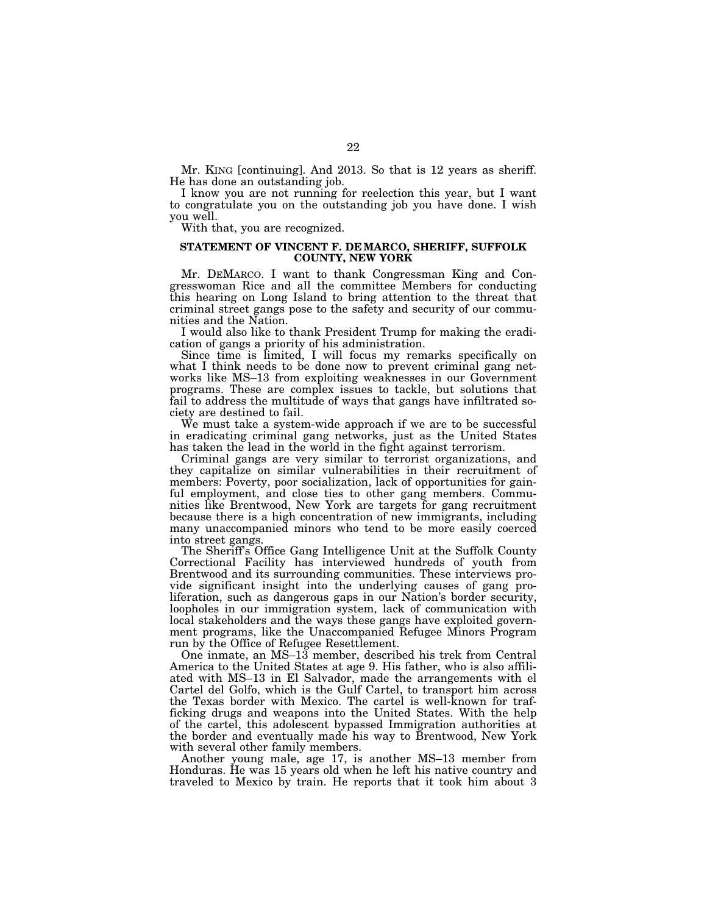Mr. KING [continuing]. And 2013. So that is 12 years as sheriff. He has done an outstanding job.

I know you are not running for reelection this year, but I want to congratulate you on the outstanding job you have done. I wish you well.

With that, you are recognized.

## **STATEMENT OF VINCENT F. DE MARCO, SHERIFF, SUFFOLK COUNTY, NEW YORK**

Mr. DEMARCO. I want to thank Congressman King and Congresswoman Rice and all the committee Members for conducting this hearing on Long Island to bring attention to the threat that criminal street gangs pose to the safety and security of our communities and the Nation.

I would also like to thank President Trump for making the eradication of gangs a priority of his administration.

Since time is limited, I will focus my remarks specifically on what I think needs to be done now to prevent criminal gang networks like MS–13 from exploiting weaknesses in our Government programs. These are complex issues to tackle, but solutions that fail to address the multitude of ways that gangs have infiltrated society are destined to fail.

We must take a system-wide approach if we are to be successful in eradicating criminal gang networks, just as the United States has taken the lead in the world in the fight against terrorism.

Criminal gangs are very similar to terrorist organizations, and they capitalize on similar vulnerabilities in their recruitment of members: Poverty, poor socialization, lack of opportunities for gainful employment, and close ties to other gang members. Communities like Brentwood, New York are targets for gang recruitment because there is a high concentration of new immigrants, including many unaccompanied minors who tend to be more easily coerced into street gangs.

The Sheriff's Office Gang Intelligence Unit at the Suffolk County Correctional Facility has interviewed hundreds of youth from Brentwood and its surrounding communities. These interviews provide significant insight into the underlying causes of gang proliferation, such as dangerous gaps in our Nation's border security, loopholes in our immigration system, lack of communication with local stakeholders and the ways these gangs have exploited government programs, like the Unaccompanied Refugee Minors Program run by the Office of Refugee Resettlement.

One inmate, an MS–13 member, described his trek from Central America to the United States at age 9. His father, who is also affiliated with MS–13 in El Salvador, made the arrangements with el Cartel del Golfo, which is the Gulf Cartel, to transport him across the Texas border with Mexico. The cartel is well-known for trafficking drugs and weapons into the United States. With the help of the cartel, this adolescent bypassed Immigration authorities at the border and eventually made his way to Brentwood, New York with several other family members.

Another young male, age 17, is another MS–13 member from Honduras. He was 15 years old when he left his native country and traveled to Mexico by train. He reports that it took him about 3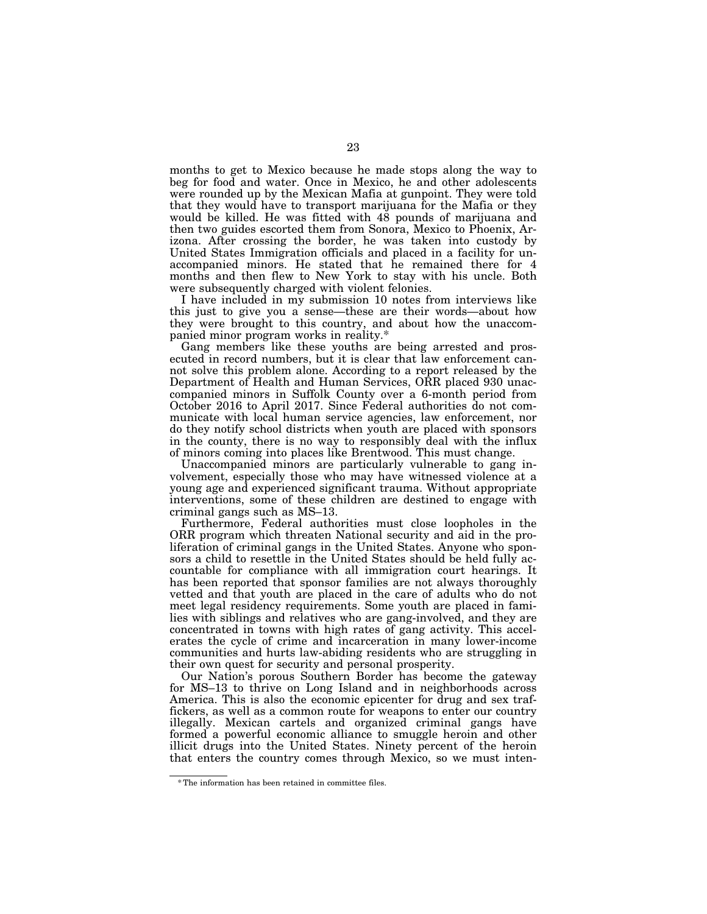months to get to Mexico because he made stops along the way to beg for food and water. Once in Mexico, he and other adolescents were rounded up by the Mexican Mafia at gunpoint. They were told that they would have to transport marijuana for the Mafia or they would be killed. He was fitted with 48 pounds of marijuana and then two guides escorted them from Sonora, Mexico to Phoenix, Arizona. After crossing the border, he was taken into custody by United States Immigration officials and placed in a facility for unaccompanied minors. He stated that he remained there for 4 months and then flew to New York to stay with his uncle. Both were subsequently charged with violent felonies.

I have included in my submission 10 notes from interviews like this just to give you a sense—these are their words—about how they were brought to this country, and about how the unaccompanied minor program works in reality.\*

Gang members like these youths are being arrested and prosecuted in record numbers, but it is clear that law enforcement cannot solve this problem alone. According to a report released by the Department of Health and Human Services, ORR placed 930 unaccompanied minors in Suffolk County over a 6-month period from October 2016 to April 2017. Since Federal authorities do not communicate with local human service agencies, law enforcement, nor do they notify school districts when youth are placed with sponsors in the county, there is no way to responsibly deal with the influx of minors coming into places like Brentwood. This must change.

Unaccompanied minors are particularly vulnerable to gang involvement, especially those who may have witnessed violence at a young age and experienced significant trauma. Without appropriate interventions, some of these children are destined to engage with criminal gangs such as MS–13.

Furthermore, Federal authorities must close loopholes in the ORR program which threaten National security and aid in the proliferation of criminal gangs in the United States. Anyone who sponsors a child to resettle in the United States should be held fully accountable for compliance with all immigration court hearings. It has been reported that sponsor families are not always thoroughly vetted and that youth are placed in the care of adults who do not meet legal residency requirements. Some youth are placed in families with siblings and relatives who are gang-involved, and they are concentrated in towns with high rates of gang activity. This accelerates the cycle of crime and incarceration in many lower-income communities and hurts law-abiding residents who are struggling in their own quest for security and personal prosperity.

Our Nation's porous Southern Border has become the gateway for MS–13 to thrive on Long Island and in neighborhoods across America. This is also the economic epicenter for drug and sex traffickers, as well as a common route for weapons to enter our country illegally. Mexican cartels and organized criminal gangs have formed a powerful economic alliance to smuggle heroin and other illicit drugs into the United States. Ninety percent of the heroin that enters the country comes through Mexico, so we must inten-

<sup>\*</sup> The information has been retained in committee files.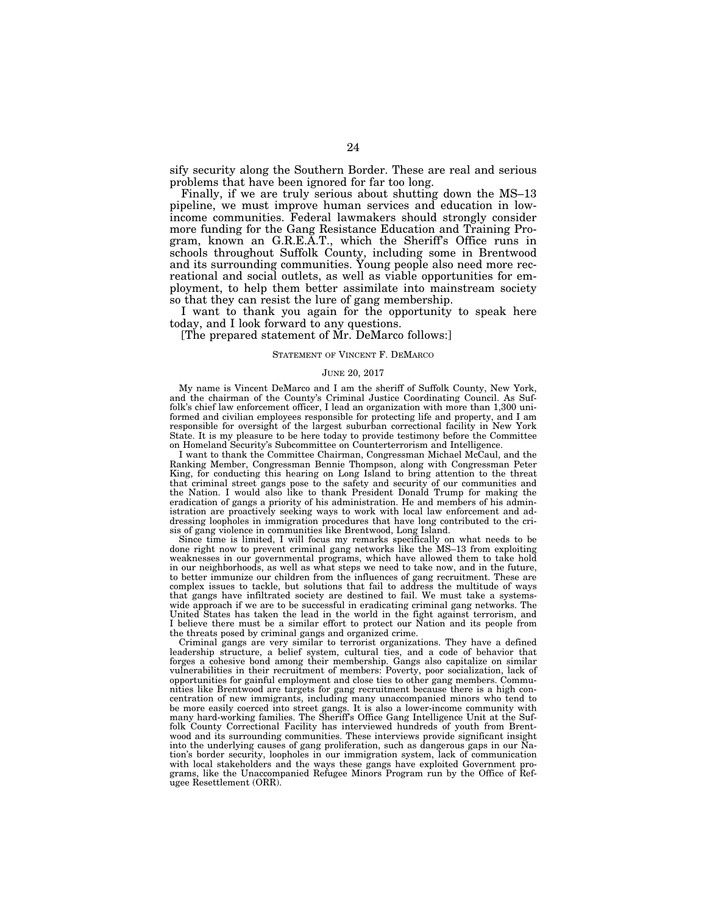sify security along the Southern Border. These are real and serious problems that have been ignored for far too long.

Finally, if we are truly serious about shutting down the MS–13 pipeline, we must improve human services and education in lowincome communities. Federal lawmakers should strongly consider more funding for the Gang Resistance Education and Training Program, known an G.R.E.A.T., which the Sheriff's Office runs in schools throughout Suffolk County, including some in Brentwood and its surrounding communities. Young people also need more recreational and social outlets, as well as viable opportunities for employment, to help them better assimilate into mainstream society so that they can resist the lure of gang membership.

I want to thank you again for the opportunity to speak here today, and I look forward to any questions.

[The prepared statement of Mr. DeMarco follows:]

#### STATEMENT OF VINCENT F. DEMARCO

#### JUNE 20, 2017

My name is Vincent DeMarco and I am the sheriff of Suffolk County, New York, and the chairman of the County's Criminal Justice Coordinating Council. As Suffolk's chief law enforcement officer, I lead an organization with more than 1,300 uniformed and civilian employees responsible for protecting life and property, and I am responsible for oversight of the largest suburban correctional facility in New York State. It is my pleasure to be here today to provide testimony before the Committee on Homeland Security's Subcommittee on Counterterrorism and Intelligence.

I want to thank the Committee Chairman, Congressman Michael McCaul, and the Ranking Member, Congressman Bennie Thompson, along with Congressman Peter King, for conducting this hearing on Long Island to bring attention to the threat that criminal street gangs pose to the safety and security of our communities and the Nation. I would also like to thank President Donald Trump for making the eradication of gangs a priority of his administration. He and members of his administration are proactively seeking ways to work with local law enforcement and addressing loopholes in immigration procedures that have long contributed to the crisis of gang violence in communities like Brentwood, Long Island.

Since time is limited, I will focus my remarks specifically on what needs to be done right now to prevent criminal gang networks like the MS–13 from exploiting weaknesses in our governmental programs, which have allowed them to take hold in our neighborhoods, as well as what steps we need to take now, and in the future, to better immunize our children from the influences of gang recruitment. These are complex issues to tackle, but solutions that fail to address the multitude of ways that gangs have infiltrated society are destined to fail. We must take a systemswide approach if we are to be successful in eradicating criminal gang networks. The United States has taken the lead in the world in the fight against terrorism, and I believe there must be a similar effort to protect our Nation and its people from the threats posed by criminal gangs and organized crime.

Criminal gangs are very similar to terrorist organizations. They have a defined leadership structure, a belief system, cultural ties, and a code of behavior that forges a cohesive bond among their membership. Gangs also capitalize on similar vulnerabilities in their recruitment of members: Poverty, poor socialization, lack of opportunities for gainful employment and close ties to other gang members. Communities like Brentwood are targets for gang recruitment because there is a high concentration of new immigrants, including many unaccompanied minors who tend to be more easily coerced into street gangs. It is also a lower-income community with many hard-working families. The Sheriff's Office Gang Intelligence Unit at the Suffolk County Correctional Facility has interviewed hundreds of youth from Brentwood and its surrounding communities. These interviews provide significant insight into the underlying causes of gang proliferation, such as dangerous gaps in our Nation's border security, loopholes in our immigration system, lack of communication with local stakeholders and the ways these gangs have exploited Government programs, like the Unaccompanied Refugee Minors Program run by the Office of Refugee Resettlement (ORR).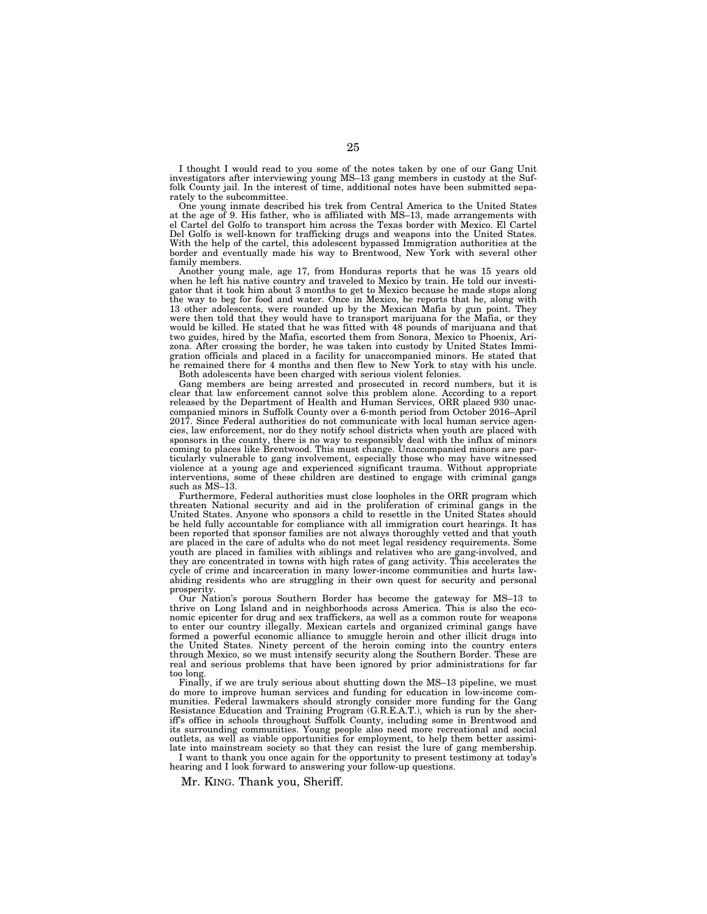I thought I would read to you some of the notes taken by one of our Gang Unit investigators after interviewing young MS–13 gang members in custody at the Suffolk County jail. In the interest of time, additional notes have been submitted separately to the subcommittee.

One young inmate described his trek from Central America to the United States at the age of 9. His father, who is affiliated with MS–13, made arrangements with el Cartel del Golfo to transport him across the Texas border with Mexico. El Cartel Del Golfo is well-known for trafficking drugs and weapons into the United States. With the help of the cartel, this adolescent bypassed Immigration authorities at the border and eventually made his way to Brentwood, New York with several other family members.

Another young male, age 17, from Honduras reports that he was 15 years old when he left his native country and traveled to Mexico by train. He told our investigator that it took him about 3 months to get to Mexico because he made stops along the way to beg for food and water. Once in Mexico, he reports that he, along with 13 other adolescents, were rounded up by the Mexican Mafia by gun point. They were then told that they would have to transport marijuana for the Mafia, or they would be killed. He stated that he was fitted with 48 pounds of marijuana and that two guides, hired by the Mafia, escorted them from Sonora, Mexico to Phoenix, Arizona. After crossing the border, he was taken into custody by United States Immigration officials and placed in a facility for unaccompanied minors. He stated that he remained there for 4 months and then flew to New York to stay with his uncle. Both adolescents have been charged with serious violent felonies.

Gang members are being arrested and prosecuted in record numbers, but it is clear that law enforcement cannot solve this problem alone. According to a report released by the Department of Health and Human Services, ORR placed 930 unaccompanied minors in Suffolk County over a 6-month period from October 2016–April 2017. Since Federal authorities do not communicate with local human service agencies, law enforcement, nor do they notify school districts when youth are placed with sponsors in the county, there is no way to responsibly deal with the influx of minors coming to places like Brentwood. This must change. Unaccompanied minors are particularly vulnerable to gang involvement, especially those who may have witnessed violence at a young age and experienced significant trauma. Without appropriate interventions, some of these children are destined to engage with criminal gangs such as MS–13.

Furthermore, Federal authorities must close loopholes in the ORR program which threaten National security and aid in the proliferation of criminal gangs in the United States. Anyone who sponsors a child to resettle in the United States should be held fully accountable for compliance with all immigration court hearings. It has been reported that sponsor families are not always thoroughly vetted and that youth are placed in the care of adults who do not meet legal residency requirements. Some youth are placed in families with siblings and relatives who are gang-involved, and they are concentrated in towns with high rates of gang activity. This accelerates the cycle of crime and incarceration in many lower-income communities and hurts lawabiding residents who are struggling in their own quest for security and personal prosperity.

Our Nation's porous Southern Border has become the gateway for MS–13 to thrive on Long Island and in neighborhoods across America. This is also the economic epicenter for drug and sex traffickers, as well as a common route for weapons to enter our country illegally. Mexican cartels and organized criminal gangs have formed a powerful economic alliance to smuggle heroin and other illicit drugs into the United States. Ninety percent of the heroin coming into the country enters through Mexico, so we must intensify security along the Southern Border. These are real and serious problems that have been ignored by prior administrations for far too long.

Finally, if we are truly serious about shutting down the MS–13 pipeline, we must do more to improve human services and funding for education in low-income communities. Federal lawmakers should strongly consider more funding for the Gang Resistance Education and Training Program (G.R.E.A.T.), which is run by the sheriff's office in schools throughout Suffolk County, including some in Brentwood and its surrounding communities. Young people also need more recreational and social outlets, as well as viable opportunities for employment, to help them better assimilate into mainstream society so that they can resist the lure of gang membership.

I want to thank you once again for the opportunity to present testimony at today's hearing and I look forward to answering your follow-up questions.

Mr. KING. Thank you, Sheriff.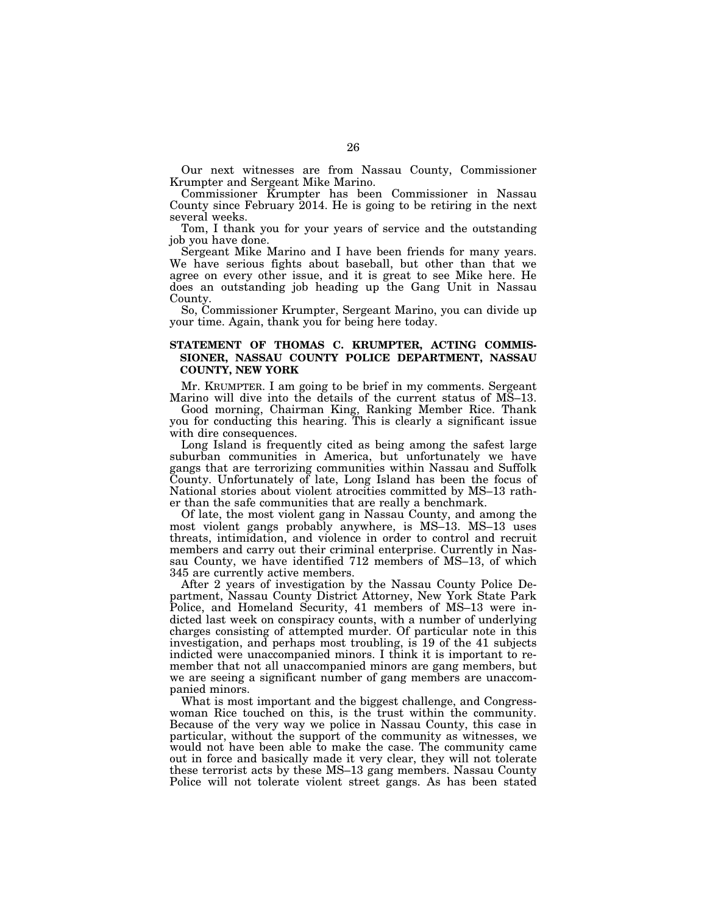Our next witnesses are from Nassau County, Commissioner Krumpter and Sergeant Mike Marino.

Commissioner Krumpter has been Commissioner in Nassau County since February 2014. He is going to be retiring in the next several weeks.

Tom, I thank you for your years of service and the outstanding job you have done.

Sergeant Mike Marino and I have been friends for many years. We have serious fights about baseball, but other than that we agree on every other issue, and it is great to see Mike here. He does an outstanding job heading up the Gang Unit in Nassau County.

So, Commissioner Krumpter, Sergeant Marino, you can divide up your time. Again, thank you for being here today.

# **STATEMENT OF THOMAS C. KRUMPTER, ACTING COMMIS-SIONER, NASSAU COUNTY POLICE DEPARTMENT, NASSAU COUNTY, NEW YORK**

Mr. KRUMPTER. I am going to be brief in my comments. Sergeant Marino will dive into the details of the current status of MS–13.

Good morning, Chairman King, Ranking Member Rice. Thank you for conducting this hearing. This is clearly a significant issue with dire consequences.

Long Island is frequently cited as being among the safest large suburban communities in America, but unfortunately we have gangs that are terrorizing communities within Nassau and Suffolk County. Unfortunately of late, Long Island has been the focus of National stories about violent atrocities committed by MS–13 rather than the safe communities that are really a benchmark.

Of late, the most violent gang in Nassau County, and among the most violent gangs probably anywhere, is MS–13. MS–13 uses threats, intimidation, and violence in order to control and recruit members and carry out their criminal enterprise. Currently in Nassau County, we have identified 712 members of MS–13, of which 345 are currently active members.

After 2 years of investigation by the Nassau County Police Department, Nassau County District Attorney, New York State Park Police, and Homeland Security, 41 members of MS–13 were indicted last week on conspiracy counts, with a number of underlying charges consisting of attempted murder. Of particular note in this investigation, and perhaps most troubling, is 19 of the 41 subjects indicted were unaccompanied minors. I think it is important to remember that not all unaccompanied minors are gang members, but we are seeing a significant number of gang members are unaccompanied minors.

What is most important and the biggest challenge, and Congresswoman Rice touched on this, is the trust within the community. Because of the very way we police in Nassau County, this case in particular, without the support of the community as witnesses, we would not have been able to make the case. The community came out in force and basically made it very clear, they will not tolerate these terrorist acts by these MS–13 gang members. Nassau County Police will not tolerate violent street gangs. As has been stated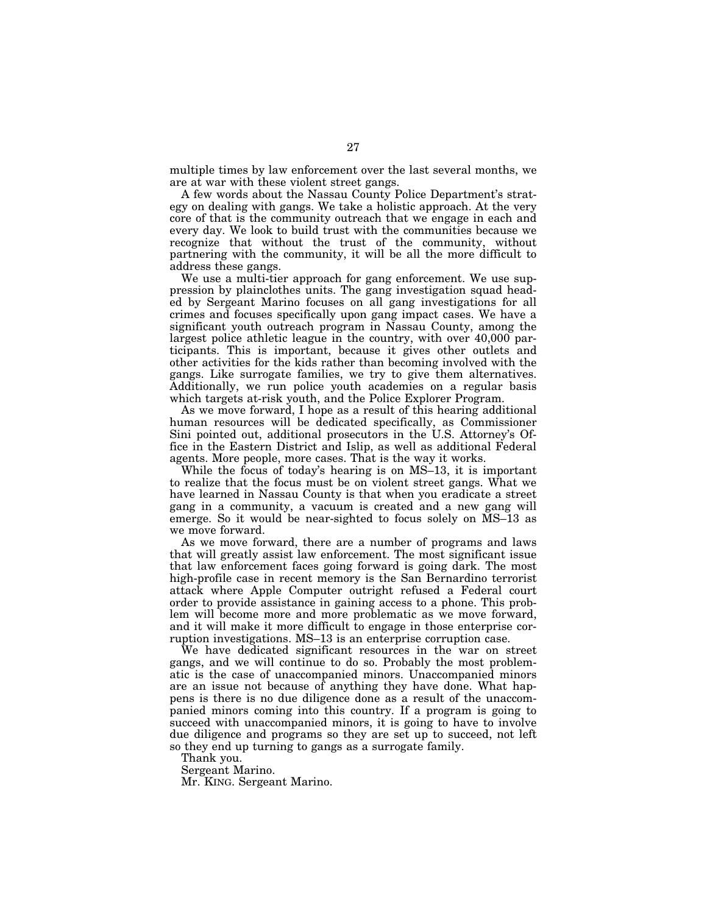multiple times by law enforcement over the last several months, we are at war with these violent street gangs.

A few words about the Nassau County Police Department's strategy on dealing with gangs. We take a holistic approach. At the very core of that is the community outreach that we engage in each and every day. We look to build trust with the communities because we recognize that without the trust of the community, without partnering with the community, it will be all the more difficult to address these gangs.

We use a multi-tier approach for gang enforcement. We use suppression by plainclothes units. The gang investigation squad headed by Sergeant Marino focuses on all gang investigations for all crimes and focuses specifically upon gang impact cases. We have a significant youth outreach program in Nassau County, among the largest police athletic league in the country, with over 40,000 participants. This is important, because it gives other outlets and other activities for the kids rather than becoming involved with the gangs. Like surrogate families, we try to give them alternatives. Additionally, we run police youth academies on a regular basis which targets at-risk youth, and the Police Explorer Program.

As we move forward, I hope as a result of this hearing additional human resources will be dedicated specifically, as Commissioner Sini pointed out, additional prosecutors in the U.S. Attorney's Office in the Eastern District and Islip, as well as additional Federal agents. More people, more cases. That is the way it works.

While the focus of today's hearing is on MS–13, it is important to realize that the focus must be on violent street gangs. What we have learned in Nassau County is that when you eradicate a street gang in a community, a vacuum is created and a new gang will emerge. So it would be near-sighted to focus solely on MS–13 as we move forward.

As we move forward, there are a number of programs and laws that will greatly assist law enforcement. The most significant issue that law enforcement faces going forward is going dark. The most high-profile case in recent memory is the San Bernardino terrorist attack where Apple Computer outright refused a Federal court order to provide assistance in gaining access to a phone. This problem will become more and more problematic as we move forward, and it will make it more difficult to engage in those enterprise corruption investigations. MS–13 is an enterprise corruption case.

We have dedicated significant resources in the war on street gangs, and we will continue to do so. Probably the most problematic is the case of unaccompanied minors. Unaccompanied minors are an issue not because of anything they have done. What happens is there is no due diligence done as a result of the unaccompanied minors coming into this country. If a program is going to succeed with unaccompanied minors, it is going to have to involve due diligence and programs so they are set up to succeed, not left so they end up turning to gangs as a surrogate family.

Thank you.

Sergeant Marino.

Mr. KING. Sergeant Marino.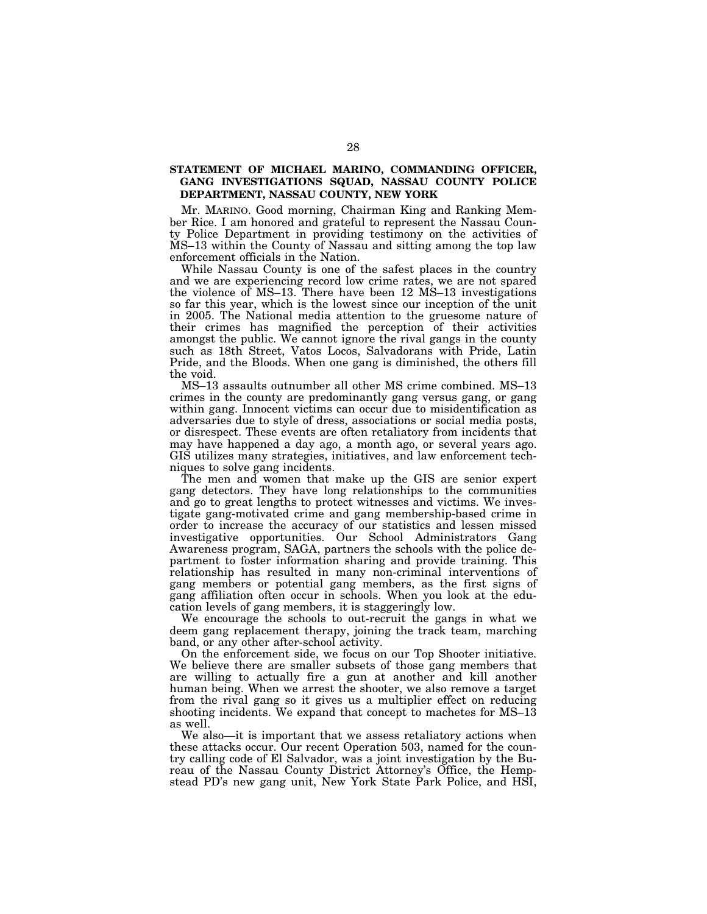# **STATEMENT OF MICHAEL MARINO, COMMANDING OFFICER, GANG INVESTIGATIONS SQUAD, NASSAU COUNTY POLICE DEPARTMENT, NASSAU COUNTY, NEW YORK**

Mr. MARINO. Good morning, Chairman King and Ranking Member Rice. I am honored and grateful to represent the Nassau County Police Department in providing testimony on the activities of MS–13 within the County of Nassau and sitting among the top law enforcement officials in the Nation.

While Nassau County is one of the safest places in the country and we are experiencing record low crime rates, we are not spared the violence of MS–13. There have been 12 MS–13 investigations so far this year, which is the lowest since our inception of the unit in 2005. The National media attention to the gruesome nature of their crimes has magnified the perception of their activities amongst the public. We cannot ignore the rival gangs in the county such as 18th Street, Vatos Locos, Salvadorans with Pride, Latin Pride, and the Bloods. When one gang is diminished, the others fill the void.

MS–13 assaults outnumber all other MS crime combined. MS–13 crimes in the county are predominantly gang versus gang, or gang within gang. Innocent victims can occur due to misidentification as adversaries due to style of dress, associations or social media posts, or disrespect. These events are often retaliatory from incidents that may have happened a day ago, a month ago, or several years ago. GIS utilizes many strategies, initiatives, and law enforcement techniques to solve gang incidents.

The men and women that make up the GIS are senior expert gang detectors. They have long relationships to the communities and go to great lengths to protect witnesses and victims. We investigate gang-motivated crime and gang membership-based crime in order to increase the accuracy of our statistics and lessen missed investigative opportunities. Our School Administrators Gang Awareness program, SAGA, partners the schools with the police department to foster information sharing and provide training. This relationship has resulted in many non-criminal interventions of gang members or potential gang members, as the first signs of gang affiliation often occur in schools. When you look at the education levels of gang members, it is staggeringly low.

We encourage the schools to out-recruit the gangs in what we deem gang replacement therapy, joining the track team, marching band, or any other after-school activity.

On the enforcement side, we focus on our Top Shooter initiative. We believe there are smaller subsets of those gang members that are willing to actually fire a gun at another and kill another human being. When we arrest the shooter, we also remove a target from the rival gang so it gives us a multiplier effect on reducing shooting incidents. We expand that concept to machetes for MS–13 as well.

We also—it is important that we assess retaliatory actions when these attacks occur. Our recent Operation 503, named for the country calling code of El Salvador, was a joint investigation by the Bureau of the Nassau County District Attorney's Office, the Hempstead PD's new gang unit, New York State Park Police, and HSI,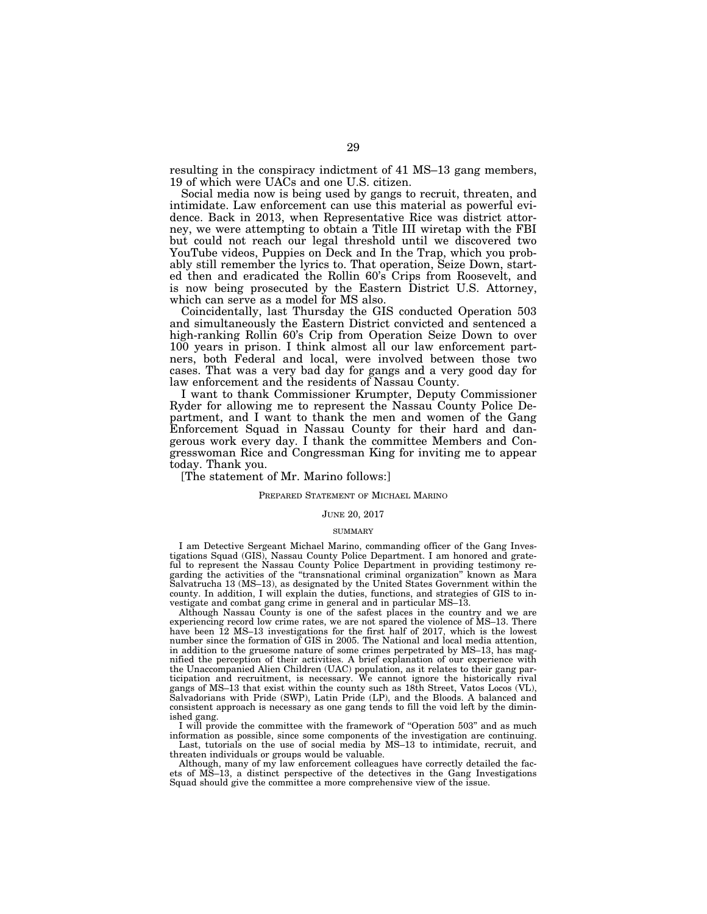resulting in the conspiracy indictment of 41 MS–13 gang members, 19 of which were UACs and one U.S. citizen.

Social media now is being used by gangs to recruit, threaten, and intimidate. Law enforcement can use this material as powerful evidence. Back in 2013, when Representative Rice was district attorney, we were attempting to obtain a Title III wiretap with the FBI but could not reach our legal threshold until we discovered two YouTube videos, Puppies on Deck and In the Trap, which you probably still remember the lyrics to. That operation, Seize Down, started then and eradicated the Rollin 60's Crips from Roosevelt, and is now being prosecuted by the Eastern District U.S. Attorney, which can serve as a model for MS also.

Coincidentally, last Thursday the GIS conducted Operation 503 and simultaneously the Eastern District convicted and sentenced a high-ranking Rollin 60's Crip from Operation Seize Down to over 100 years in prison. I think almost all our law enforcement partners, both Federal and local, were involved between those two cases. That was a very bad day for gangs and a very good day for law enforcement and the residents of Nassau County.

I want to thank Commissioner Krumpter, Deputy Commissioner Ryder for allowing me to represent the Nassau County Police Department, and I want to thank the men and women of the Gang Enforcement Squad in Nassau County for their hard and dangerous work every day. I thank the committee Members and Congresswoman Rice and Congressman King for inviting me to appear today. Thank you.

[The statement of Mr. Marino follows:]

#### PREPARED STATEMENT OF MICHAEL MARINO

#### JUNE 20, 2017

### **SUMMARY**

I am Detective Sergeant Michael Marino, commanding officer of the Gang Investigations Squad (GIS), Nassau County Police Department. I am honored and grateful to represent the Nassau County Police Department in providing testimony regarding the activities of the ''transnational criminal organization'' known as Mara Salvatrucha 13 (MS–13), as designated by the United States Government within the county. In addition, I will explain the duties, functions, and strategies of GIS to investigate and combat gang crime in general and in particular MS–13.

Although Nassau County is one of the safest places in the country and we are experiencing record low crime rates, we are not spared the violence of MS–13. There have been 12 MS–13 investigations for the first half of 2017, which is the lowest number since the formation of GIS in 2005. The National and local media attention, in addition to the gruesome nature of some crimes perpetrated by MS–13, has magnified the perception of their activities. A brief explanation of our experience with the Unaccompanied Alien Children (UAC) population, as it relates to their gang participation and recruitment, is necessary. We cannot ignore the historically rival gangs of MS–13 that exist within the county such as 18th Street, Vatos Locos (VL), Salvadorians with Pride (SWP), Latin Pride (LP), and the Bloods. A balanced and consistent approach is necessary as one gang tends to fill the void left by the diminished gang.

I will provide the committee with the framework of ''Operation 503'' and as much information as possible, since some components of the investigation are continuing. Last, tutorials on the use of social media by MS–13 to intimidate, recruit, and

threaten individuals or groups would be valuable.

Although, many of my law enforcement colleagues have correctly detailed the facets of MS–13, a distinct perspective of the detectives in the Gang Investigations Squad should give the committee a more comprehensive view of the issue.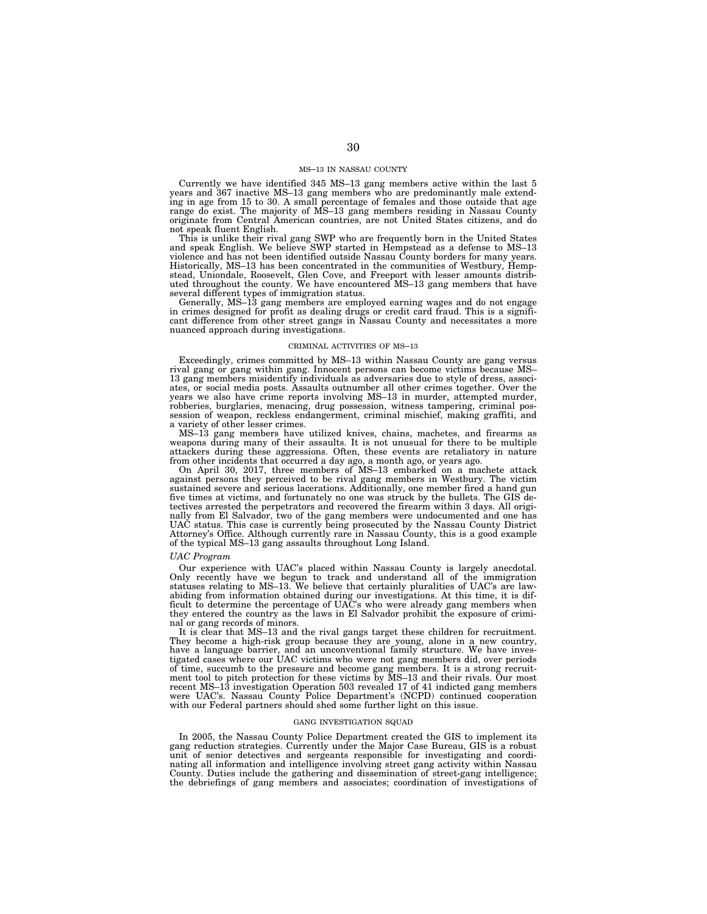#### MS–13 IN NASSAU COUNTY

Currently we have identified 345 MS–13 gang members active within the last 5 years and 367 inactive MS–13 gang members who are predominantly male extending in age from 15 to 30. A small percentage of females and those outside that age range do exist. The majority of MS–13 gang members residing in Nassau County originate from Central American countries, are not United States citizens, and do not speak fluent English.

This is unlike their rival gang SWP who are frequently born in the United States and speak English. We believe SWP started in Hempstead as a defense to MS–13 violence and has not been identified outside Nassau County borders for many years. Historically, MS–13 has been concentrated in the communities of Westbury, Hempstead, Uniondale, Roosevelt, Glen Cove, and Freeport with lesser amounts distrib-uted throughout the county. We have encountered MS–13 gang members that have several different types of immigration status. Generally, MS–13 gang members are employed earning wages and do not engage

in crimes designed for profit as dealing drugs or credit card fraud. This is a signifi-cant difference from other street gangs in Nassau County and necessitates a more nuanced approach during investigations.

#### CRIMINAL ACTIVITIES OF MS–13

Exceedingly, crimes committed by MS–13 within Nassau County are gang versus rival gang or gang within gang. Innocent persons can become victims because MS– 13 gang members misidentify individuals as adversaries due to style of dress, associates, or social media posts. Assaults outnumber all other crimes together. Over the years we also have crime reports involving MS–13 in murder, attempted murder, robberies, burglaries, menacing, drug possession, witness tampering, criminal pos-session of weapon, reckless endangerment, criminal mischief, making graffiti, and

a variety of other lesser crimes. MS–13 gang members have utilized knives, chains, machetes, and firearms as weapons during many of their assaults. It is not unusual for there to be multiple attackers during these aggressions. Often, these events are retaliatory in nature from other incidents that occurred a day ago, a month ago, or years ago.

On April 30, 2017, three members of MS–13 embarked on a machete attack against persons they perceived to be rival gang members in Westbury. The victim sustained severe and serious lacerations. Additionally, one member fired a hand gun five times at victims, and fortunately no one was struck by the bullets. The GIS detectives arrested the perpetrators and recovered the firearm within 3 days. All originally from El Salvador, two of the gang members were undocumented and one has UAC status. This case is currently being prosecuted by the of the typical MS–13 gang assaults throughout Long Island.

#### *UAC Program*

Our experience with UAC's placed within Nassau County is largely anecdotal.<br>Only recently have we begun to track and understand all of the immigration<br>statuses relating to MS–13. We believe that certainly pluralities of UA abiding from information obtained during our investigations. At this time, it is difficult to determine the percentage of UAC's who were already gang members when they entered the country as the laws in El Salvador prohibit the exposure of criminal or gang records of minors.

It is clear that MS–13 and the rival gangs target these children for recruitment. They become a high-risk group because they are young, alone in a new country, have a language barrier, and an unconventional family structure. We have investigated cases where our UAC victims who were not gang members did, over periods of time, succumb to the pressure and become gang members. It is a strong recruitment tool to pitch protection for these victims by MS–13 and their rivals. Our most recent MS–13 investigation Operation 503 revealed 17 of 41 indicted gang members were UAC's. Nassau County Police Department's (NCPD) continued cooperation with our Federal partners should shed some further light on this issue.

#### GANG INVESTIGATION SQUAD

In 2005, the Nassau County Police Department created the GIS to implement its gang reduction strategies. Currently under the Major Case Bureau, GIS is a robust unit of senior detectives and sergeants responsible for investigating and coordinating all information and intelligence involving street gang activity within Nassau County. Duties include the gathering and dissemination of street-gang intelligence; the debriefings of gang members and associates; coordination of investigations of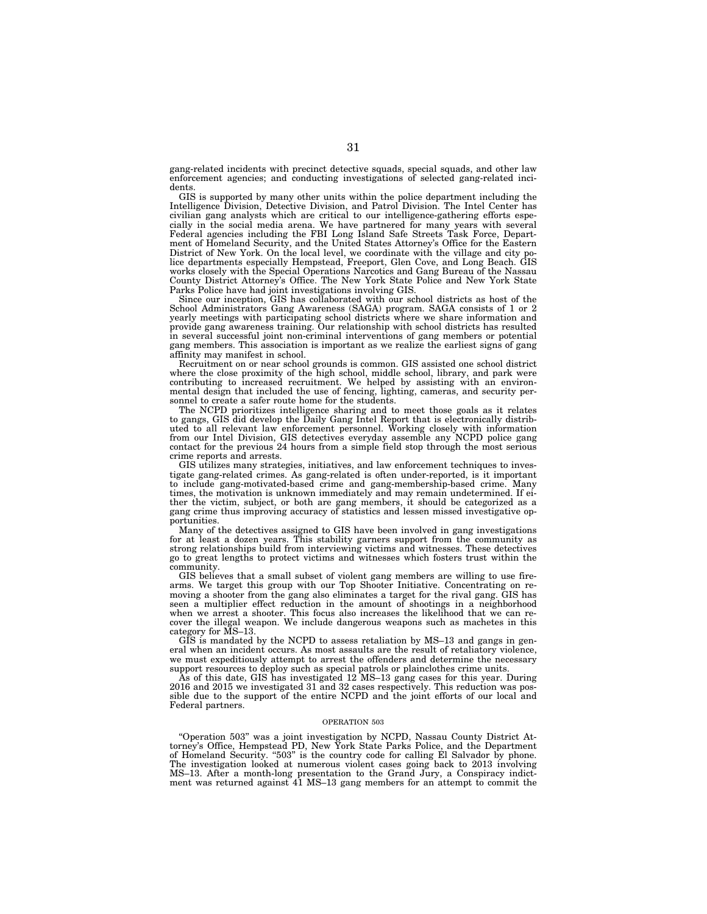gang-related incidents with precinct detective squads, special squads, and other law enforcement agencies; and conducting investigations of selected gang-related incidents.

GIS is supported by many other units within the police department including the Intelligence Division, Detective Division, and Patrol Division. The Intel Center has civilian gang analysts which are critical to our intelligence-gathering efforts especially in the social media arena. We have partnered for many years with several Federal agencies including the FBI Long Island Safe Streets Task Force, Department of Homeland Security, and the United States Attorney's Office for the Eastern District of New York. On the local level, we coordinate with the village and city police departments especially Hempstead, Freeport, Glen Cove, and Long Beach. GIS works closely with the Special Operations Narcotics and Gang Bureau of the Nassau County District Attorney's Office. The New York State Police and New York State Parks Police have had joint investigations involving GIS.

Since our inception, GIS has collaborated with our school districts as host of the School Administrators Gang Awareness (SAGA) program. SAGA consists of 1 or 2 yearly meetings with participating school districts where we share information and provide gang awareness training. Our relationship with school districts has resulted in several successful joint non-criminal interventions of gang members or potential gang members. This association is important as we realize the earliest signs of gang affinity may manifest in school.

Recruitment on or near school grounds is common. GIS assisted one school district where the close proximity of the high school, middle school, library, and park were contributing to increased recruitment. We helped by assisting with an environmental design that included the use of fencing, lighting, cameras, and security personnel to create a safer route home for the students.

The NCPD prioritizes intelligence sharing and to meet those goals as it relates to gangs, GIS did develop the Daily Gang Intel Report that is electronically distributed to all relevant law enforcement personnel. Working closely with information from our Intel Division, GIS detectives everyday assemble any NCPD police gang contact for the previous 24 hours from a simple field stop through the most serious crime reports and arrests.

GIS utilizes many strategies, initiatives, and law enforcement techniques to investigate gang-related crimes. As gang-related is often under-reported, is it important to include gang-motivated-based crime and gang-membership-based crime. Many times, the motivation is unknown immediately and may remain undetermined. If either the victim, subject, or both are gang members, it should be categorized as a gang crime thus improving accuracy of statistics and lessen missed investigative opportunities.

Many of the detectives assigned to GIS have been involved in gang investigations for at least a dozen years. This stability garners support from the community as strong relationships build from interviewing victims and witnesses. These detectives go to great lengths to protect victims and witnesses which fosters trust within the community.

GIS believes that a small subset of violent gang members are willing to use firearms. We target this group with our Top Shooter Initiative. Concentrating on removing a shooter from the gang also eliminates a target for the rival gang. GIS has seen a multiplier effect reduction in the amount of shootings in a neighborhood when we arrest a shooter. This focus also increases the likelihood that we can rewhen we arrest a shooter. This focus also increases the likelihood that we can recover the illegal weapon. We include dangerous weapons such as machetes in this category for MS–13.

GIS is mandated by the NCPD to assess retaliation by MS–13 and gangs in general when an incident occurs. As most assaults are the result of retaliatory violence, we must expeditiously attempt to arrest the offenders and determine the necessary support resources to deploy such as special patrols or plainclothes crime units.

As of this date, GIS has investigated 12 MS–13 gang cases for this year. During 2016 and 2015 we investigated 31 and 32 cases respectively. This reduction was possible due to the support of the entire NCPD and the joint efforts of our local and Federal partners.

#### OPERATION 503

''Operation 503'' was a joint investigation by NCPD, Nassau County District Attorney's Office, Hempstead PD, New York State Parks Police, and the Department of Homeland Security. "503" is the country code for calling El Salvador by phone. The investigation looked at numerous violent cases going back to 2013 involving MS–13. After a month-long presentation to the Grand Jury, a Conspiracy indictment was returned against 41 MS–13 gang members for an attempt to commit the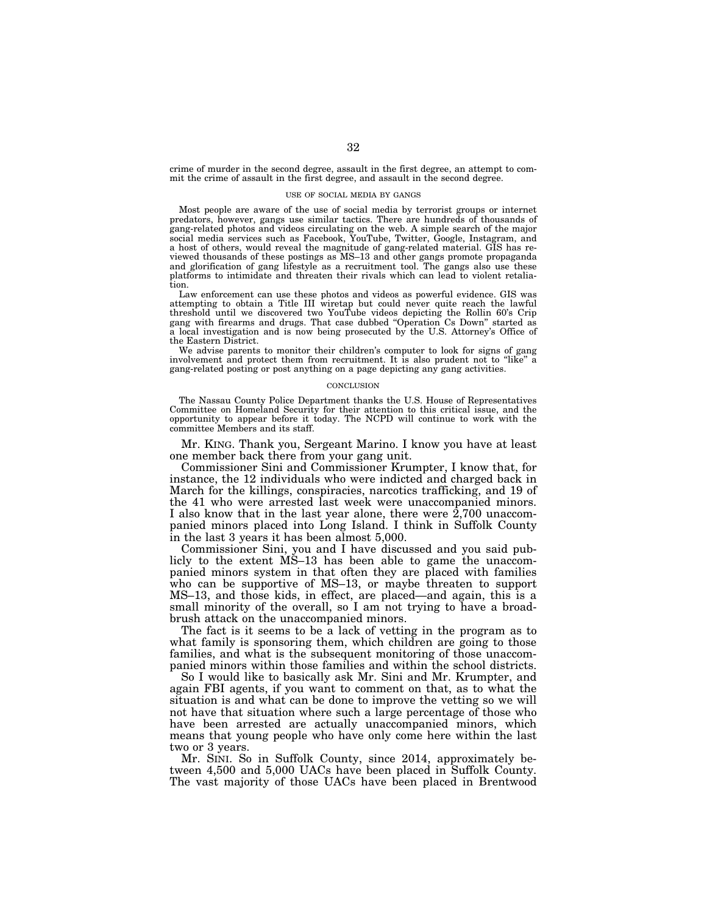crime of murder in the second degree, assault in the first degree, an attempt to commit the crime of assault in the first degree, and assault in the second degree.

#### USE OF SOCIAL MEDIA BY GANGS

Most people are aware of the use of social media by terrorist groups or internet predators, however, gangs use similar tactics. There are hundreds of thousands of gang-related photos and videos circulating on the web. A simple search of the major social media services such as Facebook, YouTube, Twitter, Google, Instagram, and a host of others, would reveal the magnitude of gang-related material. GIS has reviewed thousands of these postings as MS–13 and other gangs promote propaganda and glorification of gang lifestyle as a recruitment tool. The gangs also use these platforms to intimidate and threaten their rivals which can lead to violent retaliation.

Law enforcement can use these photos and videos as powerful evidence. GIS was attempting to obtain a Title III wiretap but could never quite reach the lawful threshold until we discovered two YouTube videos depicting the Rollin 60's Crip gang with firearms and drugs. That case dubbed ''Operation Cs Down'' started as a local investigation and is now being prosecuted by the U.S. Attorney's Office of the Eastern District.

We advise parents to monitor their children's computer to look for signs of gang involvement and protect them from recruitment. It is also prudent not to ''like'' a gang-related posting or post anything on a page depicting any gang activities.

#### **CONCLUSION**

The Nassau County Police Department thanks the U.S. House of Representatives Committee on Homeland Security for their attention to this critical issue, and the opportunity to appear before it today. The NCPD will continue to work with the committee Members and its staff.

Mr. KING. Thank you, Sergeant Marino. I know you have at least one member back there from your gang unit.

Commissioner Sini and Commissioner Krumpter, I know that, for instance, the 12 individuals who were indicted and charged back in March for the killings, conspiracies, narcotics trafficking, and 19 of the 41 who were arrested last week were unaccompanied minors. I also know that in the last year alone, there were 2,700 unaccompanied minors placed into Long Island. I think in Suffolk County in the last 3 years it has been almost 5,000.

Commissioner Sini, you and I have discussed and you said publicly to the extent MS–13 has been able to game the unaccompanied minors system in that often they are placed with families who can be supportive of MS–13, or maybe threaten to support MS–13, and those kids, in effect, are placed—and again, this is a small minority of the overall, so I am not trying to have a broadbrush attack on the unaccompanied minors.

The fact is it seems to be a lack of vetting in the program as to what family is sponsoring them, which children are going to those families, and what is the subsequent monitoring of those unaccompanied minors within those families and within the school districts.

So I would like to basically ask Mr. Sini and Mr. Krumpter, and again FBI agents, if you want to comment on that, as to what the situation is and what can be done to improve the vetting so we will not have that situation where such a large percentage of those who have been arrested are actually unaccompanied minors, which means that young people who have only come here within the last two or 3 years.

Mr. SINI. So in Suffolk County, since 2014, approximately between 4,500 and 5,000 UACs have been placed in Suffolk County. The vast majority of those UACs have been placed in Brentwood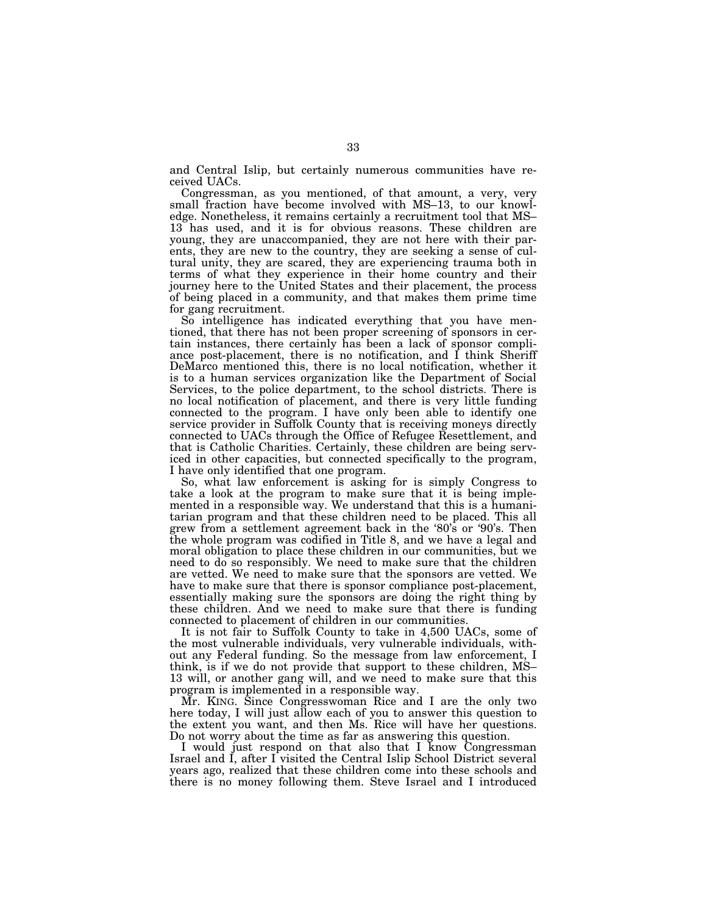and Central Islip, but certainly numerous communities have received UACs.

Congressman, as you mentioned, of that amount, a very, very small fraction have become involved with MS–13, to our knowledge. Nonetheless, it remains certainly a recruitment tool that MS– 13 has used, and it is for obvious reasons. These children are young, they are unaccompanied, they are not here with their parents, they are new to the country, they are seeking a sense of cultural unity, they are scared, they are experiencing trauma both in terms of what they experience in their home country and their journey here to the United States and their placement, the process of being placed in a community, and that makes them prime time for gang recruitment.

So intelligence has indicated everything that you have mentioned, that there has not been proper screening of sponsors in certain instances, there certainly has been a lack of sponsor compliance post-placement, there is no notification, and I think Sheriff DeMarco mentioned this, there is no local notification, whether it is to a human services organization like the Department of Social Services, to the police department, to the school districts. There is no local notification of placement, and there is very little funding connected to the program. I have only been able to identify one service provider in Suffolk County that is receiving moneys directly connected to UACs through the Office of Refugee Resettlement, and that is Catholic Charities. Certainly, these children are being serviced in other capacities, but connected specifically to the program, I have only identified that one program.

So, what law enforcement is asking for is simply Congress to take a look at the program to make sure that it is being implemented in a responsible way. We understand that this is a humanitarian program and that these children need to be placed. This all grew from a settlement agreement back in the '80's or '90's. Then the whole program was codified in Title 8, and we have a legal and moral obligation to place these children in our communities, but we need to do so responsibly. We need to make sure that the children are vetted. We need to make sure that the sponsors are vetted. We have to make sure that there is sponsor compliance post-placement, essentially making sure the sponsors are doing the right thing by these children. And we need to make sure that there is funding connected to placement of children in our communities.

It is not fair to Suffolk County to take in 4,500 UACs, some of the most vulnerable individuals, very vulnerable individuals, without any Federal funding. So the message from law enforcement, I think, is if we do not provide that support to these children, MS– 13 will, or another gang will, and we need to make sure that this program is implemented in a responsible way.

Mr. KING. Since Congresswoman Rice and I are the only two here today, I will just allow each of you to answer this question to the extent you want, and then Ms. Rice will have her questions. Do not worry about the time as far as answering this question.

I would just respond on that also that I know Congressman Israel and I, after I visited the Central Islip School District several years ago, realized that these children come into these schools and there is no money following them. Steve Israel and I introduced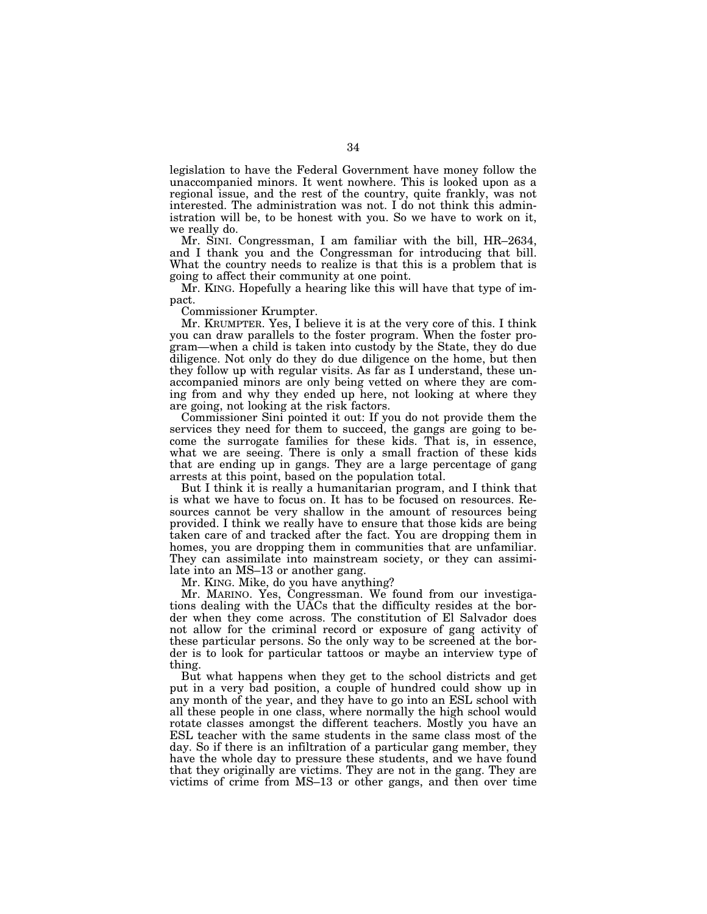legislation to have the Federal Government have money follow the unaccompanied minors. It went nowhere. This is looked upon as a regional issue, and the rest of the country, quite frankly, was not interested. The administration was not. I do not think this administration will be, to be honest with you. So we have to work on it, we really do.

Mr. SINI. Congressman, I am familiar with the bill, HR–2634, and I thank you and the Congressman for introducing that bill. What the country needs to realize is that this is a problem that is going to affect their community at one point.

Mr. KING. Hopefully a hearing like this will have that type of impact.

Commissioner Krumpter.

Mr. KRUMPTER. Yes, I believe it is at the very core of this. I think you can draw parallels to the foster program. When the foster program—when a child is taken into custody by the State, they do due diligence. Not only do they do due diligence on the home, but then they follow up with regular visits. As far as I understand, these unaccompanied minors are only being vetted on where they are coming from and why they ended up here, not looking at where they are going, not looking at the risk factors.

Commissioner Sini pointed it out: If you do not provide them the services they need for them to succeed, the gangs are going to become the surrogate families for these kids. That is, in essence, what we are seeing. There is only a small fraction of these kids that are ending up in gangs. They are a large percentage of gang arrests at this point, based on the population total.

But I think it is really a humanitarian program, and I think that is what we have to focus on. It has to be focused on resources. Resources cannot be very shallow in the amount of resources being provided. I think we really have to ensure that those kids are being taken care of and tracked after the fact. You are dropping them in homes, you are dropping them in communities that are unfamiliar. They can assimilate into mainstream society, or they can assimilate into an MS–13 or another gang.

Mr. KING. Mike, do you have anything?

Mr. MARINO. Yes, Congressman. We found from our investigations dealing with the UACs that the difficulty resides at the border when they come across. The constitution of El Salvador does not allow for the criminal record or exposure of gang activity of these particular persons. So the only way to be screened at the border is to look for particular tattoos or maybe an interview type of thing.

But what happens when they get to the school districts and get put in a very bad position, a couple of hundred could show up in any month of the year, and they have to go into an ESL school with all these people in one class, where normally the high school would rotate classes amongst the different teachers. Mostly you have an ESL teacher with the same students in the same class most of the day. So if there is an infiltration of a particular gang member, they have the whole day to pressure these students, and we have found that they originally are victims. They are not in the gang. They are victims of crime from MS–13 or other gangs, and then over time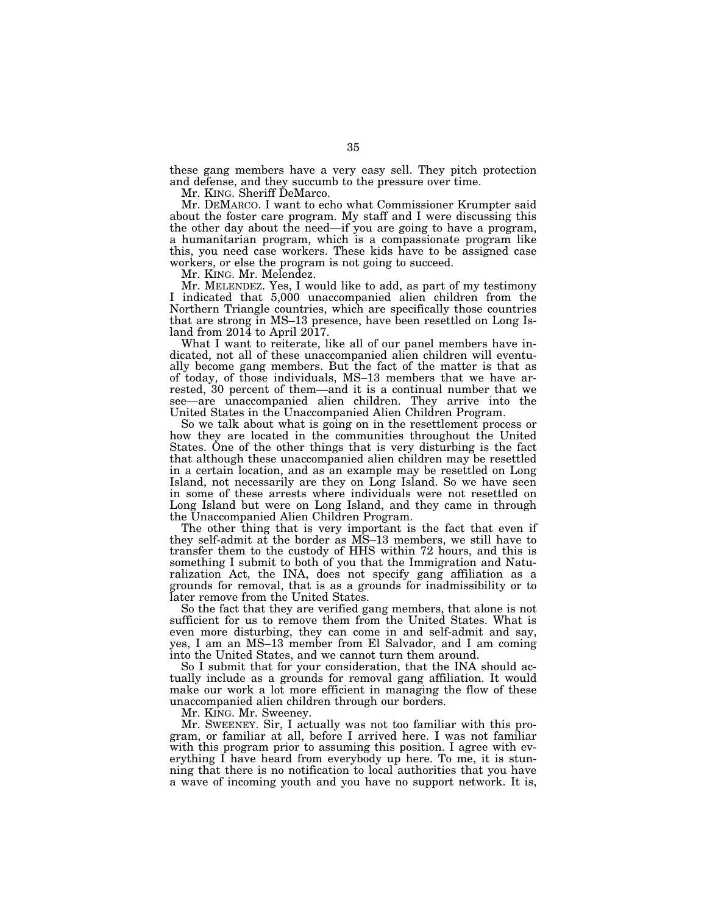these gang members have a very easy sell. They pitch protection and defense, and they succumb to the pressure over time.

Mr. KING. Sheriff DeMarco.

Mr. DEMARCO. I want to echo what Commissioner Krumpter said about the foster care program. My staff and I were discussing this the other day about the need—if you are going to have a program, a humanitarian program, which is a compassionate program like this, you need case workers. These kids have to be assigned case workers, or else the program is not going to succeed.

Mr. KING. Mr. Melendez.

Mr. MELENDEZ. Yes, I would like to add, as part of my testimony I indicated that 5,000 unaccompanied alien children from the Northern Triangle countries, which are specifically those countries that are strong in MS–13 presence, have been resettled on Long Island from 2014 to April 2017.

What I want to reiterate, like all of our panel members have indicated, not all of these unaccompanied alien children will eventually become gang members. But the fact of the matter is that as of today, of those individuals, MS–13 members that we have arrested, 30 percent of them—and it is a continual number that we see—are unaccompanied alien children. They arrive into the United States in the Unaccompanied Alien Children Program.

So we talk about what is going on in the resettlement process or how they are located in the communities throughout the United States. One of the other things that is very disturbing is the fact that although these unaccompanied alien children may be resettled in a certain location, and as an example may be resettled on Long Island, not necessarily are they on Long Island. So we have seen in some of these arrests where individuals were not resettled on Long Island but were on Long Island, and they came in through the Unaccompanied Alien Children Program.

The other thing that is very important is the fact that even if they self-admit at the border as MS–13 members, we still have to transfer them to the custody of HHS within 72 hours, and this is something I submit to both of you that the Immigration and Naturalization Act, the INA, does not specify gang affiliation as a grounds for removal, that is as a grounds for inadmissibility or to later remove from the United States.

So the fact that they are verified gang members, that alone is not sufficient for us to remove them from the United States. What is even more disturbing, they can come in and self-admit and say, yes, I am an MS–13 member from El Salvador, and I am coming into the United States, and we cannot turn them around.

So I submit that for your consideration, that the INA should actually include as a grounds for removal gang affiliation. It would make our work a lot more efficient in managing the flow of these unaccompanied alien children through our borders.

Mr. KING. Mr. Sweeney.

Mr. SWEENEY. Sir, I actually was not too familiar with this program, or familiar at all, before I arrived here. I was not familiar with this program prior to assuming this position. I agree with everything I have heard from everybody up here. To me, it is stunning that there is no notification to local authorities that you have a wave of incoming youth and you have no support network. It is,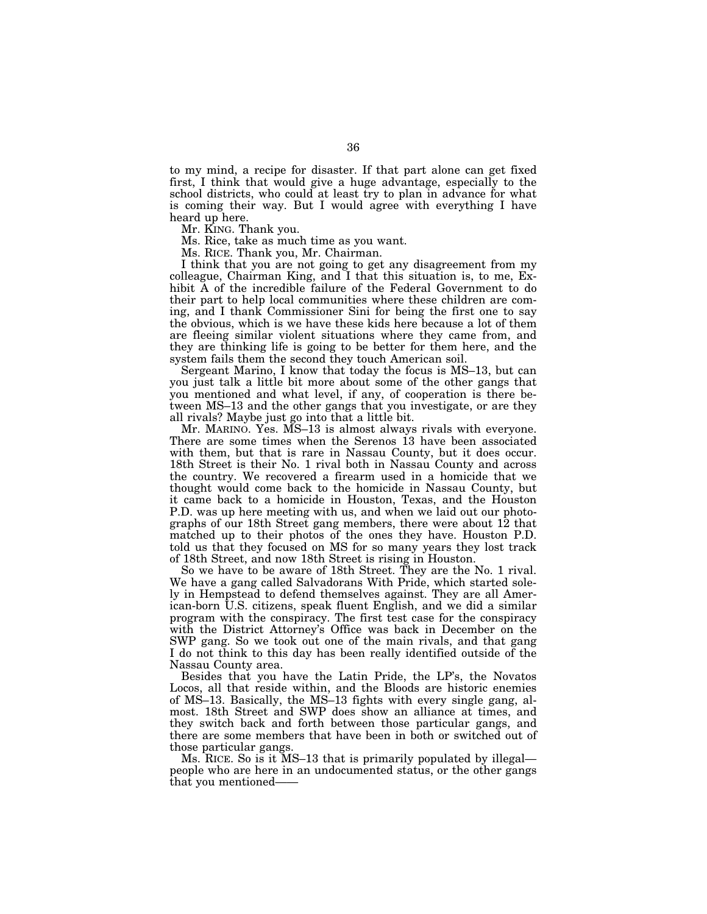to my mind, a recipe for disaster. If that part alone can get fixed first, I think that would give a huge advantage, especially to the school districts, who could at least try to plan in advance for what is coming their way. But I would agree with everything I have heard up here.

Mr. KING. Thank you.

Ms. Rice, take as much time as you want.

Ms. RICE. Thank you, Mr. Chairman.

I think that you are not going to get any disagreement from my colleague, Chairman King, and I that this situation is, to me, Exhibit A of the incredible failure of the Federal Government to do their part to help local communities where these children are coming, and I thank Commissioner Sini for being the first one to say the obvious, which is we have these kids here because a lot of them are fleeing similar violent situations where they came from, and they are thinking life is going to be better for them here, and the system fails them the second they touch American soil.

Sergeant Marino, I know that today the focus is MS–13, but can you just talk a little bit more about some of the other gangs that you mentioned and what level, if any, of cooperation is there between MS–13 and the other gangs that you investigate, or are they all rivals? Maybe just go into that a little bit.

Mr. MARINO. Yes. MS–13 is almost always rivals with everyone. There are some times when the Serenos 13 have been associated with them, but that is rare in Nassau County, but it does occur. 18th Street is their No. 1 rival both in Nassau County and across the country. We recovered a firearm used in a homicide that we thought would come back to the homicide in Nassau County, but it came back to a homicide in Houston, Texas, and the Houston P.D. was up here meeting with us, and when we laid out our photographs of our 18th Street gang members, there were about 12 that matched up to their photos of the ones they have. Houston P.D. told us that they focused on MS for so many years they lost track of 18th Street, and now 18th Street is rising in Houston.

So we have to be aware of 18th Street. They are the No. 1 rival. We have a gang called Salvadorans With Pride, which started solely in Hempstead to defend themselves against. They are all American-born U.S. citizens, speak fluent English, and we did a similar program with the conspiracy. The first test case for the conspiracy with the District Attorney's Office was back in December on the SWP gang. So we took out one of the main rivals, and that gang I do not think to this day has been really identified outside of the Nassau County area.

Besides that you have the Latin Pride, the LP's, the Novatos Locos, all that reside within, and the Bloods are historic enemies of MS–13. Basically, the MS–13 fights with every single gang, almost. 18th Street and SWP does show an alliance at times, and they switch back and forth between those particular gangs, and there are some members that have been in both or switched out of those particular gangs.

Ms. RICE. So is it MS–13 that is primarily populated by illegal people who are here in an undocumented status, or the other gangs that you mentioned——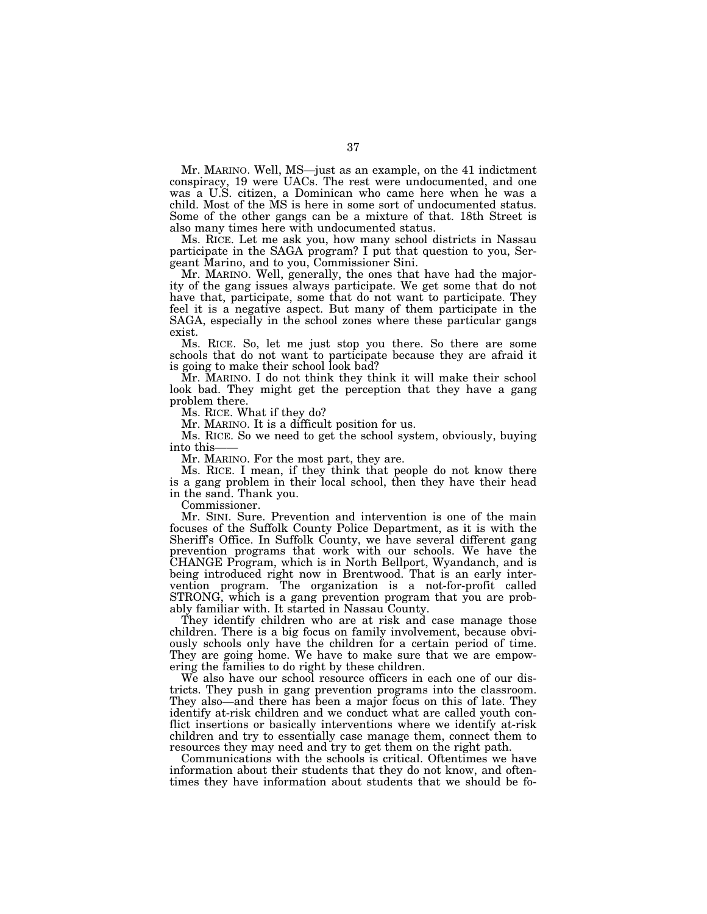Mr. MARINO. Well, MS—just as an example, on the 41 indictment conspiracy, 19 were UACs. The rest were undocumented, and one was a U.S. citizen, a Dominican who came here when he was a child. Most of the MS is here in some sort of undocumented status. Some of the other gangs can be a mixture of that. 18th Street is also many times here with undocumented status.

Ms. RICE. Let me ask you, how many school districts in Nassau participate in the SAGA program? I put that question to you, Sergeant Marino, and to you, Commissioner Sini.

Mr. MARINO. Well, generally, the ones that have had the majority of the gang issues always participate. We get some that do not have that, participate, some that do not want to participate. They feel it is a negative aspect. But many of them participate in the SAGA, especially in the school zones where these particular gangs exist.

Ms. RICE. So, let me just stop you there. So there are some schools that do not want to participate because they are afraid it is going to make their school look bad?

Mr. MARINO. I do not think they think it will make their school look bad. They might get the perception that they have a gang problem there.

Ms. RICE. What if they do?

Mr. MARINO. It is a difficult position for us.

Ms. RICE. So we need to get the school system, obviously, buying into this-

Mr. MARINO. For the most part, they are.

Ms. RICE. I mean, if they think that people do not know there is a gang problem in their local school, then they have their head in the sand. Thank you.

Commissioner.

Mr. SINI. Sure. Prevention and intervention is one of the main focuses of the Suffolk County Police Department, as it is with the Sheriff's Office. In Suffolk County, we have several different gang prevention programs that work with our schools. We have the CHANGE Program, which is in North Bellport, Wyandanch, and is being introduced right now in Brentwood. That is an early intervention program. The organization is a not-for-profit called STRONG, which is a gang prevention program that you are probably familiar with. It started in Nassau County.

They identify children who are at risk and case manage those children. There is a big focus on family involvement, because obviously schools only have the children for a certain period of time. They are going home. We have to make sure that we are empowering the families to do right by these children.

We also have our school resource officers in each one of our districts. They push in gang prevention programs into the classroom. They also—and there has been a major focus on this of late. They identify at-risk children and we conduct what are called youth conflict insertions or basically interventions where we identify at-risk children and try to essentially case manage them, connect them to resources they may need and try to get them on the right path.

Communications with the schools is critical. Oftentimes we have information about their students that they do not know, and oftentimes they have information about students that we should be fo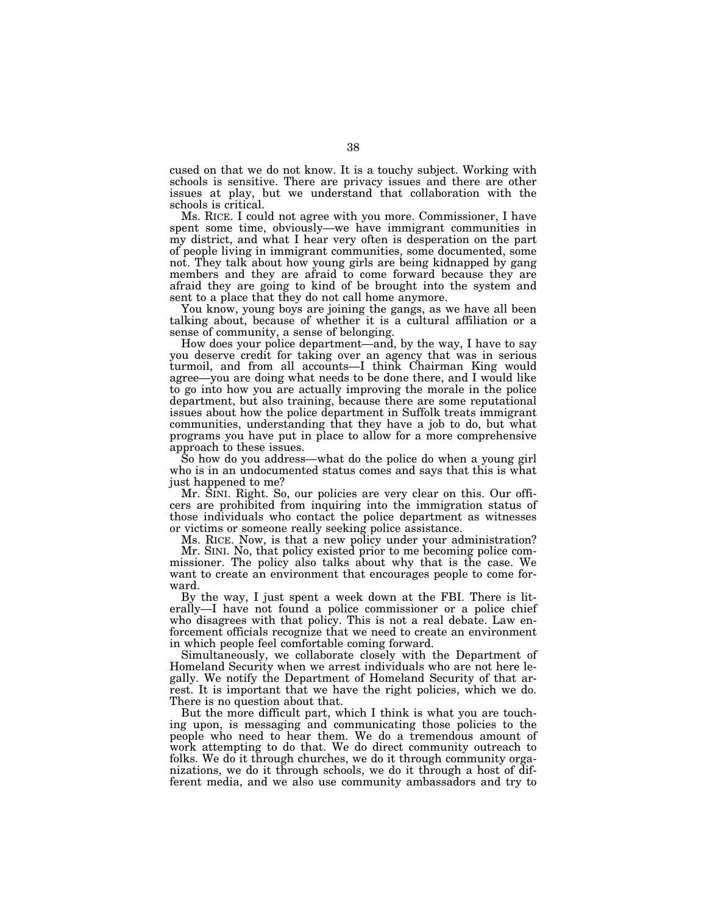cused on that we do not know. It is a touchy subject. Working with schools is sensitive. There are privacy issues and there are other issues at play, but we understand that collaboration with the schools is critical.

Ms. RICE. I could not agree with you more. Commissioner, I have spent some time, obviously—we have immigrant communities in my district, and what I hear very often is desperation on the part of people living in immigrant communities, some documented, some not. They talk about how young girls are being kidnapped by gang members and they are afraid to come forward because they are afraid they are going to kind of be brought into the system and sent to a place that they do not call home anymore.

You know, young boys are joining the gangs, as we have all been talking about, because of whether it is a cultural affiliation or a sense of community, a sense of belonging.

How does your police department—and, by the way, I have to say you deserve credit for taking over an agency that was in serious turmoil, and from all accounts—I think Chairman King would agree—you are doing what needs to be done there, and I would like to go into how you are actually improving the morale in the police department, but also training, because there are some reputational issues about how the police department in Suffolk treats immigrant communities, understanding that they have a job to do, but what programs you have put in place to allow for a more comprehensive approach to these issues.

So how do you address—what do the police do when a young girl who is in an undocumented status comes and says that this is what just happened to me?

Mr. SINI. Right. So, our policies are very clear on this. Our officers are prohibited from inquiring into the immigration status of those individuals who contact the police department as witnesses or victims or someone really seeking police assistance.

Ms. RICE. Now, is that a new policy under your administration?

Mr. SINI. No, that policy existed prior to me becoming police commissioner. The policy also talks about why that is the case. We want to create an environment that encourages people to come forward.

By the way, I just spent a week down at the FBI. There is literally—I have not found a police commissioner or a police chief who disagrees with that policy. This is not a real debate. Law enforcement officials recognize that we need to create an environment in which people feel comfortable coming forward.

Simultaneously, we collaborate closely with the Department of Homeland Security when we arrest individuals who are not here legally. We notify the Department of Homeland Security of that arrest. It is important that we have the right policies, which we do. There is no question about that.

But the more difficult part, which I think is what you are touching upon, is messaging and communicating those policies to the people who need to hear them. We do a tremendous amount of work attempting to do that. We do direct community outreach to folks. We do it through churches, we do it through community organizations, we do it through schools, we do it through a host of different media, and we also use community ambassadors and try to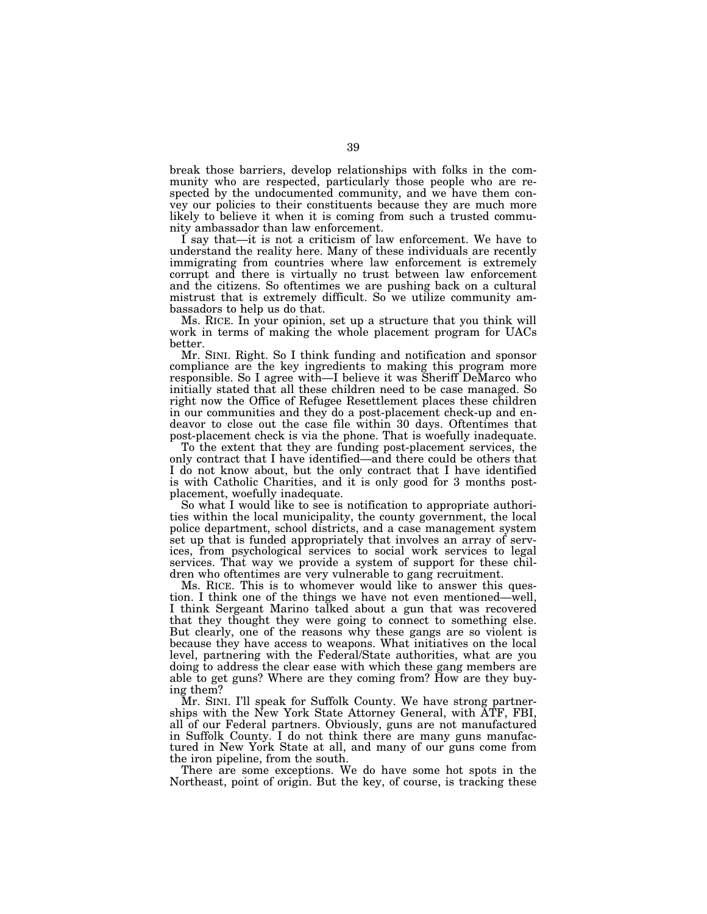break those barriers, develop relationships with folks in the community who are respected, particularly those people who are respected by the undocumented community, and we have them convey our policies to their constituents because they are much more likely to believe it when it is coming from such a trusted community ambassador than law enforcement.

I say that—it is not a criticism of law enforcement. We have to understand the reality here. Many of these individuals are recently immigrating from countries where law enforcement is extremely corrupt and there is virtually no trust between law enforcement and the citizens. So oftentimes we are pushing back on a cultural mistrust that is extremely difficult. So we utilize community ambassadors to help us do that.

Ms. RICE. In your opinion, set up a structure that you think will work in terms of making the whole placement program for UACs better.

Mr. SINI. Right. So I think funding and notification and sponsor compliance are the key ingredients to making this program more responsible. So I agree with—I believe it was Sheriff DeMarco who initially stated that all these children need to be case managed. So right now the Office of Refugee Resettlement places these children in our communities and they do a post-placement check-up and endeavor to close out the case file within 30 days. Oftentimes that post-placement check is via the phone. That is woefully inadequate.

To the extent that they are funding post-placement services, the only contract that I have identified—and there could be others that I do not know about, but the only contract that I have identified is with Catholic Charities, and it is only good for 3 months postplacement, woefully inadequate.

So what I would like to see is notification to appropriate authorities within the local municipality, the county government, the local police department, school districts, and a case management system set up that is funded appropriately that involves an array of services, from psychological services to social work services to legal services. That way we provide a system of support for these children who oftentimes are very vulnerable to gang recruitment.

Ms. RICE. This is to whomever would like to answer this question. I think one of the things we have not even mentioned—well, I think Sergeant Marino talked about a gun that was recovered that they thought they were going to connect to something else. But clearly, one of the reasons why these gangs are so violent is because they have access to weapons. What initiatives on the local level, partnering with the Federal/State authorities, what are you doing to address the clear ease with which these gang members are able to get guns? Where are they coming from? How are they buying them?

Mr. SINI. I'll speak for Suffolk County. We have strong partnerships with the New York State Attorney General, with ATF, FBI, all of our Federal partners. Obviously, guns are not manufactured in Suffolk County. I do not think there are many guns manufactured in New York State at all, and many of our guns come from the iron pipeline, from the south.

There are some exceptions. We do have some hot spots in the Northeast, point of origin. But the key, of course, is tracking these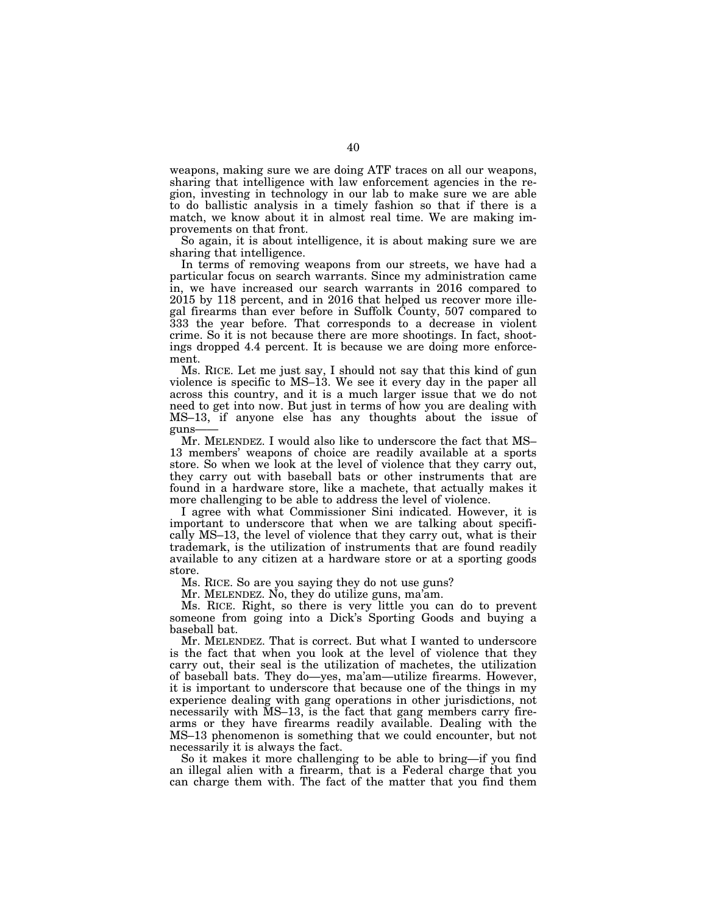weapons, making sure we are doing ATF traces on all our weapons, sharing that intelligence with law enforcement agencies in the region, investing in technology in our lab to make sure we are able to do ballistic analysis in a timely fashion so that if there is a match, we know about it in almost real time. We are making improvements on that front.

So again, it is about intelligence, it is about making sure we are sharing that intelligence.

In terms of removing weapons from our streets, we have had a particular focus on search warrants. Since my administration came in, we have increased our search warrants in 2016 compared to 2015 by 118 percent, and in 2016 that helped us recover more illegal firearms than ever before in Suffolk County, 507 compared to 333 the year before. That corresponds to a decrease in violent crime. So it is not because there are more shootings. In fact, shootings dropped 4.4 percent. It is because we are doing more enforcement.

Ms. RICE. Let me just say, I should not say that this kind of gun violence is specific to MS–13. We see it every day in the paper all across this country, and it is a much larger issue that we do not need to get into now. But just in terms of how you are dealing with MS–13, if anyone else has any thoughts about the issue of guns——

Mr. MELENDEZ. I would also like to underscore the fact that MS– 13 members' weapons of choice are readily available at a sports store. So when we look at the level of violence that they carry out, they carry out with baseball bats or other instruments that are found in a hardware store, like a machete, that actually makes it more challenging to be able to address the level of violence.

I agree with what Commissioner Sini indicated. However, it is important to underscore that when we are talking about specifically MS–13, the level of violence that they carry out, what is their trademark, is the utilization of instruments that are found readily available to any citizen at a hardware store or at a sporting goods store.

Ms. RICE. So are you saying they do not use guns?

Mr. MELENDEZ. No, they do utilize guns, ma'am.

Ms. RICE. Right, so there is very little you can do to prevent someone from going into a Dick's Sporting Goods and buying a baseball bat.

Mr. MELENDEZ. That is correct. But what I wanted to underscore is the fact that when you look at the level of violence that they carry out, their seal is the utilization of machetes, the utilization of baseball bats. They do—yes, ma'am—utilize firearms. However, it is important to underscore that because one of the things in my experience dealing with gang operations in other jurisdictions, not necessarily with MS–13, is the fact that gang members carry firearms or they have firearms readily available. Dealing with the MS–13 phenomenon is something that we could encounter, but not necessarily it is always the fact.

So it makes it more challenging to be able to bring—if you find an illegal alien with a firearm, that is a Federal charge that you can charge them with. The fact of the matter that you find them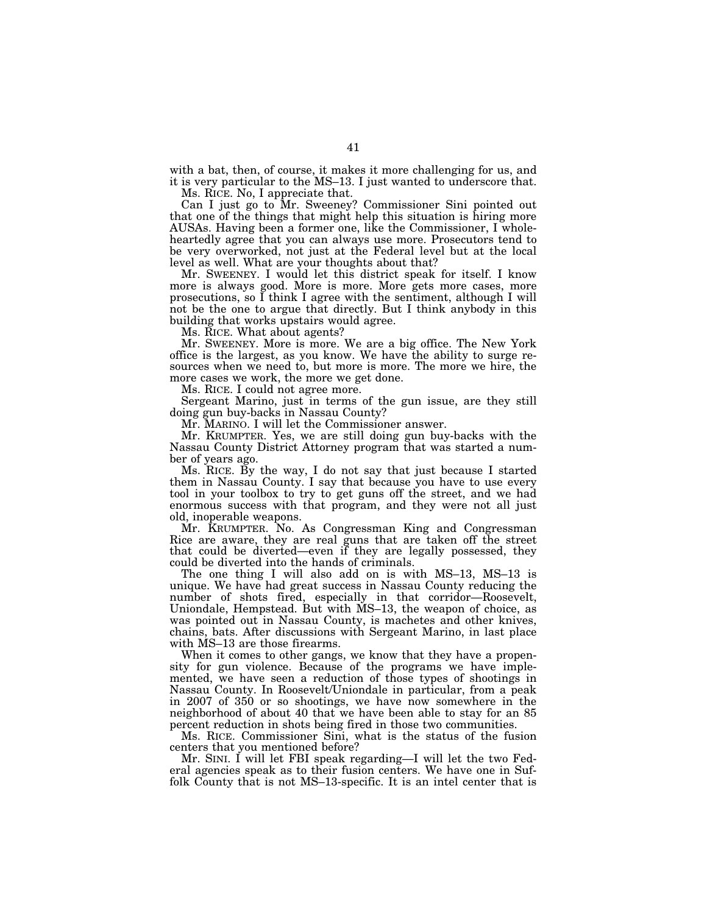with a bat, then, of course, it makes it more challenging for us, and it is very particular to the MS–13. I just wanted to underscore that.

Ms. RICE. No, I appreciate that.

Can I just go to Mr. Sweeney? Commissioner Sini pointed out that one of the things that might help this situation is hiring more AUSAs. Having been a former one, like the Commissioner, I wholeheartedly agree that you can always use more. Prosecutors tend to be very overworked, not just at the Federal level but at the local level as well. What are your thoughts about that?

Mr. SWEENEY. I would let this district speak for itself. I know more is always good. More is more. More gets more cases, more prosecutions, so I think I agree with the sentiment, although I will not be the one to argue that directly. But I think anybody in this building that works upstairs would agree.

Ms. RICE. What about agents?

Mr. SWEENEY. More is more. We are a big office. The New York office is the largest, as you know. We have the ability to surge resources when we need to, but more is more. The more we hire, the more cases we work, the more we get done.

Ms. RICE. I could not agree more.

Sergeant Marino, just in terms of the gun issue, are they still doing gun buy-backs in Nassau County?

Mr. MARINO. I will let the Commissioner answer.

Mr. KRUMPTER. Yes, we are still doing gun buy-backs with the Nassau County District Attorney program that was started a number of years ago.

Ms. RICE. By the way, I do not say that just because I started them in Nassau County. I say that because you have to use every tool in your toolbox to try to get guns off the street, and we had enormous success with that program, and they were not all just old, inoperable weapons.

Mr. KRUMPTER. No. As Congressman King and Congressman Rice are aware, they are real guns that are taken off the street that could be diverted—even if they are legally possessed, they could be diverted into the hands of criminals.

The one thing I will also add on is with MS–13, MS–13 is unique. We have had great success in Nassau County reducing the number of shots fired, especially in that corridor—Roosevelt, Uniondale, Hempstead. But with MS–13, the weapon of choice, as was pointed out in Nassau County, is machetes and other knives, chains, bats. After discussions with Sergeant Marino, in last place with MS–13 are those firearms.

When it comes to other gangs, we know that they have a propensity for gun violence. Because of the programs we have implemented, we have seen a reduction of those types of shootings in Nassau County. In Roosevelt/Uniondale in particular, from a peak in 2007 of 350 or so shootings, we have now somewhere in the neighborhood of about 40 that we have been able to stay for an 85 percent reduction in shots being fired in those two communities.

Ms. RICE. Commissioner Sini, what is the status of the fusion centers that you mentioned before?

Mr. SINI. I will let FBI speak regarding—I will let the two Federal agencies speak as to their fusion centers. We have one in Suffolk County that is not MS–13-specific. It is an intel center that is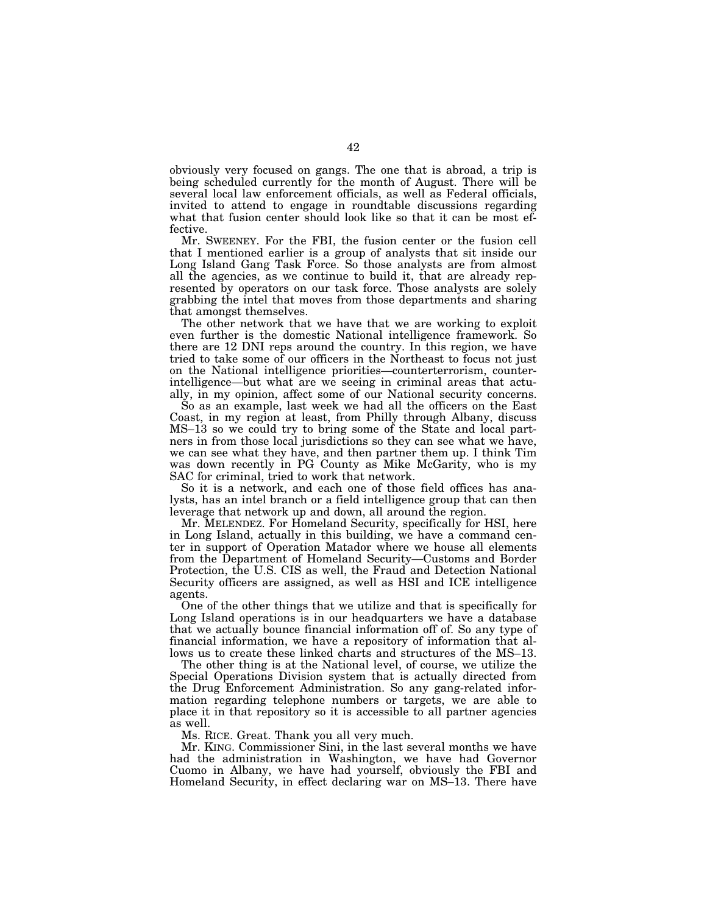obviously very focused on gangs. The one that is abroad, a trip is being scheduled currently for the month of August. There will be several local law enforcement officials, as well as Federal officials, invited to attend to engage in roundtable discussions regarding what that fusion center should look like so that it can be most effective.

Mr. SWEENEY. For the FBI, the fusion center or the fusion cell that I mentioned earlier is a group of analysts that sit inside our Long Island Gang Task Force. So those analysts are from almost all the agencies, as we continue to build it, that are already represented by operators on our task force. Those analysts are solely grabbing the intel that moves from those departments and sharing that amongst themselves.

The other network that we have that we are working to exploit even further is the domestic National intelligence framework. So there are 12 DNI reps around the country. In this region, we have tried to take some of our officers in the Northeast to focus not just on the National intelligence priorities—counterterrorism, counterintelligence—but what are we seeing in criminal areas that actually, in my opinion, affect some of our National security concerns.

So as an example, last week we had all the officers on the East Coast, in my region at least, from Philly through Albany, discuss MS–13 so we could try to bring some of the State and local partners in from those local jurisdictions so they can see what we have, we can see what they have, and then partner them up. I think Tim was down recently in PG County as Mike McGarity, who is my SAC for criminal, tried to work that network.

So it is a network, and each one of those field offices has analysts, has an intel branch or a field intelligence group that can then leverage that network up and down, all around the region.

Mr. MELENDEZ. For Homeland Security, specifically for HSI, here in Long Island, actually in this building, we have a command center in support of Operation Matador where we house all elements from the Department of Homeland Security—Customs and Border Protection, the U.S. CIS as well, the Fraud and Detection National Security officers are assigned, as well as HSI and ICE intelligence agents.

One of the other things that we utilize and that is specifically for Long Island operations is in our headquarters we have a database that we actually bounce financial information off of. So any type of financial information, we have a repository of information that allows us to create these linked charts and structures of the MS–13.

The other thing is at the National level, of course, we utilize the Special Operations Division system that is actually directed from the Drug Enforcement Administration. So any gang-related information regarding telephone numbers or targets, we are able to place it in that repository so it is accessible to all partner agencies as well.

Ms. RICE. Great. Thank you all very much.

Mr. KING. Commissioner Sini, in the last several months we have had the administration in Washington, we have had Governor Cuomo in Albany, we have had yourself, obviously the FBI and Homeland Security, in effect declaring war on MS–13. There have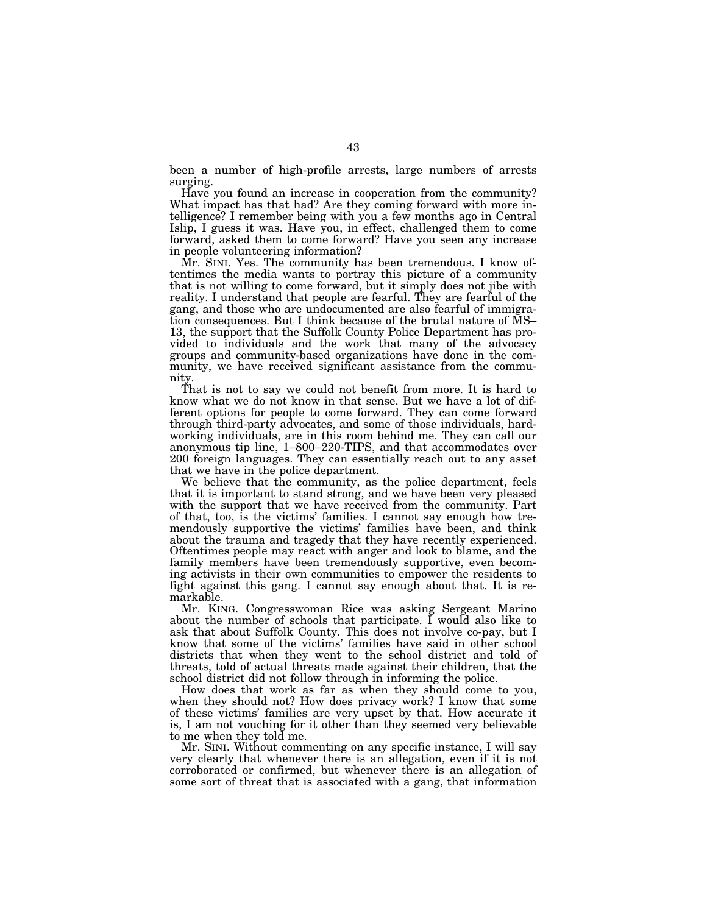been a number of high-profile arrests, large numbers of arrests surging.

Have you found an increase in cooperation from the community? What impact has that had? Are they coming forward with more intelligence? I remember being with you a few months ago in Central Islip, I guess it was. Have you, in effect, challenged them to come forward, asked them to come forward? Have you seen any increase in people volunteering information?

Mr. SINI. Yes. The community has been tremendous. I know oftentimes the media wants to portray this picture of a community that is not willing to come forward, but it simply does not jibe with reality. I understand that people are fearful. They are fearful of the gang, and those who are undocumented are also fearful of immigration consequences. But I think because of the brutal nature of MS– 13, the support that the Suffolk County Police Department has provided to individuals and the work that many of the advocacy groups and community-based organizations have done in the community, we have received significant assistance from the community.

That is not to say we could not benefit from more. It is hard to know what we do not know in that sense. But we have a lot of different options for people to come forward. They can come forward through third-party advocates, and some of those individuals, hardworking individuals, are in this room behind me. They can call our anonymous tip line, 1–800–220-TIPS, and that accommodates over 200 foreign languages. They can essentially reach out to any asset that we have in the police department.

We believe that the community, as the police department, feels that it is important to stand strong, and we have been very pleased with the support that we have received from the community. Part of that, too, is the victims' families. I cannot say enough how tremendously supportive the victims' families have been, and think about the trauma and tragedy that they have recently experienced. Oftentimes people may react with anger and look to blame, and the family members have been tremendously supportive, even becoming activists in their own communities to empower the residents to fight against this gang. I cannot say enough about that. It is remarkable.

Mr. KING. Congresswoman Rice was asking Sergeant Marino about the number of schools that participate. I would also like to ask that about Suffolk County. This does not involve co-pay, but I know that some of the victims' families have said in other school districts that when they went to the school district and told of threats, told of actual threats made against their children, that the school district did not follow through in informing the police.

How does that work as far as when they should come to you, when they should not? How does privacy work? I know that some of these victims' families are very upset by that. How accurate it is, I am not vouching for it other than they seemed very believable to me when they told me.

Mr. SINI. Without commenting on any specific instance, I will say very clearly that whenever there is an allegation, even if it is not corroborated or confirmed, but whenever there is an allegation of some sort of threat that is associated with a gang, that information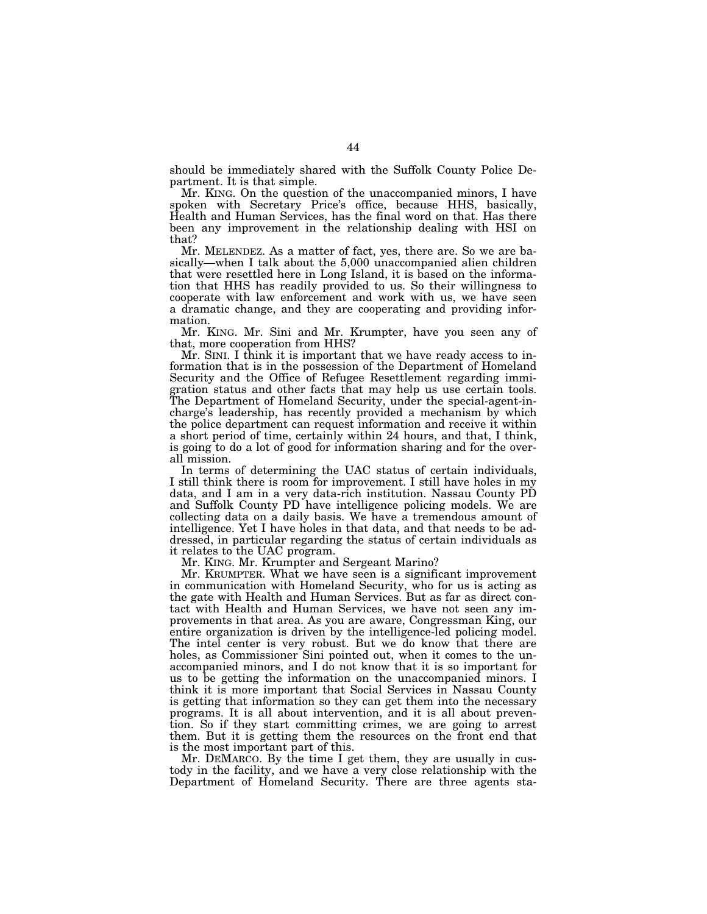should be immediately shared with the Suffolk County Police Department. It is that simple.

Mr. KING. On the question of the unaccompanied minors, I have spoken with Secretary Price's office, because HHS, basically, Health and Human Services, has the final word on that. Has there been any improvement in the relationship dealing with HSI on that?

Mr. MELENDEZ. As a matter of fact, yes, there are. So we are basically—when I talk about the 5,000 unaccompanied alien children that were resettled here in Long Island, it is based on the information that HHS has readily provided to us. So their willingness to cooperate with law enforcement and work with us, we have seen a dramatic change, and they are cooperating and providing information.

Mr. KING. Mr. Sini and Mr. Krumpter, have you seen any of that, more cooperation from HHS?

Mr. SINI. I think it is important that we have ready access to information that is in the possession of the Department of Homeland Security and the Office of Refugee Resettlement regarding immigration status and other facts that may help us use certain tools. The Department of Homeland Security, under the special-agent-incharge's leadership, has recently provided a mechanism by which the police department can request information and receive it within a short period of time, certainly within 24 hours, and that, I think, is going to do a lot of good for information sharing and for the overall mission.

In terms of determining the UAC status of certain individuals, I still think there is room for improvement. I still have holes in my data, and I am in a very data-rich institution. Nassau County PD and Suffolk County PD have intelligence policing models. We are collecting data on a daily basis. We have a tremendous amount of intelligence. Yet I have holes in that data, and that needs to be addressed, in particular regarding the status of certain individuals as it relates to the UAC program.

Mr. KING. Mr. Krumpter and Sergeant Marino?

Mr. KRUMPTER. What we have seen is a significant improvement in communication with Homeland Security, who for us is acting as the gate with Health and Human Services. But as far as direct contact with Health and Human Services, we have not seen any improvements in that area. As you are aware, Congressman King, our entire organization is driven by the intelligence-led policing model. The intel center is very robust. But we do know that there are holes, as Commissioner Sini pointed out, when it comes to the unaccompanied minors, and I do not know that it is so important for us to be getting the information on the unaccompanied minors. I think it is more important that Social Services in Nassau County is getting that information so they can get them into the necessary programs. It is all about intervention, and it is all about prevention. So if they start committing crimes, we are going to arrest them. But it is getting them the resources on the front end that is the most important part of this.

Mr. DEMARCO. By the time I get them, they are usually in custody in the facility, and we have a very close relationship with the Department of Homeland Security. There are three agents sta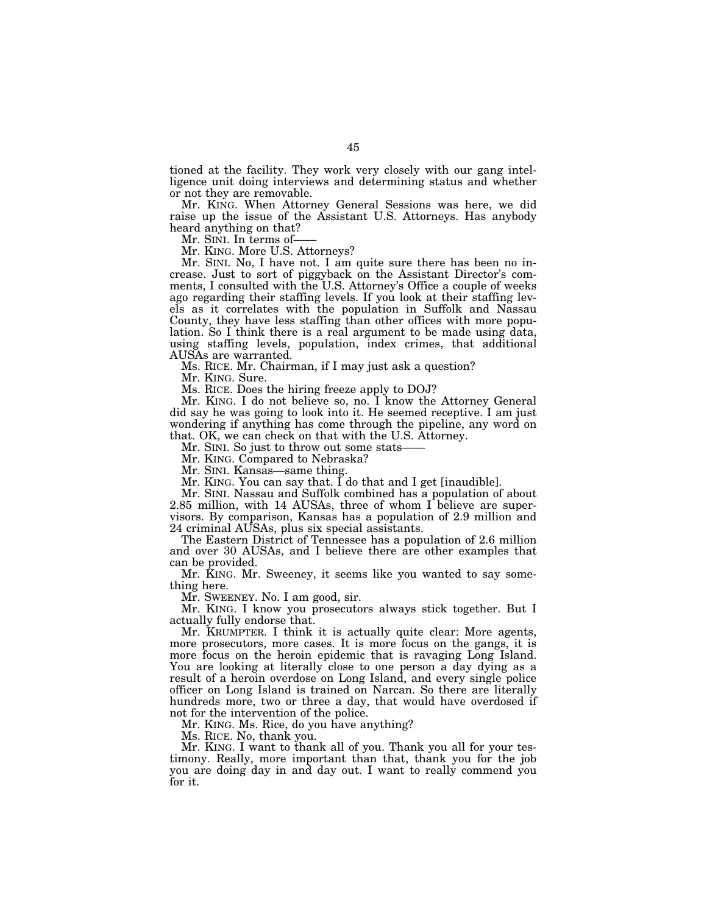tioned at the facility. They work very closely with our gang intelligence unit doing interviews and determining status and whether or not they are removable.

Mr. KING. When Attorney General Sessions was here, we did raise up the issue of the Assistant U.S. Attorneys. Has anybody heard anything on that?

Mr. SINI. In terms of-

Mr. KING. More U.S. Attorneys?

Mr. SINI. No, I have not. I am quite sure there has been no increase. Just to sort of piggyback on the Assistant Director's comments, I consulted with the U.S. Attorney's Office a couple of weeks ago regarding their staffing levels. If you look at their staffing levels as it correlates with the population in Suffolk and Nassau County, they have less staffing than other offices with more population. So I think there is a real argument to be made using data, using staffing levels, population, index crimes, that additional AUSAs are warranted.

Ms. RICE. Mr. Chairman, if I may just ask a question?

Mr. KING. Sure.

Ms. RICE. Does the hiring freeze apply to DOJ?

Mr. KING. I do not believe so, no. I know the Attorney General did say he was going to look into it. He seemed receptive. I am just wondering if anything has come through the pipeline, any word on that. OK, we can check on that with the U.S. Attorney.

Mr. SINI. So just to throw out some stats-

Mr. KING. Compared to Nebraska?

Mr. SINI. Kansas—same thing.

Mr. KING. You can say that.  $\overline{I}$  do that and I get [inaudible].

Mr. SINI. Nassau and Suffolk combined has a population of about 2.85 million, with 14 AUSAs, three of whom I believe are supervisors. By comparison, Kansas has a population of 2.9 million and 24 criminal AUSAs, plus six special assistants.

The Eastern District of Tennessee has a population of 2.6 million and over 30 AUSAs, and I believe there are other examples that can be provided.

Mr. KING. Mr. Sweeney, it seems like you wanted to say something here.

Mr. SWEENEY. No. I am good, sir.

Mr. KING. I know you prosecutors always stick together. But I actually fully endorse that.

Mr. KRUMPTER. I think it is actually quite clear: More agents, more prosecutors, more cases. It is more focus on the gangs, it is more focus on the heroin epidemic that is ravaging Long Island. You are looking at literally close to one person a day dying as a result of a heroin overdose on Long Island, and every single police officer on Long Island is trained on Narcan. So there are literally hundreds more, two or three a day, that would have overdosed if not for the intervention of the police.

Mr. KING. Ms. Rice, do you have anything?

Ms. RICE. No, thank you.

Mr. KING. I want to thank all of you. Thank you all for your testimony. Really, more important than that, thank you for the job you are doing day in and day out. I want to really commend you for it.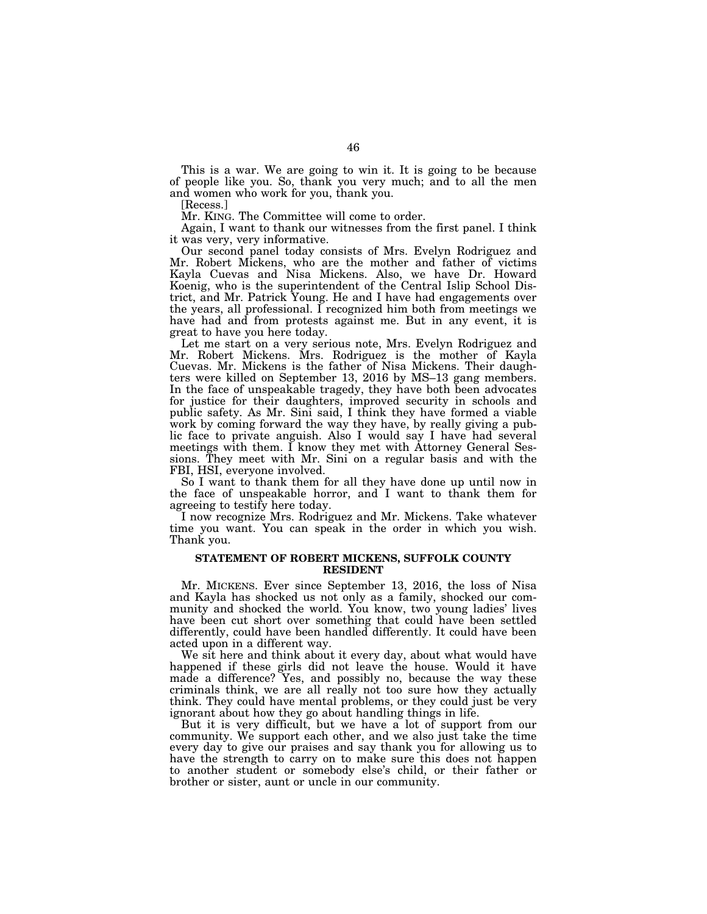This is a war. We are going to win it. It is going to be because of people like you. So, thank you very much; and to all the men and women who work for you, thank you.

[Recess.]

Mr. KING. The Committee will come to order.

Again, I want to thank our witnesses from the first panel. I think it was very, very informative.

Our second panel today consists of Mrs. Evelyn Rodriguez and Mr. Robert Mickens, who are the mother and father of victims Kayla Cuevas and Nisa Mickens. Also, we have Dr. Howard Koenig, who is the superintendent of the Central Islip School District, and Mr. Patrick Young. He and I have had engagements over the years, all professional. I recognized him both from meetings we have had and from protests against me. But in any event, it is great to have you here today.

Let me start on a very serious note, Mrs. Evelyn Rodriguez and Mr. Robert Mickens. Mrs. Rodriguez is the mother of Kayla Cuevas. Mr. Mickens is the father of Nisa Mickens. Their daughters were killed on September 13, 2016 by MS–13 gang members. In the face of unspeakable tragedy, they have both been advocates for justice for their daughters, improved security in schools and public safety. As Mr. Sini said, I think they have formed a viable work by coming forward the way they have, by really giving a public face to private anguish. Also I would say I have had several meetings with them. I know they met with Attorney General Sessions. They meet with Mr. Sini on a regular basis and with the FBI, HSI, everyone involved.

So I want to thank them for all they have done up until now in the face of unspeakable horror, and I want to thank them for agreeing to testify here today.

I now recognize Mrs. Rodriguez and Mr. Mickens. Take whatever time you want. You can speak in the order in which you wish. Thank you.

# **STATEMENT OF ROBERT MICKENS, SUFFOLK COUNTY RESIDENT**

Mr. MICKENS. Ever since September 13, 2016, the loss of Nisa and Kayla has shocked us not only as a family, shocked our community and shocked the world. You know, two young ladies' lives have been cut short over something that could have been settled differently, could have been handled differently. It could have been acted upon in a different way.

We sit here and think about it every day, about what would have happened if these girls did not leave the house. Would it have made a difference? Yes, and possibly no, because the way these criminals think, we are all really not too sure how they actually think. They could have mental problems, or they could just be very ignorant about how they go about handling things in life.

But it is very difficult, but we have a lot of support from our community. We support each other, and we also just take the time every day to give our praises and say thank you for allowing us to have the strength to carry on to make sure this does not happen to another student or somebody else's child, or their father or brother or sister, aunt or uncle in our community.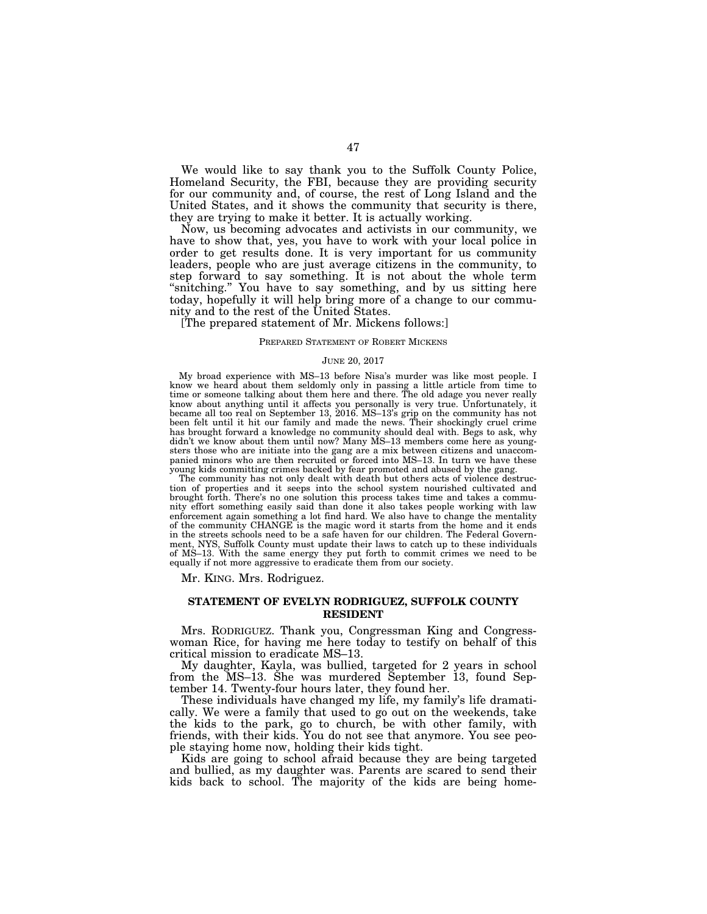We would like to say thank you to the Suffolk County Police, Homeland Security, the FBI, because they are providing security for our community and, of course, the rest of Long Island and the United States, and it shows the community that security is there, they are trying to make it better. It is actually working.

Now, us becoming advocates and activists in our community, we have to show that, yes, you have to work with your local police in order to get results done. It is very important for us community leaders, people who are just average citizens in the community, to step forward to say something. It is not about the whole term ''snitching.'' You have to say something, and by us sitting here today, hopefully it will help bring more of a change to our community and to the rest of the United States.

[The prepared statement of Mr. Mickens follows:]

#### PREPARED STATEMENT OF ROBERT MICKENS

#### JUNE 20, 2017

My broad experience with MS–13 before Nisa's murder was like most people. I know we heard about them seldomly only in passing a little article from time to time or someone talking about them here and there. The old adage you never really know about anything until it affects you personally is very true. Unfortunately, it became all too real on September 13, 2016. MS–13's grip on the community has not been felt until it hit our family and made the news. Their shockingly cruel crime has brought forward a knowledge no community should deal with. Begs to ask, why didn't we know about them until now? Many MS–13 members come here as youngsters those who are initiate into the gang are a mix between citizens and unaccompanied minors who are then recruited or forced into MS–13. In turn we have these young kids committing crimes backed by fear promoted and abused by the gang.

The community has not only dealt with death but others acts of violence destruction of properties and it seeps into the school system nourished cultivated and brought forth. There's no one solution this process takes time and takes a community effort something easily said than done it also takes people working with law enforcement again something a lot find hard. We also have to change the mentality of the community CHANGE is the magic word it starts from the home and it ends in the streets schools need to be a safe haven for our children. The Federal Government, NYS, Suffolk County must update their laws to catch up to these individuals of MS–13. With the same energy they put forth to commit crimes we need to be equally if not more aggressive to eradicate them from our society.

Mr. KING. Mrs. Rodriguez.

### **STATEMENT OF EVELYN RODRIGUEZ, SUFFOLK COUNTY RESIDENT**

Mrs. RODRIGUEZ. Thank you, Congressman King and Congresswoman Rice, for having me here today to testify on behalf of this critical mission to eradicate MS–13.

My daughter, Kayla, was bullied, targeted for 2 years in school from the MS–13. She was murdered September 13, found September 14. Twenty-four hours later, they found her.

These individuals have changed my life, my family's life dramatically. We were a family that used to go out on the weekends, take the kids to the park, go to church, be with other family, with friends, with their kids. You do not see that anymore. You see people staying home now, holding their kids tight.

Kids are going to school afraid because they are being targeted and bullied, as my daughter was. Parents are scared to send their kids back to school. The majority of the kids are being home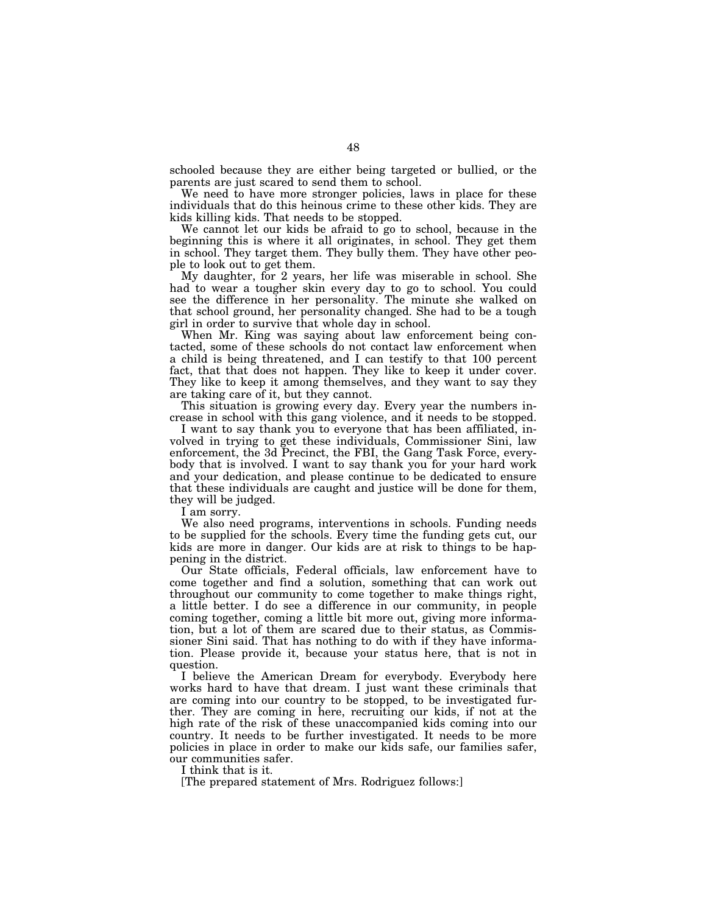schooled because they are either being targeted or bullied, or the parents are just scared to send them to school.

We need to have more stronger policies, laws in place for these individuals that do this heinous crime to these other kids. They are kids killing kids. That needs to be stopped.

We cannot let our kids be afraid to go to school, because in the beginning this is where it all originates, in school. They get them in school. They target them. They bully them. They have other people to look out to get them.

My daughter, for 2 years, her life was miserable in school. She had to wear a tougher skin every day to go to school. You could see the difference in her personality. The minute she walked on that school ground, her personality changed. She had to be a tough girl in order to survive that whole day in school.

When Mr. King was saying about law enforcement being contacted, some of these schools do not contact law enforcement when a child is being threatened, and I can testify to that 100 percent fact, that that does not happen. They like to keep it under cover. They like to keep it among themselves, and they want to say they are taking care of it, but they cannot.

This situation is growing every day. Every year the numbers increase in school with this gang violence, and it needs to be stopped.

I want to say thank you to everyone that has been affiliated, involved in trying to get these individuals, Commissioner Sini, law enforcement, the 3d Precinct, the FBI, the Gang Task Force, everybody that is involved. I want to say thank you for your hard work and your dedication, and please continue to be dedicated to ensure that these individuals are caught and justice will be done for them, they will be judged.

I am sorry.

We also need programs, interventions in schools. Funding needs to be supplied for the schools. Every time the funding gets cut, our kids are more in danger. Our kids are at risk to things to be happening in the district.

Our State officials, Federal officials, law enforcement have to come together and find a solution, something that can work out throughout our community to come together to make things right, a little better. I do see a difference in our community, in people coming together, coming a little bit more out, giving more information, but a lot of them are scared due to their status, as Commissioner Sini said. That has nothing to do with if they have information. Please provide it, because your status here, that is not in question.

I believe the American Dream for everybody. Everybody here works hard to have that dream. I just want these criminals that are coming into our country to be stopped, to be investigated further. They are coming in here, recruiting our kids, if not at the high rate of the risk of these unaccompanied kids coming into our country. It needs to be further investigated. It needs to be more policies in place in order to make our kids safe, our families safer, our communities safer.

I think that is it.

[The prepared statement of Mrs. Rodriguez follows:]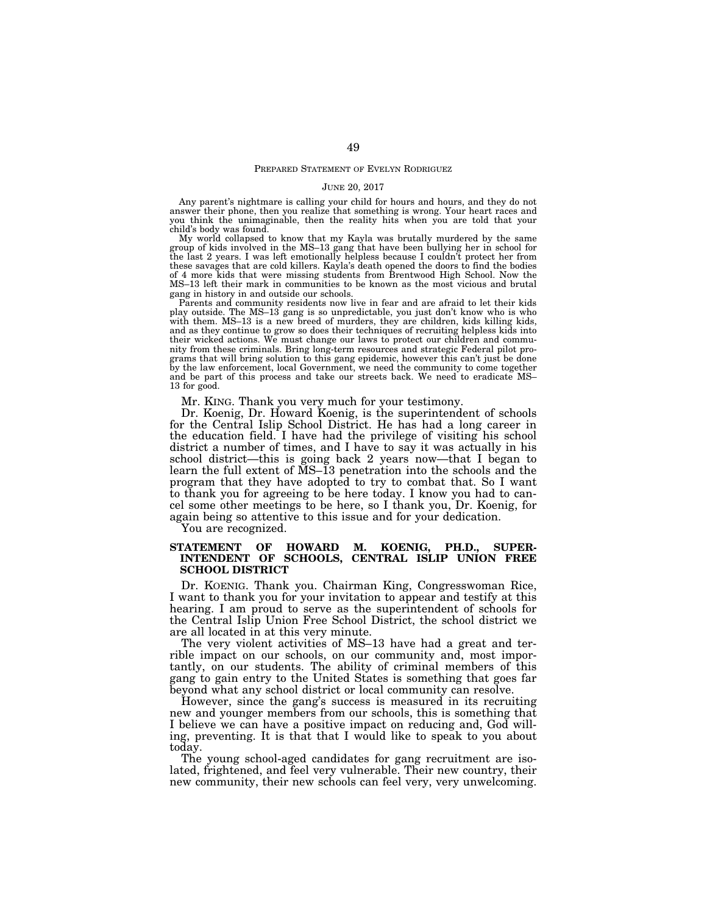#### PREPARED STATEMENT OF EVELYN RODRIGUEZ

#### JUNE 20, 2017

Any parent's nightmare is calling your child for hours and hours, and they do not answer their phone, then you realize that something is wrong. Your heart races and you think the unimaginable, then the reality hits when you are told that your child's body was found.

My world collapsed to know that my Kayla was brutally murdered by the same group of kids involved in the MS–13 gang that have been bullying her in school for the last 2 years. I was left emotionally helpless because I couldn't protect her from these savages that are cold killers. Kayla's death opened the doors to find the bodies of 4 more kids that were missing students from Brentwood High School. Now the MS–13 left their mark in communities to be known as the most vicious and brutal gang in history in and outside our schools.

Parents and community residents now live in fear and are afraid to let their kids play outside. The MS–13 gang is so unpredictable, you just don't know who is who with them. MS–13 is a new breed of murders, they are children, kids killing kids, and as they continue to grow so does their techniques of recruiting helpless kids into their wicked actions. We must change our laws to protect our children and community from these criminals. Bring long-term resources and strategic Federal pilot programs that will bring solution to this gang epidemic, however this can't just be done by the law enforcement, local Government, we need the community to come together and be part of this process and take our streets back. We need to eradicate MS– 13 for good.

Mr. KING. Thank you very much for your testimony.

Dr. Koenig, Dr. Howard Koenig, is the superintendent of schools for the Central Islip School District. He has had a long career in the education field. I have had the privilege of visiting his school district a number of times, and I have to say it was actually in his school district—this is going back 2 years now—that I began to learn the full extent of MS–13 penetration into the schools and the program that they have adopted to try to combat that. So I want to thank you for agreeing to be here today. I know you had to cancel some other meetings to be here, so I thank you, Dr. Koenig, for again being so attentive to this issue and for your dedication.

You are recognized.

### **STATEMENT OF HOWARD M. KOENIG, PH.D., SUPER-INTENDENT OF SCHOOLS, CENTRAL ISLIP UNION FREE SCHOOL DISTRICT**

Dr. KOENIG. Thank you. Chairman King, Congresswoman Rice, I want to thank you for your invitation to appear and testify at this hearing. I am proud to serve as the superintendent of schools for the Central Islip Union Free School District, the school district we are all located in at this very minute.

The very violent activities of MS–13 have had a great and terrible impact on our schools, on our community and, most importantly, on our students. The ability of criminal members of this gang to gain entry to the United States is something that goes far beyond what any school district or local community can resolve.

However, since the gang's success is measured in its recruiting new and younger members from our schools, this is something that I believe we can have a positive impact on reducing and, God willing, preventing. It is that that I would like to speak to you about today.

The young school-aged candidates for gang recruitment are isolated, frightened, and feel very vulnerable. Their new country, their new community, their new schools can feel very, very unwelcoming.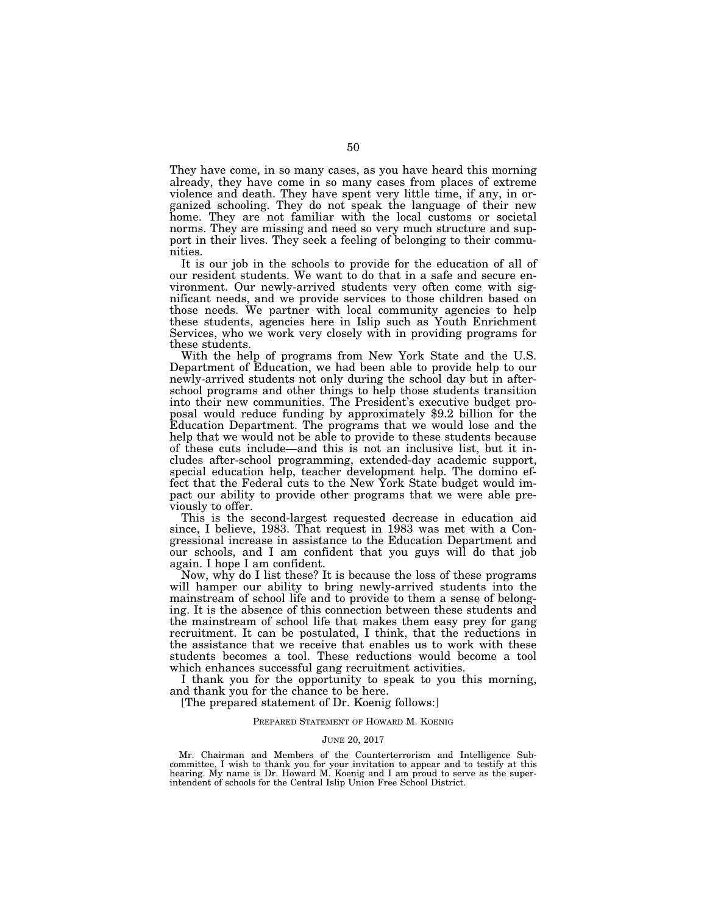They have come, in so many cases, as you have heard this morning already, they have come in so many cases from places of extreme violence and death. They have spent very little time, if any, in organized schooling. They do not speak the language of their new home. They are not familiar with the local customs or societal norms. They are missing and need so very much structure and support in their lives. They seek a feeling of belonging to their communities.

It is our job in the schools to provide for the education of all of our resident students. We want to do that in a safe and secure environment. Our newly-arrived students very often come with significant needs, and we provide services to those children based on those needs. We partner with local community agencies to help these students, agencies here in Islip such as Youth Enrichment Services, who we work very closely with in providing programs for these students.

With the help of programs from New York State and the U.S. Department of Education, we had been able to provide help to our newly-arrived students not only during the school day but in afterschool programs and other things to help those students transition into their new communities. The President's executive budget proposal would reduce funding by approximately \$9.2 billion for the Education Department. The programs that we would lose and the help that we would not be able to provide to these students because of these cuts include—and this is not an inclusive list, but it includes after-school programming, extended-day academic support, special education help, teacher development help. The domino effect that the Federal cuts to the New York State budget would impact our ability to provide other programs that we were able previously to offer.

This is the second-largest requested decrease in education aid since, I believe, 1983. That request in 1983 was met with a Congressional increase in assistance to the Education Department and our schools, and I am confident that you guys will do that job again. I hope I am confident.

Now, why do I list these? It is because the loss of these programs will hamper our ability to bring newly-arrived students into the mainstream of school life and to provide to them a sense of belonging. It is the absence of this connection between these students and the mainstream of school life that makes them easy prey for gang recruitment. It can be postulated, I think, that the reductions in the assistance that we receive that enables us to work with these students becomes a tool. These reductions would become a tool which enhances successful gang recruitment activities.

I thank you for the opportunity to speak to you this morning, and thank you for the chance to be here.

[The prepared statement of Dr. Koenig follows:]

#### PREPARED STATEMENT OF HOWARD M. KOENIG

#### JUNE 20, 2017

Mr. Chairman and Members of the Counterterrorism and Intelligence Subcommittee, I wish to thank you for your invitation to appear and to testify at this hearing. My name is Dr. Howard M. Koenig and I am proud to serve as the superintendent of schools for the Central Islip Union Free School District.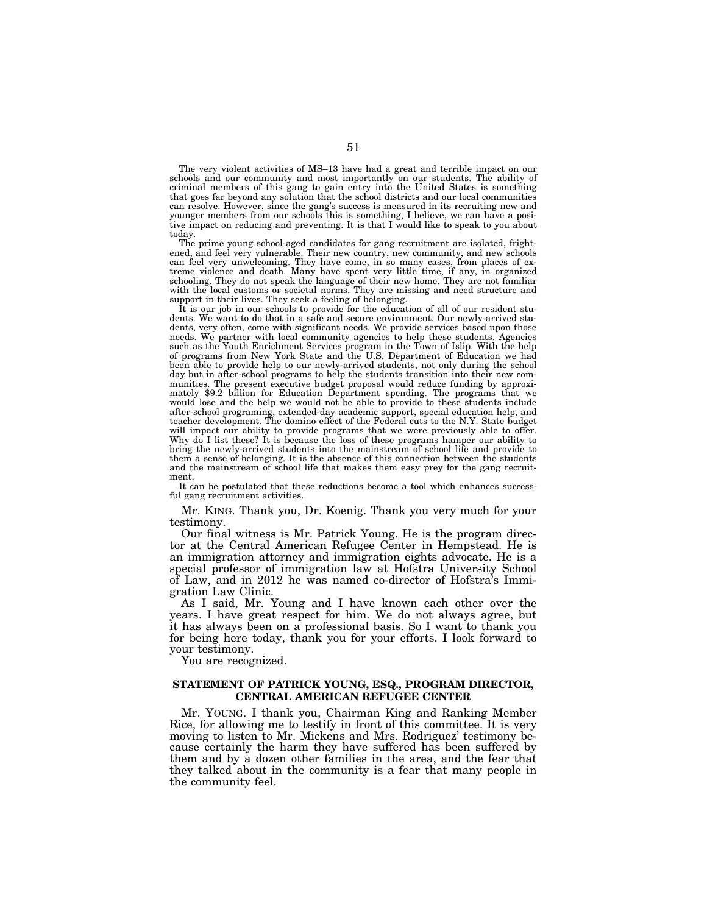The very violent activities of MS–13 have had a great and terrible impact on our schools and our community and most importantly on our students. The ability of criminal members of this gang to gain entry into the United States is something that goes far beyond any solution that the school districts and our local communities can resolve. However, since the gang's success is measured in its recruiting new and younger members from our schools this is something, I believe, we can have a positive impact on reducing and preventing. It is that I would like to speak to you about today.

The prime young school-aged candidates for gang recruitment are isolated, frightened, and feel very vulnerable. Their new country, new community, and new schools can feel very unwelcoming. They have come, in so many cases, from places of extreme violence and death. Many have spent very little time, if any, in organized schooling. They do not speak the language of their new home. They are not familiar with the local customs or societal norms. They are missing and need structure and support in their lives. They seek a feeling of belonging.

It is our job in our schools to provide for the education of all of our resident students. We want to do that in a safe and secure environment. Our newly-arrived students, very often, come with significant needs. We provide services based upon those needs. We partner with local community agencies to help these students. Agencies such as the Youth Enrichment Services program in the Town of Islip. With the help of programs from New York State and the U.S. Department of Education we had been able to provide help to our newly-arrived students, not only during the school day but in after-school programs to help the students transition into their new communities. The present executive budget proposal would reduce funding by approximately \$9.2 billion for Education Department spending. The programs that we would lose and the help we would not be able to provide to these students include after-school programing, extended-day academic support, special education help, and teacher development. The domino effect of the Federal cuts to the N.Y. State budget will impact our ability to provide programs that we were previously able to offer. Why do I list these? It is because the loss of these programs hamper our ability to bring the newly-arrived students into the mainstream of school life and provide to them a sense of belonging. It is the absence of this connection between the students and the mainstream of school life that makes them easy prey for the gang recruitment.

It can be postulated that these reductions become a tool which enhances successful gang recruitment activities.

Mr. KING. Thank you, Dr. Koenig. Thank you very much for your testimony.

Our final witness is Mr. Patrick Young. He is the program director at the Central American Refugee Center in Hempstead. He is an immigration attorney and immigration eights advocate. He is a special professor of immigration law at Hofstra University School of Law, and in 2012 he was named co-director of Hofstra's Immigration Law Clinic.

As I said, Mr. Young and I have known each other over the years. I have great respect for him. We do not always agree, but it has always been on a professional basis. So I want to thank you for being here today, thank you for your efforts. I look forward to your testimony.

You are recognized.

### **STATEMENT OF PATRICK YOUNG, ESQ., PROGRAM DIRECTOR, CENTRAL AMERICAN REFUGEE CENTER**

Mr. YOUNG. I thank you, Chairman King and Ranking Member Rice, for allowing me to testify in front of this committee. It is very moving to listen to Mr. Mickens and Mrs. Rodriguez' testimony because certainly the harm they have suffered has been suffered by them and by a dozen other families in the area, and the fear that they talked about in the community is a fear that many people in the community feel.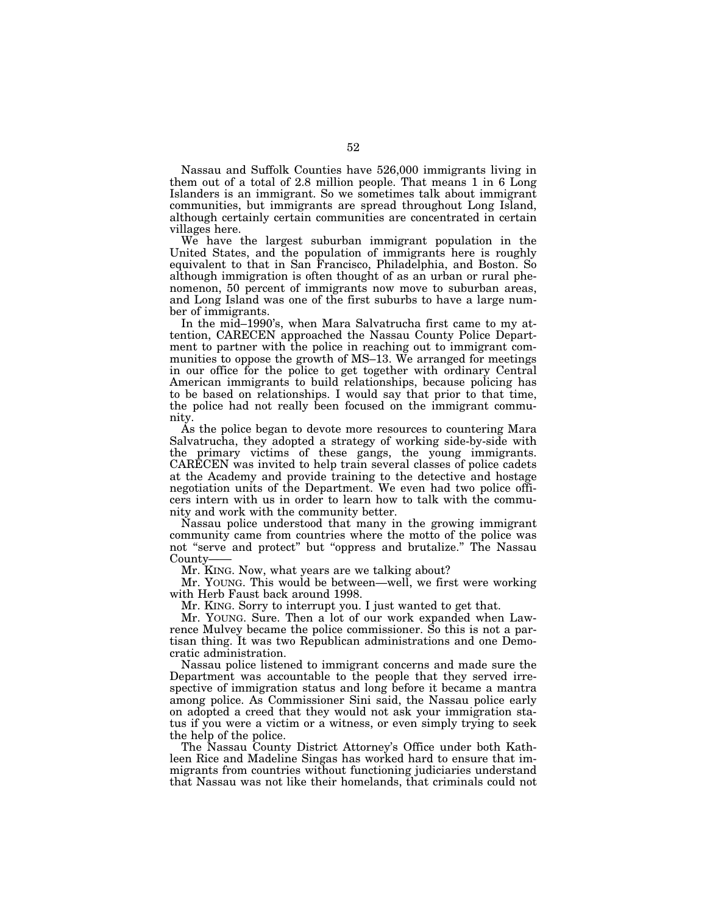Nassau and Suffolk Counties have 526,000 immigrants living in them out of a total of 2.8 million people. That means 1 in 6 Long Islanders is an immigrant. So we sometimes talk about immigrant communities, but immigrants are spread throughout Long Island, although certainly certain communities are concentrated in certain villages here.

We have the largest suburban immigrant population in the United States, and the population of immigrants here is roughly equivalent to that in San Francisco, Philadelphia, and Boston. So although immigration is often thought of as an urban or rural phenomenon, 50 percent of immigrants now move to suburban areas, and Long Island was one of the first suburbs to have a large number of immigrants.

In the mid–1990's, when Mara Salvatrucha first came to my attention, CARECEN approached the Nassau County Police Department to partner with the police in reaching out to immigrant communities to oppose the growth of MS–13. We arranged for meetings in our office for the police to get together with ordinary Central American immigrants to build relationships, because policing has to be based on relationships. I would say that prior to that time, the police had not really been focused on the immigrant community.

As the police began to devote more resources to countering Mara Salvatrucha, they adopted a strategy of working side-by-side with the primary victims of these gangs, the young immigrants. CARECEN was invited to help train several classes of police cadets at the Academy and provide training to the detective and hostage negotiation units of the Department. We even had two police officers intern with us in order to learn how to talk with the community and work with the community better.

Nassau police understood that many in the growing immigrant community came from countries where the motto of the police was not "serve and protect" but "oppress and brutalize." The Nassau County——

Mr. KING. Now, what years are we talking about?

Mr. YOUNG. This would be between—well, we first were working with Herb Faust back around 1998.

Mr. KING. Sorry to interrupt you. I just wanted to get that.

Mr. YOUNG. Sure. Then a lot of our work expanded when Lawrence Mulvey became the police commissioner. So this is not a partisan thing. It was two Republican administrations and one Democratic administration.

Nassau police listened to immigrant concerns and made sure the Department was accountable to the people that they served irrespective of immigration status and long before it became a mantra among police. As Commissioner Sini said, the Nassau police early on adopted a creed that they would not ask your immigration status if you were a victim or a witness, or even simply trying to seek the help of the police.

The Nassau County District Attorney's Office under both Kathleen Rice and Madeline Singas has worked hard to ensure that immigrants from countries without functioning judiciaries understand that Nassau was not like their homelands, that criminals could not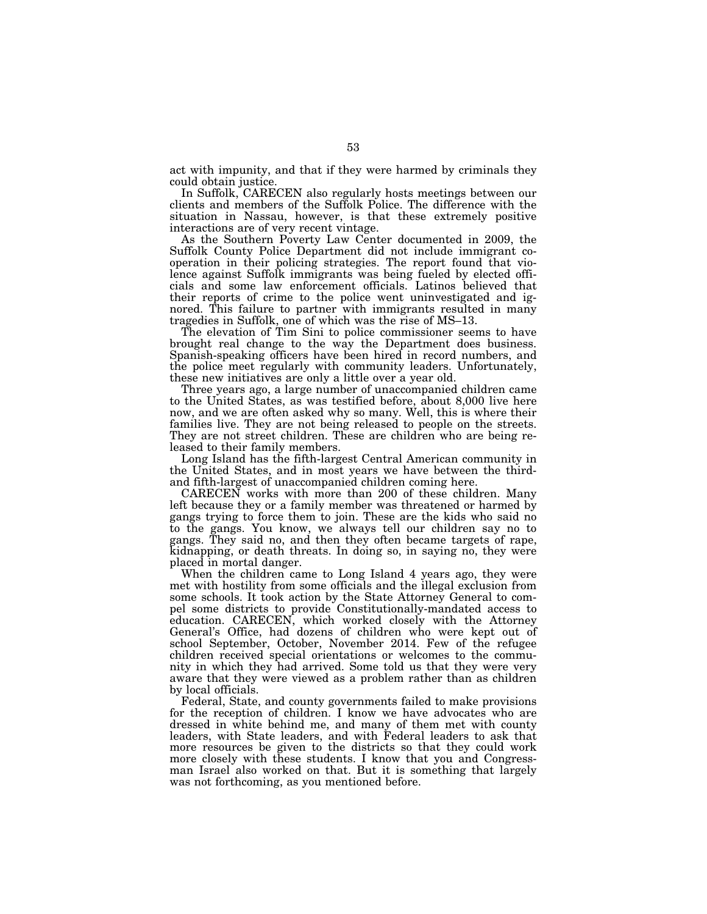act with impunity, and that if they were harmed by criminals they could obtain justice.

In Suffolk, CARECEN also regularly hosts meetings between our clients and members of the Suffolk Police. The difference with the situation in Nassau, however, is that these extremely positive interactions are of very recent vintage.

As the Southern Poverty Law Center documented in 2009, the Suffolk County Police Department did not include immigrant cooperation in their policing strategies. The report found that violence against Suffolk immigrants was being fueled by elected officials and some law enforcement officials. Latinos believed that their reports of crime to the police went uninvestigated and ignored. This failure to partner with immigrants resulted in many tragedies in Suffolk, one of which was the rise of MS–13.

The elevation of Tim Sini to police commissioner seems to have brought real change to the way the Department does business. Spanish-speaking officers have been hired in record numbers, and the police meet regularly with community leaders. Unfortunately, these new initiatives are only a little over a year old.

Three years ago, a large number of unaccompanied children came to the United States, as was testified before, about 8,000 live here now, and we are often asked why so many. Well, this is where their families live. They are not being released to people on the streets. They are not street children. These are children who are being released to their family members.

Long Island has the fifth-largest Central American community in the United States, and in most years we have between the thirdand fifth-largest of unaccompanied children coming here.

CARECEN works with more than 200 of these children. Many left because they or a family member was threatened or harmed by gangs trying to force them to join. These are the kids who said no to the gangs. You know, we always tell our children say no to gangs. They said no, and then they often became targets of rape, kidnapping, or death threats. In doing so, in saying no, they were placed in mortal danger.

When the children came to Long Island 4 years ago, they were met with hostility from some officials and the illegal exclusion from some schools. It took action by the State Attorney General to compel some districts to provide Constitutionally-mandated access to education. CARECEN, which worked closely with the Attorney General's Office, had dozens of children who were kept out of school September, October, November 2014. Few of the refugee children received special orientations or welcomes to the community in which they had arrived. Some told us that they were very aware that they were viewed as a problem rather than as children by local officials.

Federal, State, and county governments failed to make provisions for the reception of children. I know we have advocates who are dressed in white behind me, and many of them met with county leaders, with State leaders, and with Federal leaders to ask that more resources be given to the districts so that they could work more closely with these students. I know that you and Congressman Israel also worked on that. But it is something that largely was not forthcoming, as you mentioned before.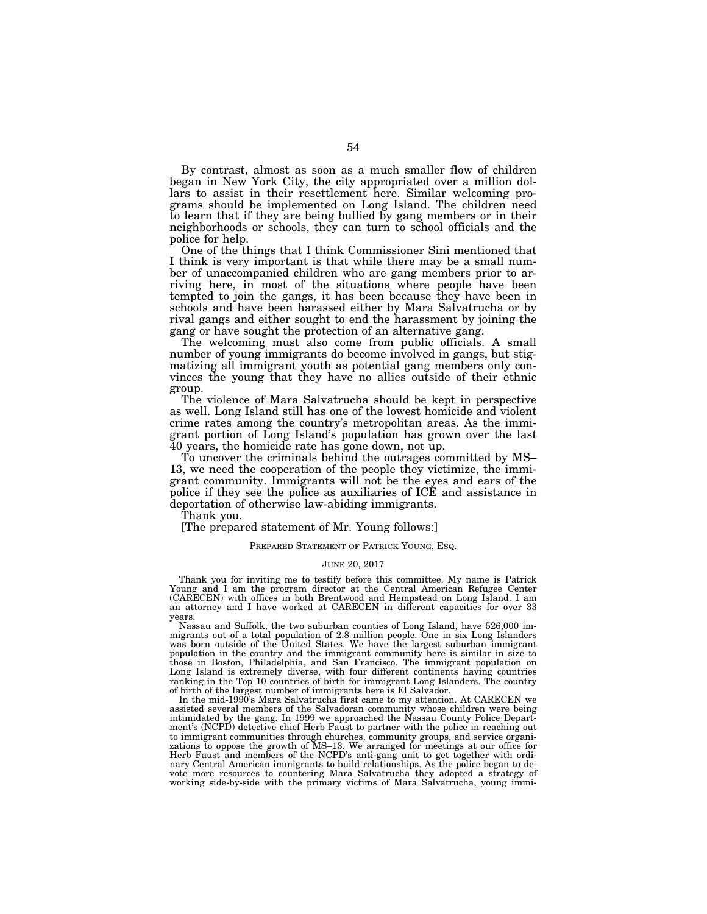By contrast, almost as soon as a much smaller flow of children began in New York City, the city appropriated over a million dollars to assist in their resettlement here. Similar welcoming programs should be implemented on Long Island. The children need to learn that if they are being bullied by gang members or in their neighborhoods or schools, they can turn to school officials and the police for help.

One of the things that I think Commissioner Sini mentioned that I think is very important is that while there may be a small number of unaccompanied children who are gang members prior to arriving here, in most of the situations where people have been tempted to join the gangs, it has been because they have been in schools and have been harassed either by Mara Salvatrucha or by rival gangs and either sought to end the harassment by joining the gang or have sought the protection of an alternative gang.

The welcoming must also come from public officials. A small number of young immigrants do become involved in gangs, but stigmatizing all immigrant youth as potential gang members only convinces the young that they have no allies outside of their ethnic group.

The violence of Mara Salvatrucha should be kept in perspective as well. Long Island still has one of the lowest homicide and violent crime rates among the country's metropolitan areas. As the immigrant portion of Long Island's population has grown over the last 40 years, the homicide rate has gone down, not up.

To uncover the criminals behind the outrages committed by MS– 13, we need the cooperation of the people they victimize, the immigrant community. Immigrants will not be the eyes and ears of the police if they see the police as auxiliaries of ICE and assistance in deportation of otherwise law-abiding immigrants.

Thank you.

[The prepared statement of Mr. Young follows:]

#### PREPARED STATEMENT OF PATRICK YOUNG, ESQ.

#### JUNE 20, 2017

Thank you for inviting me to testify before this committee. My name is Patrick Young and I am the program director at the Central American Refugee Center (CARECEN) with offices in both Brentwood and Hempstead on Long Island. I am an attorney and I have worked at CARECEN in different capacities for over 33 years.

Nassau and Suffolk, the two suburban counties of Long Island, have 526,000 immigrants out of a total population of 2.8 million people. One in six Long Islanders was born outside of the United States. We have the largest suburban immigrant population in the country and the immigrant community here is similar in size to those in Boston, Philadelphia, and San Francisco. The immigrant population on Long Island is extremely diverse, with four different continents having countries ranking in the Top 10 countries of birth for immigrant Long Islanders. The country of birth of the largest number of immigrants here is El Salvador.

In the mid-1990's Mara Salvatrucha first came to my attention. At CARECEN we assisted several members of the Salvadoran community whose children were being intimidated by the gang. In 1999 we approached the Nassau County Police Department's (NCPD) detective chief Herb Faust to partner with the police in reaching out to immigrant communities through churches, community groups, and service organizations to oppose the growth of MS–13. We arranged for meetings at our office for Herb Faust and members of the NCPD's anti-gang unit to get together with ordinary Central American immigrants to build relationships. As the police began to devote more resources to countering Mara Salvatrucha they adopted a strategy of working side-by-side with the primary victims of Mara Salvatrucha, young immi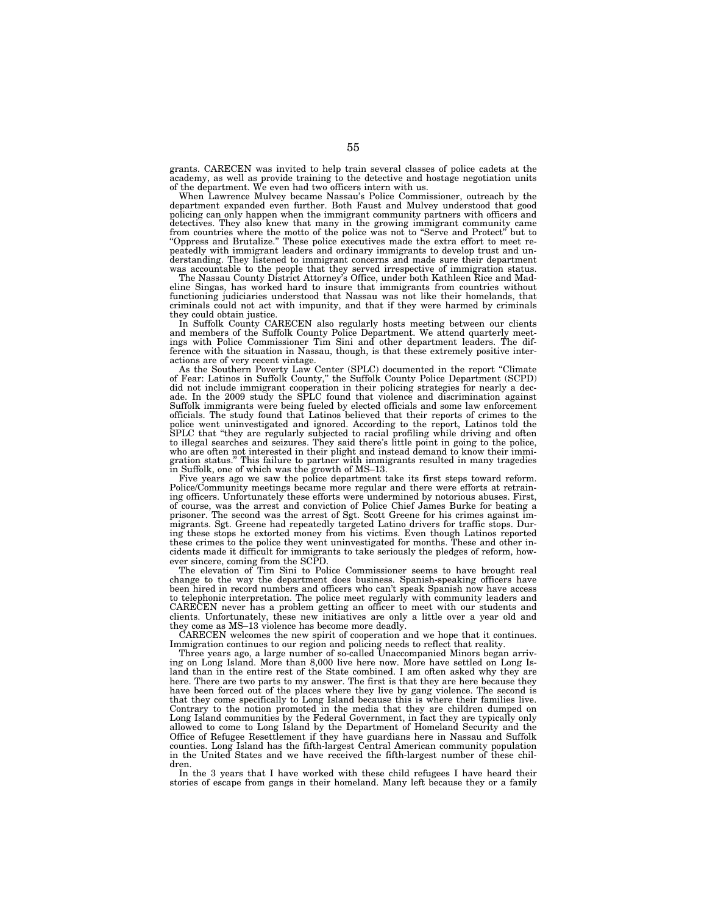grants. CARECEN was invited to help train several classes of police cadets at the academy, as well as provide training to the detective and hostage negotiation units of the department. We even had two officers intern with us.

When Lawrence Mulvey became Nassau's Police Commissioner, outreach by the department expanded even further. Both Faust and Mulvey understood that good policing can only happen when the immigrant community partners with officers and detectives. They also knew that many in the growing immigrant community came from countries where the motto of the police was not to "Serve and Protect" but to "Oppress and Brutalize." These police executives made the extra effort to meet repeatedly with immigrant leaders and ordinary immigrants to develop trust and understanding. They listened to immigrant concerns and made sure their department

was accountable to the people that they served irrespective of immigration status. The Nassau County District Attorney's Office, under both Kathleen Rice and Madeline Singas, has worked hard to insure that immigrants from countries without functioning judiciaries understood that Nassau was not like their homelands, that criminals could not act with impunity, and that if they were harmed by criminals they could obtain justice.

In Suffolk County CARECEN also regularly hosts meeting between our clients and members of the Suffolk County Police Department. We attend quarterly meetings with Police Commissioner Tim Sini and other department leaders. The difference with the situation in Nassau, though, is that these extremely positive inter-

actions are of very recent vintage. As the Southern Poverty Law Center (SPLC) documented in the report ''Climate of Fear: Latinos in Suffolk County,'' the Suffolk County Police Department (SCPD) did not include immigrant cooperation in their policing strategies for nearly a decade. In the 2009 study the SPLC found that violence and discrimination against Suffolk immigrants were being fueled by elected officials and some law enforcement officials. The study found that Latinos believed that their reports of crimes to the police went uninvestigated and ignored. According to the report, Latinos told the<br>SPLC that "they are regularly subjected to racial profiling while driving and often<br>to illegal searches and seizures. They said there's litt who are often not interested in their plight and instead demand to know their immigration status." This failure to partner with immigrants resulted in many tragedies

in Suffolk, one of which was the growth of MS–13. Five years ago we saw the police department take its first steps toward reform. Police/Community meetings became more regular and there were efforts at retraining officers. Unfortunately these efforts were undermined by notorious abuses. First, of course, was the arrest and conviction of Police Chief James Burke for beating a prisoner. The second was the arrest of Sgt. Scott Greene for his crimes against immigrants. Sgt. Greene had repeatedly targeted Latino drivers for traffic stops. During these stops he extorted money from his victims. Even though Latinos reported these crimes to the police they went uninvestigated for months. These and other incidents made it difficult for immigrants to take seriously the pledges of reform, however sincere, coming from the SCPD.

The elevation of Tim Sini to Police Commissioner seems to have brought real change to the way the department does business. Spanish-speaking officers have been hired in record numbers and officers who can't speak Spanish now have access to telephonic interpretation. The police meet regularly with community leaders and CARECEN never has a problem getting an officer to meet with our students and clients. Unfortunately, these new initiatives are only a little over a year old and they come as MS–13 violence has become more deadly.

CARECEN welcomes the new spirit of cooperation and we hope that it continues. Immigration continues to our region and policing needs to reflect that reality.

Three years ago, a large number of so-called Unaccompanied Minors began arriving on Long Island. More than 8,000 live here now. More have settled on Long Island than in the entire rest of the State combined. I am often asked why they are here. There are two parts to my answer. The first is that they are here because they have been forced out of the places where they live by gang violence. The second is that they come specifically to Long Island because this is where their families live. Contrary to the notion promoted in the media that they are children dumped on Long Island communities by the Federal Government, in fact they are typically only allowed to come to Long Island by the Department of Homeland Security and the Office of Refugee Resettlement if they have guardians here in Nassau and Suffolk counties. Long Island has the fifth-largest Central American community population in the United States and we have received the fifth-largest number of these children.

In the 3 years that I have worked with these child refugees I have heard their stories of escape from gangs in their homeland. Many left because they or a family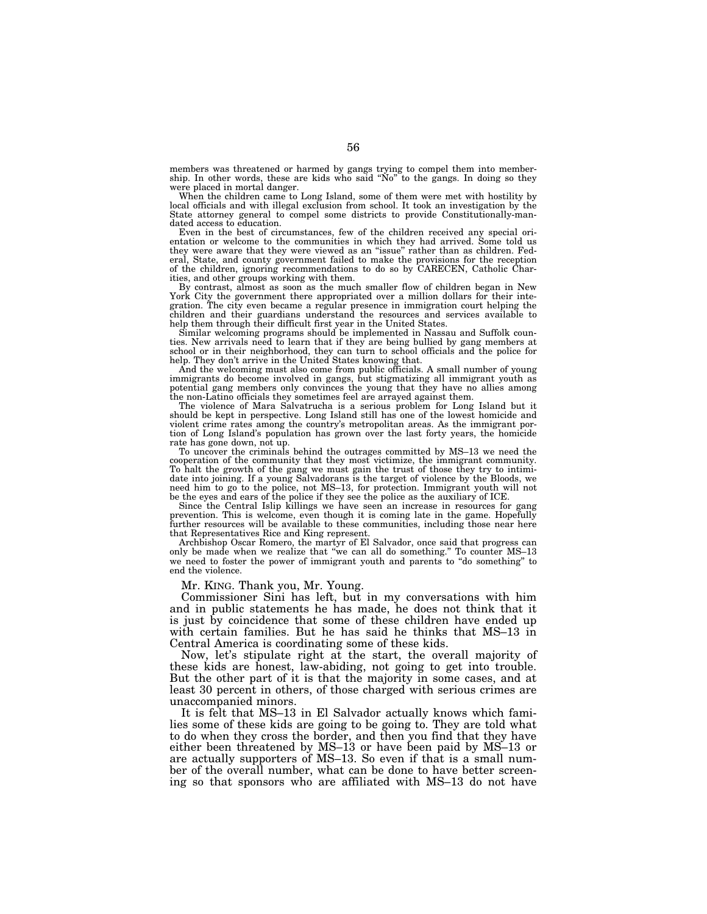members was threatened or harmed by gangs trying to compel them into member-ship. In other words, these are kids who said ''No'' to the gangs. In doing so they were placed in mortal danger.

When the children came to Long Island, some of them were met with hostility by local officials and with illegal exclusion from school. It took an investigation by the State attorney general to compel some districts to provide Constitutionally-mandated access to education.

Even in the best of circumstances, few of the children received any special orientation or welcome to the communities in which they had arrived. Some told us they were aware that they were viewed as an ''issue'' rather than as children. Federal, State, and county government failed to make the provisions for the reception of the children, ignoring recommendations to do so by CARECEN, Catholic Charities, and other groups working with them.

By contrast, almost as soon as the much smaller flow of children began in New York City the government there appropriated over a million dollars for their integration. The city even became a regular presence in immigration court helping the children and their guardians understand the resources and services available to

help them through their difficult first year in the United States. Similar welcoming programs should be implemented in Nassau and Suffolk counties. New arrivals need to learn that if they are being bullied by gang members at school or in their neighborhood, they can turn to school officials and the police for

help. They don't arrive in the United States knowing that. And the welcoming must also come from public officials. A small number of young immigrants do become involved in gangs, but stigmatizing all immigrant youth as potential gang members only convinces the young that they have no allies among the non-Latino officials they sometimes feel are arrayed against them.

The violence of Mara Salvatrucha is a serious problem for Long Island but it should be kept in perspective. Long Island still has one of the lowest homicide and violent crime rates among the country's metropolitan areas. As the immigrant portion of Long Island's population has grown over the last forty years, the homicide

rate has gone down, not up. To uncover the criminals behind the outrages committed by MS–13 we need the cooperation of the community that they most victimize, the immigrant community. To halt the growth of the gang we must gain the trust of those they try to intimidate into joining. If a young Salvadorans is the target of violence by the Bloods, we need him to go to the police, not MS–13, for protection. Immigrant youth will not be the eyes and ears of the police if they see the police as the auxiliary of ICE.

Since the Central Islip killings we have seen an increase in resources for gang prevention. This is welcome, even though it is coming late in the game. Hopefully further resources will be available to these communities, including those near here that Representatives Rice and King represent.

Archbishop Oscar Romero, the martyr of El Salvador, once said that progress can only be made when we realize that ''we can all do something.'' To counter MS–13 we need to foster the power of immigrant youth and parents to "do something" to end the violence.

Mr. KING. Thank you, Mr. Young.

Commissioner Sini has left, but in my conversations with him and in public statements he has made, he does not think that it is just by coincidence that some of these children have ended up with certain families. But he has said he thinks that MS–13 in Central America is coordinating some of these kids.

Now, let's stipulate right at the start, the overall majority of these kids are honest, law-abiding, not going to get into trouble. But the other part of it is that the majority in some cases, and at least 30 percent in others, of those charged with serious crimes are unaccompanied minors.

It is felt that MS–13 in El Salvador actually knows which families some of these kids are going to be going to. They are told what to do when they cross the border, and then you find that they have either been threatened by MS–13 or have been paid by MS–13 or are actually supporters of MS–13. So even if that is a small number of the overall number, what can be done to have better screening so that sponsors who are affiliated with MS–13 do not have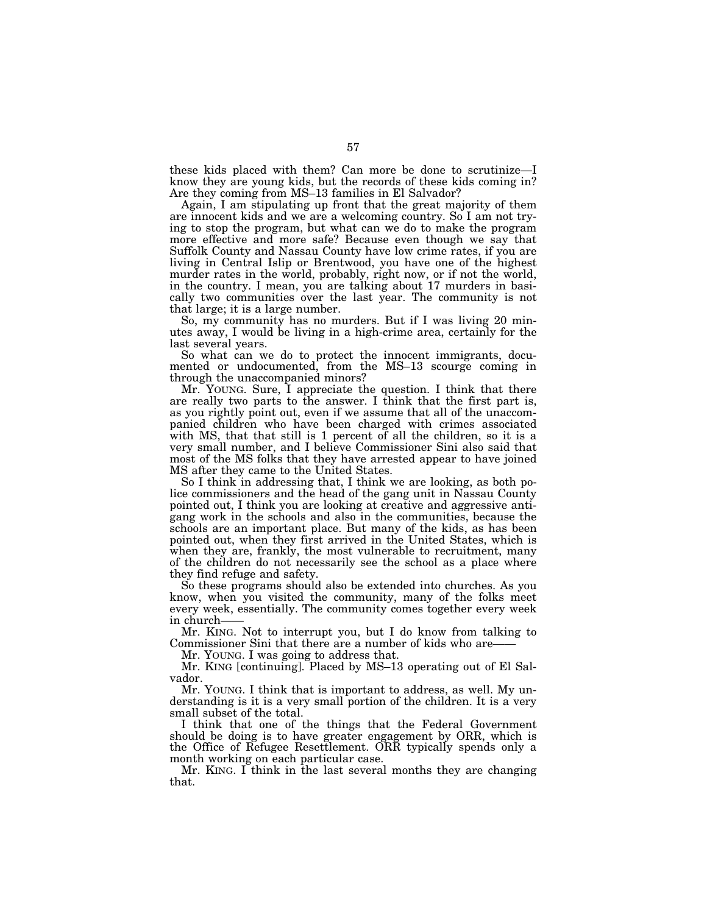these kids placed with them? Can more be done to scrutinize—I know they are young kids, but the records of these kids coming in? Are they coming from MS–13 families in El Salvador?

Again, I am stipulating up front that the great majority of them are innocent kids and we are a welcoming country. So I am not trying to stop the program, but what can we do to make the program more effective and more safe? Because even though we say that Suffolk County and Nassau County have low crime rates, if you are living in Central Islip or Brentwood, you have one of the highest murder rates in the world, probably, right now, or if not the world, in the country. I mean, you are talking about 17 murders in basically two communities over the last year. The community is not that large; it is a large number.

So, my community has no murders. But if I was living 20 minutes away, I would be living in a high-crime area, certainly for the last several years.

So what can we do to protect the innocent immigrants, documented or undocumented, from the MS–13 scourge coming in through the unaccompanied minors?

Mr. YOUNG. Sure, I appreciate the question. I think that there are really two parts to the answer. I think that the first part is, as you rightly point out, even if we assume that all of the unaccompanied children who have been charged with crimes associated with MS, that that still is 1 percent of all the children, so it is a very small number, and I believe Commissioner Sini also said that most of the MS folks that they have arrested appear to have joined MS after they came to the United States.

So I think in addressing that, I think we are looking, as both police commissioners and the head of the gang unit in Nassau County pointed out, I think you are looking at creative and aggressive antigang work in the schools and also in the communities, because the schools are an important place. But many of the kids, as has been pointed out, when they first arrived in the United States, which is when they are, frankly, the most vulnerable to recruitment, many of the children do not necessarily see the school as a place where they find refuge and safety.

So these programs should also be extended into churches. As you know, when you visited the community, many of the folks meet every week, essentially. The community comes together every week in church-

Mr. KING. Not to interrupt you, but I do know from talking to Commissioner Sini that there are a number of kids who are-

Mr. YOUNG. I was going to address that.

Mr. KING [continuing]. Placed by MS–13 operating out of El Salvador.

Mr. YOUNG. I think that is important to address, as well. My understanding is it is a very small portion of the children. It is a very small subset of the total.

I think that one of the things that the Federal Government should be doing is to have greater engagement by ORR, which is the Office of Refugee Resettlement. ORR typically spends only a month working on each particular case.

Mr. KING. I think in the last several months they are changing that.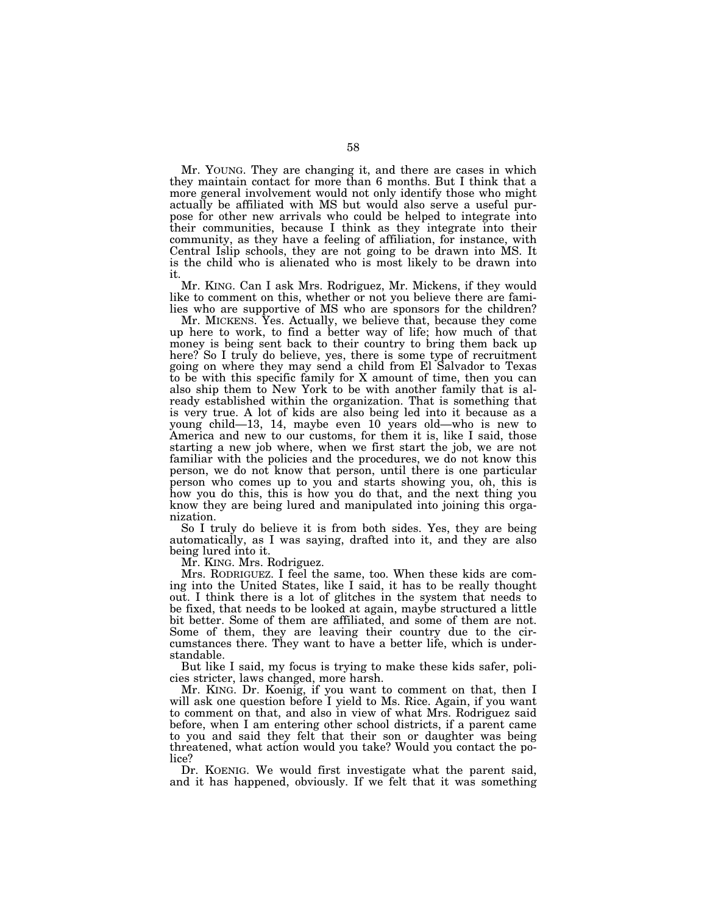Mr. YOUNG. They are changing it, and there are cases in which they maintain contact for more than 6 months. But I think that a more general involvement would not only identify those who might actually be affiliated with MS but would also serve a useful purpose for other new arrivals who could be helped to integrate into their communities, because I think as they integrate into their community, as they have a feeling of affiliation, for instance, with Central Islip schools, they are not going to be drawn into MS. It is the child who is alienated who is most likely to be drawn into it.

Mr. KING. Can I ask Mrs. Rodriguez, Mr. Mickens, if they would like to comment on this, whether or not you believe there are families who are supportive of MS who are sponsors for the children?

Mr. MICKENS. Yes. Actually, we believe that, because they come up here to work, to find a better way of life; how much of that money is being sent back to their country to bring them back up here? So I truly do believe, yes, there is some type of recruitment going on where they may send a child from El Salvador to Texas to be with this specific family for X amount of time, then you can also ship them to New York to be with another family that is already established within the organization. That is something that is very true. A lot of kids are also being led into it because as a young child—13, 14, maybe even 10 years old—who is new to America and new to our customs, for them it is, like I said, those starting a new job where, when we first start the job, we are not familiar with the policies and the procedures, we do not know this person, we do not know that person, until there is one particular person who comes up to you and starts showing you, oh, this is how you do this, this is how you do that, and the next thing you know they are being lured and manipulated into joining this organization.

So I truly do believe it is from both sides. Yes, they are being automatically, as I was saying, drafted into it, and they are also being lured into it.

Mr. KING. Mrs. Rodriguez.

Mrs. RODRIGUEZ. I feel the same, too. When these kids are coming into the United States, like I said, it has to be really thought out. I think there is a lot of glitches in the system that needs to be fixed, that needs to be looked at again, maybe structured a little bit better. Some of them are affiliated, and some of them are not. Some of them, they are leaving their country due to the circumstances there. They want to have a better life, which is understandable.

But like I said, my focus is trying to make these kids safer, policies stricter, laws changed, more harsh.

Mr. KING. Dr. Koenig, if you want to comment on that, then I will ask one question before I yield to Ms. Rice. Again, if you want to comment on that, and also in view of what Mrs. Rodriguez said before, when I am entering other school districts, if a parent came to you and said they felt that their son or daughter was being threatened, what action would you take? Would you contact the police?

Dr. KOENIG. We would first investigate what the parent said, and it has happened, obviously. If we felt that it was something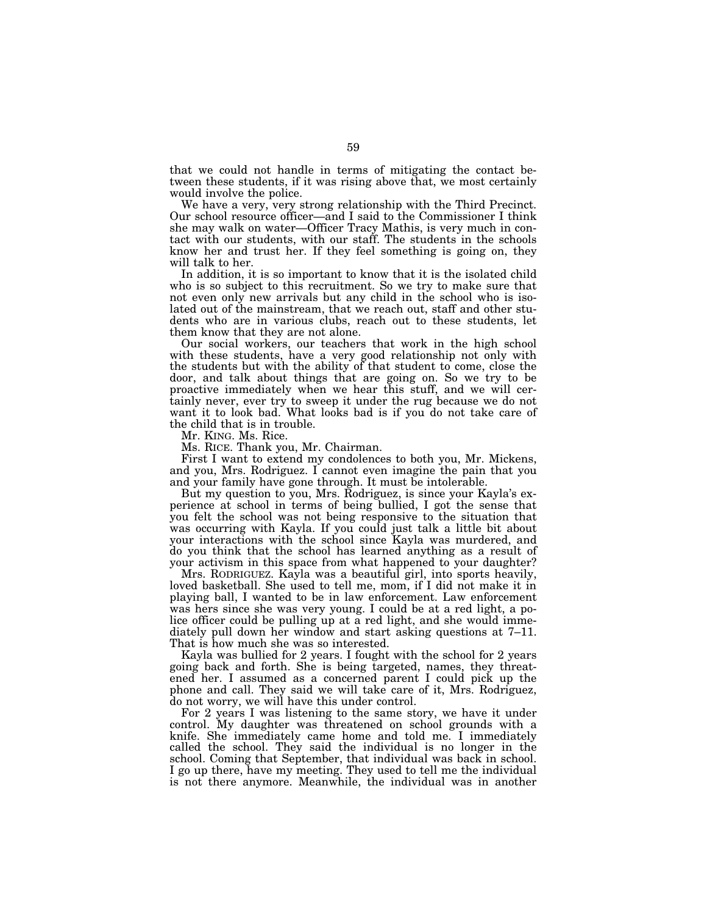that we could not handle in terms of mitigating the contact between these students, if it was rising above that, we most certainly would involve the police.

We have a very, very strong relationship with the Third Precinct. Our school resource officer—and I said to the Commissioner I think she may walk on water—Officer Tracy Mathis, is very much in contact with our students, with our staff. The students in the schools know her and trust her. If they feel something is going on, they will talk to her.

In addition, it is so important to know that it is the isolated child who is so subject to this recruitment. So we try to make sure that not even only new arrivals but any child in the school who is isolated out of the mainstream, that we reach out, staff and other students who are in various clubs, reach out to these students, let them know that they are not alone.

Our social workers, our teachers that work in the high school with these students, have a very good relationship not only with the students but with the ability of that student to come, close the door, and talk about things that are going on. So we try to be proactive immediately when we hear this stuff, and we will certainly never, ever try to sweep it under the rug because we do not want it to look bad. What looks bad is if you do not take care of the child that is in trouble.

Mr. KING. Ms. Rice.

Ms. RICE. Thank you, Mr. Chairman.

First I want to extend my condolences to both you, Mr. Mickens, and you, Mrs. Rodriguez. I cannot even imagine the pain that you and your family have gone through. It must be intolerable.

But my question to you, Mrs. Rodriguez, is since your Kayla's experience at school in terms of being bullied, I got the sense that you felt the school was not being responsive to the situation that was occurring with Kayla. If you could just talk a little bit about your interactions with the school since Kayla was murdered, and do you think that the school has learned anything as a result of your activism in this space from what happened to your daughter?

Mrs. RODRIGUEZ. Kayla was a beautiful girl, into sports heavily, loved basketball. She used to tell me, mom, if I did not make it in playing ball, I wanted to be in law enforcement. Law enforcement was hers since she was very young. I could be at a red light, a police officer could be pulling up at a red light, and she would immediately pull down her window and start asking questions at 7–11. That is how much she was so interested.

Kayla was bullied for 2 years. I fought with the school for 2 years going back and forth. She is being targeted, names, they threatened her. I assumed as a concerned parent I could pick up the phone and call. They said we will take care of it, Mrs. Rodriguez, do not worry, we will have this under control.

For 2 years I was listening to the same story, we have it under control. My daughter was threatened on school grounds with a knife. She immediately came home and told me. I immediately called the school. They said the individual is no longer in the school. Coming that September, that individual was back in school. I go up there, have my meeting. They used to tell me the individual is not there anymore. Meanwhile, the individual was in another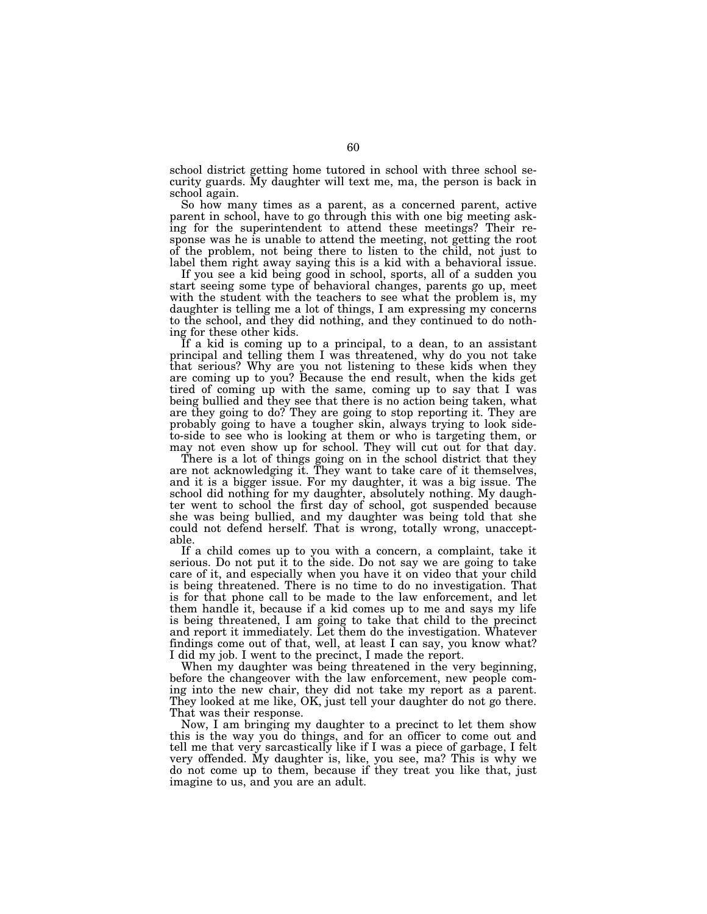school district getting home tutored in school with three school security guards. My daughter will text me, ma, the person is back in school again.

So how many times as a parent, as a concerned parent, active parent in school, have to go through this with one big meeting asking for the superintendent to attend these meetings? Their response was he is unable to attend the meeting, not getting the root of the problem, not being there to listen to the child, not just to label them right away saying this is a kid with a behavioral issue.

If you see a kid being good in school, sports, all of a sudden you start seeing some type of behavioral changes, parents go up, meet with the student with the teachers to see what the problem is, my daughter is telling me a lot of things, I am expressing my concerns to the school, and they did nothing, and they continued to do nothing for these other kids.

If a kid is coming up to a principal, to a dean, to an assistant principal and telling them I was threatened, why do you not take that serious? Why are you not listening to these kids when they are coming up to you? Because the end result, when the kids get tired of coming up with the same, coming up to say that I was being bullied and they see that there is no action being taken, what are they going to do? They are going to stop reporting it. They are probably going to have a tougher skin, always trying to look sideto-side to see who is looking at them or who is targeting them, or may not even show up for school. They will cut out for that day.

There is a lot of things going on in the school district that they are not acknowledging it. They want to take care of it themselves, and it is a bigger issue. For my daughter, it was a big issue. The school did nothing for my daughter, absolutely nothing. My daughter went to school the first day of school, got suspended because she was being bullied, and my daughter was being told that she could not defend herself. That is wrong, totally wrong, unacceptable.

If a child comes up to you with a concern, a complaint, take it serious. Do not put it to the side. Do not say we are going to take care of it, and especially when you have it on video that your child is being threatened. There is no time to do no investigation. That is for that phone call to be made to the law enforcement, and let them handle it, because if a kid comes up to me and says my life is being threatened, I am going to take that child to the precinct and report it immediately. Let them do the investigation. Whatever findings come out of that, well, at least I can say, you know what? I did my job. I went to the precinct, I made the report.

When my daughter was being threatened in the very beginning, before the changeover with the law enforcement, new people coming into the new chair, they did not take my report as a parent. They looked at me like, OK, just tell your daughter do not go there. That was their response.

Now, I am bringing my daughter to a precinct to let them show this is the way you do things, and for an officer to come out and tell me that very sarcastically like if I was a piece of garbage, I felt very offended. My daughter is, like, you see, ma? This is why we do not come up to them, because if they treat you like that, just imagine to us, and you are an adult.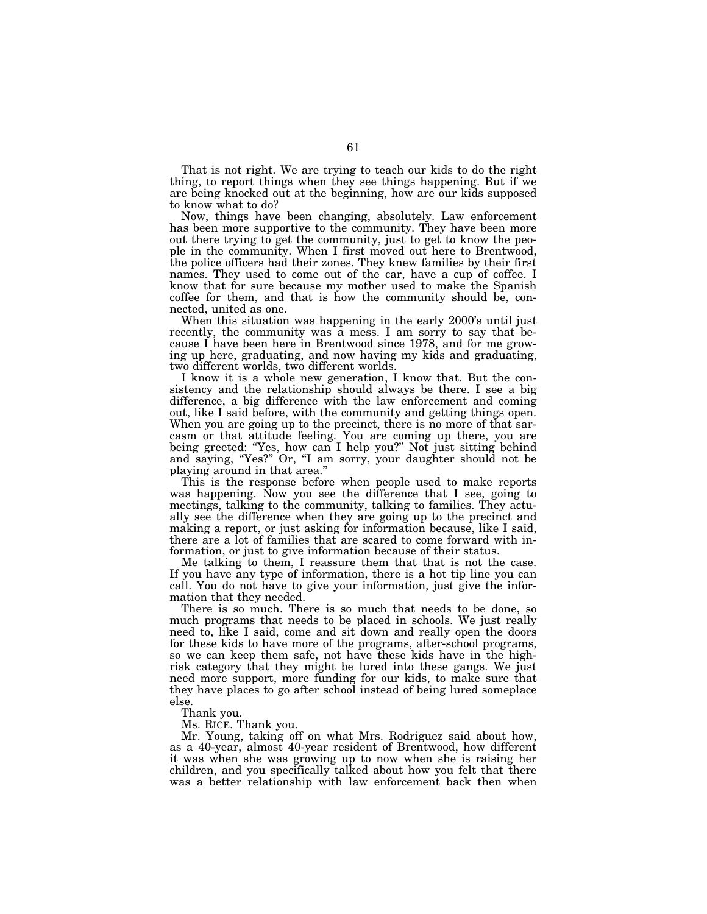That is not right. We are trying to teach our kids to do the right thing, to report things when they see things happening. But if we are being knocked out at the beginning, how are our kids supposed to know what to do?

Now, things have been changing, absolutely. Law enforcement has been more supportive to the community. They have been more out there trying to get the community, just to get to know the people in the community. When I first moved out here to Brentwood, the police officers had their zones. They knew families by their first names. They used to come out of the car, have a cup of coffee. I know that for sure because my mother used to make the Spanish coffee for them, and that is how the community should be, connected, united as one.

When this situation was happening in the early 2000's until just recently, the community was a mess. I am sorry to say that because I have been here in Brentwood since 1978, and for me growing up here, graduating, and now having my kids and graduating, two different worlds, two different worlds.

I know it is a whole new generation, I know that. But the consistency and the relationship should always be there. I see a big difference, a big difference with the law enforcement and coming out, like I said before, with the community and getting things open. When you are going up to the precinct, there is no more of that sarcasm or that attitude feeling. You are coming up there, you are being greeted: ''Yes, how can I help you?'' Not just sitting behind and saying, "Yes?" Or, "I am sorry, your daughter should not be playing around in that area.''

This is the response before when people used to make reports was happening. Now you see the difference that I see, going to meetings, talking to the community, talking to families. They actually see the difference when they are going up to the precinct and making a report, or just asking for information because, like I said, there are a lot of families that are scared to come forward with information, or just to give information because of their status.

Me talking to them, I reassure them that that is not the case. If you have any type of information, there is a hot tip line you can call. You do not have to give your information, just give the information that they needed.

There is so much. There is so much that needs to be done, so much programs that needs to be placed in schools. We just really need to, like I said, come and sit down and really open the doors for these kids to have more of the programs, after-school programs, so we can keep them safe, not have these kids have in the highrisk category that they might be lured into these gangs. We just need more support, more funding for our kids, to make sure that they have places to go after school instead of being lured someplace else.

Thank you.

Ms. RICE. Thank you.

Mr. Young, taking off on what Mrs. Rodriguez said about how, as a 40-year, almost 40-year resident of Brentwood, how different it was when she was growing up to now when she is raising her children, and you specifically talked about how you felt that there was a better relationship with law enforcement back then when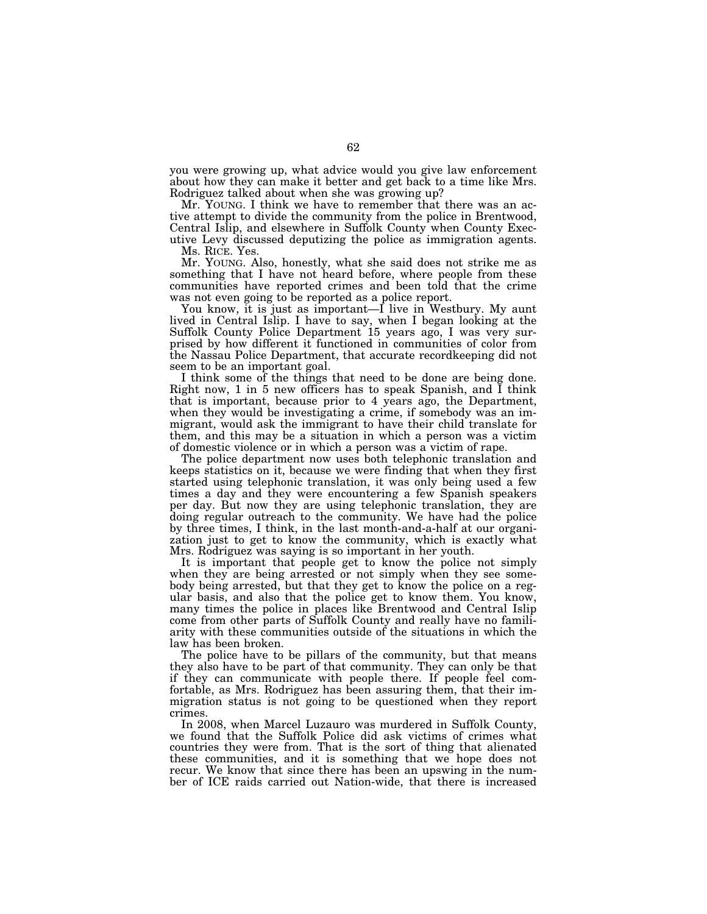you were growing up, what advice would you give law enforcement about how they can make it better and get back to a time like Mrs. Rodriguez talked about when she was growing up?

Mr. YOUNG. I think we have to remember that there was an active attempt to divide the community from the police in Brentwood, Central Islip, and elsewhere in Suffolk County when County Executive Levy discussed deputizing the police as immigration agents.

Ms. RICE. Yes.

Mr. YOUNG. Also, honestly, what she said does not strike me as something that I have not heard before, where people from these communities have reported crimes and been told that the crime was not even going to be reported as a police report.

You know, it is just as important—I live in Westbury. My aunt lived in Central Islip. I have to say, when I began looking at the Suffolk County Police Department 15 years ago, I was very surprised by how different it functioned in communities of color from the Nassau Police Department, that accurate recordkeeping did not seem to be an important goal.

I think some of the things that need to be done are being done. Right now, 1 in 5 new officers has to speak Spanish, and I think that is important, because prior to 4 years ago, the Department, when they would be investigating a crime, if somebody was an immigrant, would ask the immigrant to have their child translate for them, and this may be a situation in which a person was a victim of domestic violence or in which a person was a victim of rape.

The police department now uses both telephonic translation and keeps statistics on it, because we were finding that when they first started using telephonic translation, it was only being used a few times a day and they were encountering a few Spanish speakers per day. But now they are using telephonic translation, they are doing regular outreach to the community. We have had the police by three times, I think, in the last month-and-a-half at our organization just to get to know the community, which is exactly what Mrs. Rodriguez was saying is so important in her youth.

It is important that people get to know the police not simply when they are being arrested or not simply when they see somebody being arrested, but that they get to know the police on a regular basis, and also that the police get to know them. You know, many times the police in places like Brentwood and Central Islip come from other parts of Suffolk County and really have no familiarity with these communities outside of the situations in which the law has been broken.

The police have to be pillars of the community, but that means they also have to be part of that community. They can only be that if they can communicate with people there. If people feel comfortable, as Mrs. Rodriguez has been assuring them, that their immigration status is not going to be questioned when they report crimes.

In 2008, when Marcel Luzauro was murdered in Suffolk County, we found that the Suffolk Police did ask victims of crimes what countries they were from. That is the sort of thing that alienated these communities, and it is something that we hope does not recur. We know that since there has been an upswing in the number of ICE raids carried out Nation-wide, that there is increased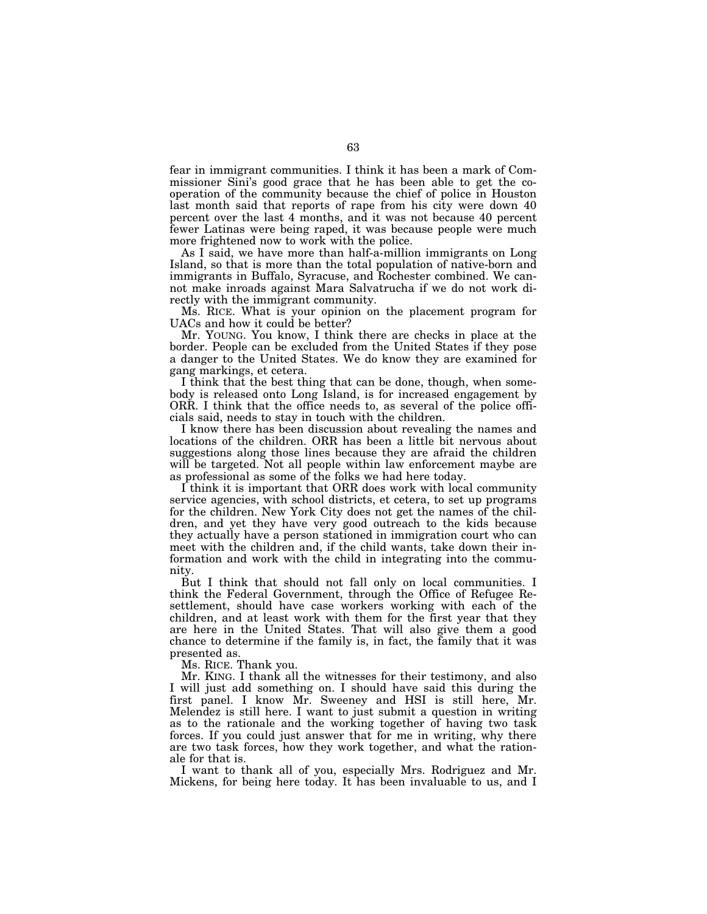fear in immigrant communities. I think it has been a mark of Commissioner Sini's good grace that he has been able to get the cooperation of the community because the chief of police in Houston last month said that reports of rape from his city were down 40 percent over the last 4 months, and it was not because 40 percent fewer Latinas were being raped, it was because people were much more frightened now to work with the police.

As I said, we have more than half-a-million immigrants on Long Island, so that is more than the total population of native-born and immigrants in Buffalo, Syracuse, and Rochester combined. We cannot make inroads against Mara Salvatrucha if we do not work directly with the immigrant community.

Ms. RICE. What is your opinion on the placement program for UACs and how it could be better?

Mr. YOUNG. You know, I think there are checks in place at the border. People can be excluded from the United States if they pose a danger to the United States. We do know they are examined for gang markings, et cetera.

I think that the best thing that can be done, though, when somebody is released onto Long Island, is for increased engagement by ORR. I think that the office needs to, as several of the police officials said, needs to stay in touch with the children.

I know there has been discussion about revealing the names and locations of the children. ORR has been a little bit nervous about suggestions along those lines because they are afraid the children will be targeted. Not all people within law enforcement maybe are as professional as some of the folks we had here today.

I think it is important that ORR does work with local community service agencies, with school districts, et cetera, to set up programs for the children. New York City does not get the names of the children, and yet they have very good outreach to the kids because they actually have a person stationed in immigration court who can meet with the children and, if the child wants, take down their information and work with the child in integrating into the community.

But I think that should not fall only on local communities. I think the Federal Government, through the Office of Refugee Resettlement, should have case workers working with each of the children, and at least work with them for the first year that they are here in the United States. That will also give them a good chance to determine if the family is, in fact, the family that it was presented as.

Ms. RICE. Thank you.

Mr. KING. I thank all the witnesses for their testimony, and also I will just add something on. I should have said this during the first panel. I know Mr. Sweeney and HSI is still here, Mr. Melendez is still here. I want to just submit a question in writing as to the rationale and the working together of having two task forces. If you could just answer that for me in writing, why there are two task forces, how they work together, and what the rationale for that is.

I want to thank all of you, especially Mrs. Rodriguez and Mr. Mickens, for being here today. It has been invaluable to us, and I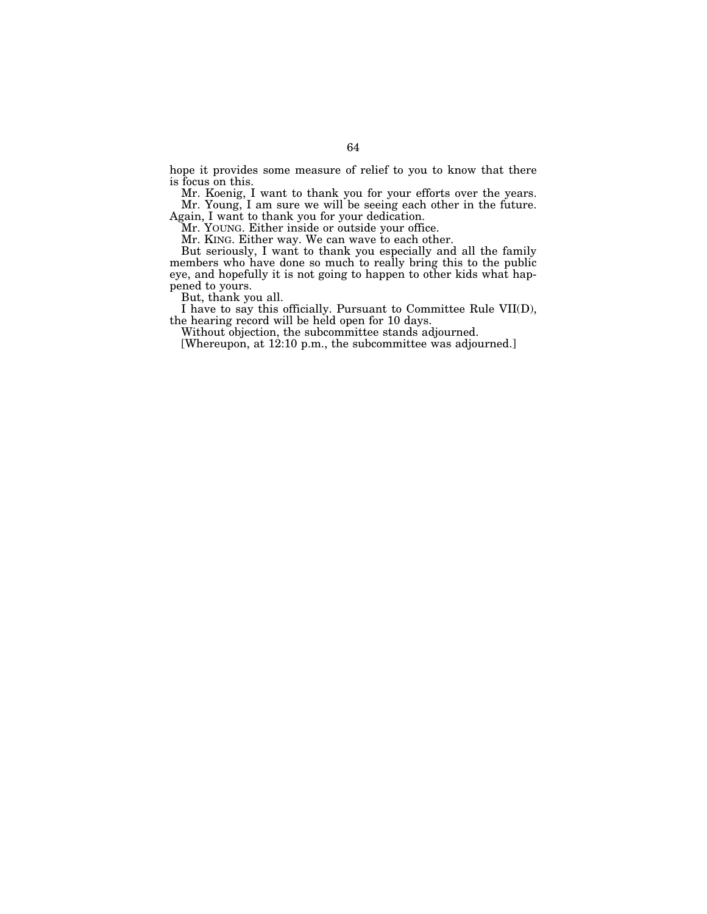hope it provides some measure of relief to you to know that there is focus on this.

Mr. Koenig, I want to thank you for your efforts over the years. Mr. Young, I am sure we will be seeing each other in the future.

Again, I want to thank you for your dedication.

Mr. YOUNG. Either inside or outside your office.

Mr. KING. Either way. We can wave to each other.

But seriously, I want to thank you especially and all the family members who have done so much to really bring this to the public eye, and hopefully it is not going to happen to other kids what happened to yours.

But, thank you all.

I have to say this officially. Pursuant to Committee Rule VII(D), the hearing record will be held open for 10 days.

Without objection, the subcommittee stands adjourned.

[Whereupon, at 12:10 p.m., the subcommittee was adjourned.]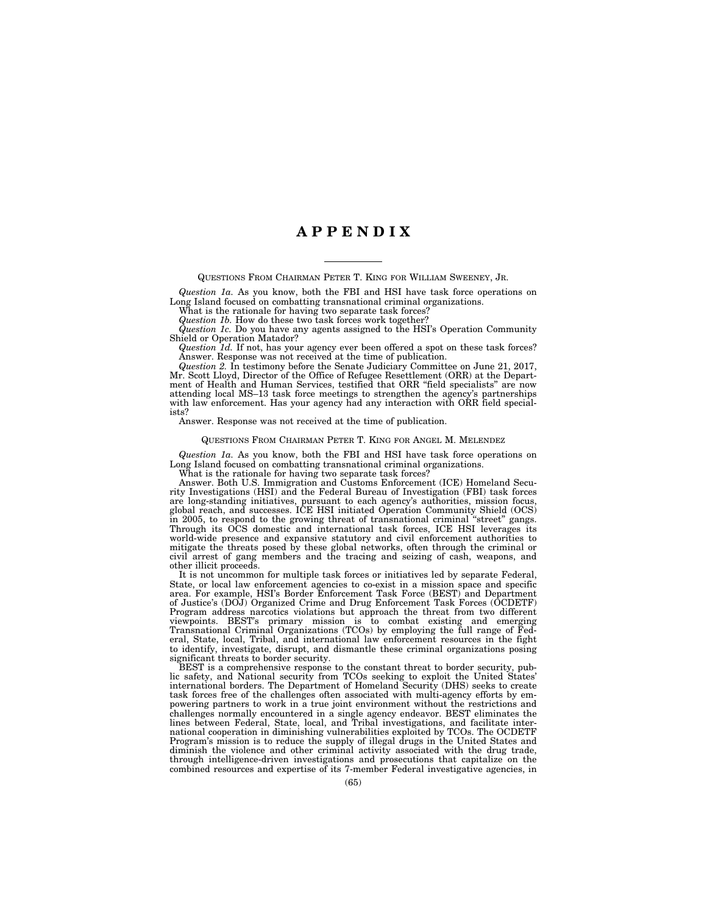# **A P P E N D I X**

QUESTIONS FROM CHAIRMAN PETER T. KING FOR WILLIAM SWEENEY, JR.

*Question 1a.* As you know, both the FBI and HSI have task force operations on Long Island focused on combatting transnational criminal organizations.

What is the rationale for having two separate task forces? *Question 1b.* How do these two task forces work together?

*Question 1c.* Do you have any agents assigned to the HSI's Operation Community

Shield or Operation Matador?

*Question 1d.* If not, has your agency ever been offered a spot on these task forces? Answer. Response was not received at the time of publication.

*Question 2.* In testimony before the Senate Judiciary Committee on June 21, 2017, Mr. Scott Lloyd, Director of the Office of Refugee Resettlement (ORR) at the Department of Health and Human Services, testified that ORR "field specialists" are now attending local MS–13 task force meetings to strengthen the agency's partnerships with law enforcement. Has your agency had any interaction with ORR field specialists?

Answer. Response was not received at the time of publication.

#### QUESTIONS FROM CHAIRMAN PETER T. KING FOR ANGEL M. MELENDEZ

*Question 1a.* As you know, both the FBI and HSI have task force operations on Long Island focused on combatting transnational criminal organizations.

What is the rationale for having two separate task forces?

Answer. Both U.S. Immigration and Customs Enforcement (ICE) Homeland Security Investigations (HSI) and the Federal Bureau of Investigation (FBI) task forces are long-standing initiatives, pursuant to each agency's authorities, mission focus, global reach, and successes. ICE HSI initiated Operation Community Shield (OCS) in 2005, to respond to the growing threat of transnational criminal ''street'' gangs. Through its OCS domestic and international task forces, ICE HSI leverages its world-wide presence and expansive statutory and civil enforcement authorities to mitigate the threats posed by these global networks, often through the criminal or civil arrest of gang members and the tracing and seizing of cash, weapons, and other illicit proceeds.

It is not uncommon for multiple task forces or initiatives led by separate Federal, State, or local law enforcement agencies to co-exist in a mission space and specific area. For example, HSI's Border Enforcement Task Force (BEST) and Department of Justice's (DOJ) Organized Crime and Drug Enforcement Task Forces (OCDETF) Program address narcotics violations but approach the threat from two different viewpoints. BEST's primary mission is to combat existing and emerging Transnational Criminal Organizations (TCOs) by employing the full range of Federal, State, local, Tribal, and international law enforcement resources in the fight to identify, investigate, disrupt, and dismantle these criminal organizations posing significant threats to border security.

BEST is a comprehensive response to the constant threat to border security, public safety, and National security from TCOs seeking to exploit the United States' international borders. The Department of Homeland Security (DHS) seeks to create task forces free of the challenges often associated with multi-agency efforts by empowering partners to work in a true joint environment without the restrictions and challenges normally encountered in a single agency endeavor. BEST eliminates the lines between Federal, State, local, and Tribal investigations, and facilitate international cooperation in diminishing vulnerabilities exploited by TCOs. The OCDETF Program's mission is to reduce the supply of illegal drugs in the United States and diminish the violence and other criminal activity associated with the drug trade, through intelligence-driven investigations and prosecutions that capitalize on the combined resources and expertise of its 7-member Federal investigative agencies, in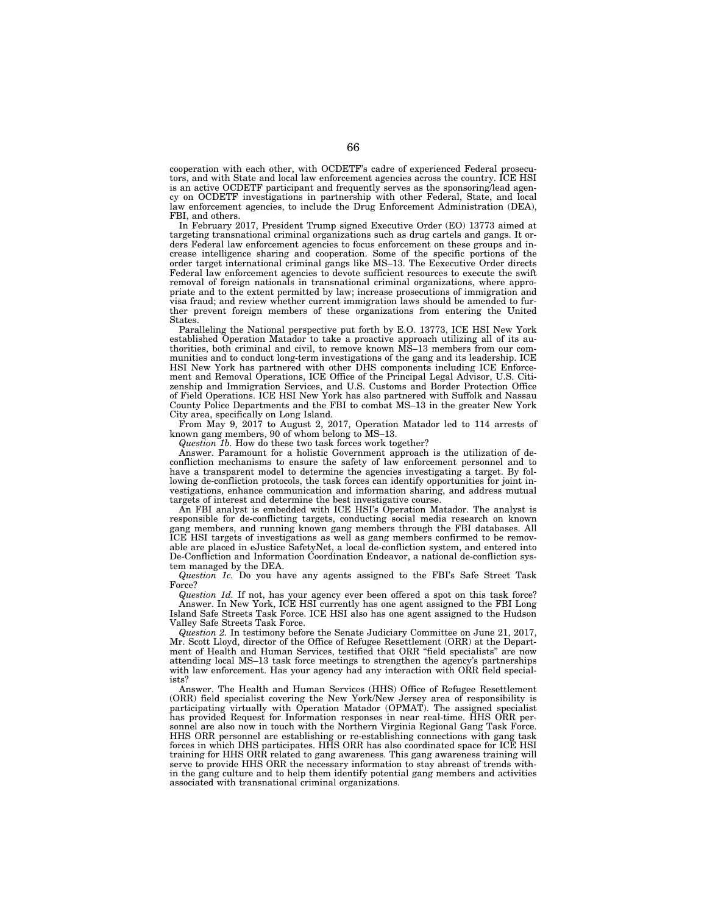cooperation with each other, with OCDETF's cadre of experienced Federal prosecutors, and with State and local law enforcement agencies across the country. ICE HSI is an active OCDETF participant and frequently serves as the sponsoring/lead agency on OCDETF investigations in partnership with other Federal, State, and local law enforcement agencies, to include the Drug Enforcement Administration (DEA), FBI, and others.

In February 2017, President Trump signed Executive Order (EO) 13773 aimed at targeting transnational criminal organizations such as drug cartels and gangs. It orders Federal law enforcement agencies to focus enforcement on these groups and increase intelligence sharing and cooperation. Some of the specific portions of the order target international criminal gangs like MS–13. The Eexecutive Order directs Federal law enforcement agencies to devote sufficient resources to execute the swift removal of foreign nationals in transnational criminal organizations, where appropriate and to the extent permitted by law; increase prosecutions of immigration and visa fraud; and review whether current immigration laws should be amended to further prevent foreign members of these organizations from entering the United States.

Paralleling the National perspective put forth by E.O. 13773, ICE HSI New York established Operation Matador to take a proactive approach utilizing all of its authorities, both criminal and civil, to remove known MS–13 members from our communities and to conduct long-term investigations of the gang and its leadership. ICE HSI New York has partnered with other DHS components including ICE Enforcement and Removal Operations, ICE Office of the Principal Legal Advisor, U.S. Citizenship and Immigration Services, and U.S. Customs and Border Protection Office of Field Operations. ICE HSI New York has also partnered with Suffolk and Nassau County Police Departments and the FBI to combat MS–13 in the greater New York City area, specifically on Long Island.

From May 9, 2017 to August 2, 2017, Operation Matador led to 114 arrests of known gang members, 90 of whom belong to MS–13.

*Question 1b.* How do these two task forces work together?

Answer. Paramount for a holistic Government approach is the utilization of deconfliction mechanisms to ensure the safety of law enforcement personnel and to have a transparent model to determine the agencies investigating a target. By following de-confliction protocols, the task forces can identify opportunities for joint investigations, enhance communication and information sharing, and address mutual targets of interest and determine the best investigative course.

An FBI analyst is embedded with ICE HSI's Operation Matador. The analyst is responsible for de-conflicting targets, conducting social media research on known gang members, and running known gang members through the FBI databases. All ICE HSI targets of investigations as well as gang members confirmed to be removable are placed in eJustice SafetyNet, a local de-confliction system, and entered into De-Confliction and Information Coordination Endeavor, a national de-confliction system managed by the DEA.

*Question 1c.* Do you have any agents assigned to the FBI's Safe Street Task Force?

*Question 1d.* If not, has your agency ever been offered a spot on this task force? Answer. In New York, ICE HSI currently has one agent assigned to the FBI Long Island Safe Streets Task Force. ICE HSI also has one agent assigned to the Hudson Valley Safe Streets Task Force.

*Question 2.* In testimony before the Senate Judiciary Committee on June 21, 2017, Mr. Scott Lloyd, director of the Office of Refugee Resettlement (ORR) at the Department of Health and Human Services, testified that ORR ''field specialists'' are now attending local MS–13 task force meetings to strengthen the agency's partnerships with law enforcement. Has your agency had any interaction with ORR field specialists?

Answer. The Health and Human Services (HHS) Office of Refugee Resettlement (ORR) field specialist covering the New York/New Jersey area of responsibility is participating virtually with Operation Matador (OPMAT). The assigned specialist has provided Request for Information responses in near real-time. HHS ORR personnel are also now in touch with the Northern Virginia Regional Gang Task Force. HHS ORR personnel are establishing or re-establishing connections with gang task forces in which DHS participates. HHS ORR has also coordinated space for ICE HSI training for HHS ORR related to gang awareness. This gang awareness training will serve to provide HHS ORR the necessary information to stay abreast of trends within the gang culture and to help them identify potential gang members and activities associated with transnational criminal organizations.